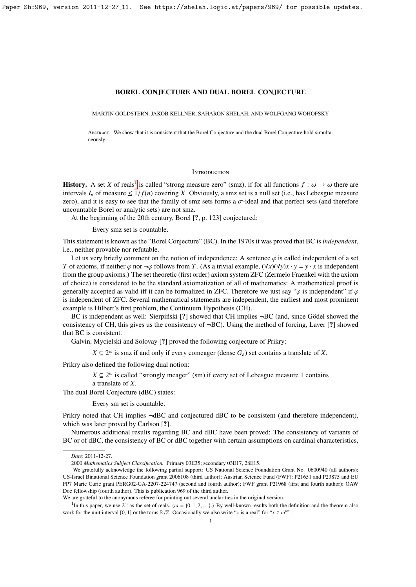MARTIN GOLDSTERN, JAKOB KELLNER, SAHARON SHELAH, AND WOLFGANG WOHOFSKY

Abstract. We show that it is consistent that the Borel Conjecture and the dual Borel Conjecture hold simultaneously.

#### **INTRODUCTION**

**History.** A set *X* of reals<sup>[1](#page-0-0)</sup> is called "strong measure zero" (smz), if for all functions  $f : \omega \to \omega$  there are intervals *I* of measure  $\lt 1/f(n)$  covering *X*. Obviously a smz set is a null set (i.e., has I ebesaue mea intervals  $I_n$  of measure  $\leq 1/f(n)$  covering *X*. Obviously, a smz set is a null set (i.e., has Lebesgue measure zero), and it is easy to see that the family of smz sets forms a  $\sigma$ -ideal and that perfect sets (and therefore uncountable Borel or analytic sets) are not smz.

At the beginning of the 20th century, Borel [?, p. 123] conjectured:

Every smz set is countable.

This statement is known as the "Borel Conjecture" (BC). In the 1970s it was proved that BC is *independent*, i.e., neither provable nor refutable.

Let us very briefly comment on the notion of independence: A sentence  $\varphi$  is called independent of a set *T* of axioms, if neither  $\varphi$  nor  $\neg \varphi$  follows from *T*. (As a trivial example,  $(\forall x)(\forall y)x \cdot y = y \cdot x$  is independent from the group axioms.) The set theoretic (first order) axiom system ZFC (Zermelo Fraenkel with the axiom of choice) is considered to be the standard axiomatization of all of mathematics: A mathematical proof is generally accepted as valid iff it can be formalized in ZFC. Therefore we just say " $\varphi$  is independent" if  $\varphi$ is independent of ZFC. Several mathematical statements are independent, the earliest and most prominent example is Hilbert's first problem, the Continuum Hypothesis (CH).

BC is independent as well: Sierpinski [?] showed that CH implies  $\neg BC$  (and, since Godel showed the consistency of CH, this gives us the consistency of  $\neg BC$ ). Using the method of forcing, Laver [?] showed that BC is consistent.

Galvin, Mycielski and Solovay [?] proved the following conjecture of Prikry:

 $X \subseteq 2^{\omega}$  is smz if and only if every comeager (dense  $G_{\delta}$ ) set contains a translate of *X*.

Prikry also defined the following dual notion:

 $X \subseteq 2^{\omega}$  is called "strongly meager" (sm) if every set of Lebesgue measure 1 contains a translate of *X*.

The dual Borel Conjecture (dBC) states:

Every sm set is countable.

Prikry noted that CH implies  $\neg$ dBC and conjectured dBC to be consistent (and therefore independent), which was later proved by Carlson [?].

Numerous additional results regarding BC and dBC have been proved: The consistency of variants of BC or of dBC, the consistency of BC or dBC together with certain assumptions on cardinal characteristics,

*Date*: 2011-12-27.

<sup>2000</sup> *Mathematics Subject Classification.* Primary 03E35; secondary 03E17, 28E15.

We gratefully acknowledge the following partial support: US National Science Foundation Grant No. 0600940 (all authors); US-Israel Binational Science Foundation grant 2006108 (third author); Austrian Science Fund (FWF): P21651 and P23875 and EU FP7 Marie Curie grant PERG02-GA-2207-224747 (second and fourth author); FWF grant P21968 (first and fourth author); ÖAW Doc fellowship (fourth author). This is publication 969 of the third author.

We are grateful to the anonymous referee for pointing out several unclarities in the original version.

<span id="page-0-0"></span><sup>&</sup>lt;sup>1</sup>In this paper, we use 2<sup>ω</sup> as the set of reals. ( $\omega = \{0, 1, 2, ...\}$ ) By well-known results both the definition and the theorem also k for the unit interval IO 11 or the torus  $\mathbb{P}/\mathbb{Z}$ . Occasionally we also write " work for the unit interval [0, 1] or the torus  $\mathbb{R}/\mathbb{Z}$ . Occasionally we also write "*x* is a real" for " $x \in \omega^{\omega}$ ".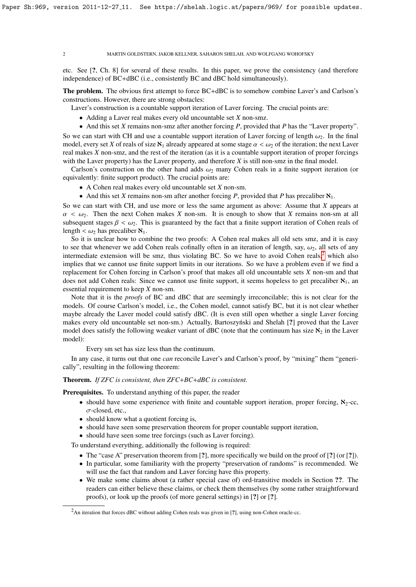etc. See [?, Ch. 8] for several of these results. In this paper, we prove the consistency (and therefore independence) of BC+dBC (i.e., consistently BC and dBC hold simultaneously).

The problem. The obvious first attempt to force BC+dBC is to somehow combine Laver's and Carlson's constructions. However, there are strong obstacles:

Laver's construction is a countable support iteration of Laver forcing. The crucial points are:

• Adding a Laver real makes every old uncountable set *X* non-smz.

• And this set *X* remains non-smz after another forcing *P*, provided that *P* has the "Laver property". So we can start with CH and use a countable support iteration of Laver forcing of length  $\omega_2$ . In the final model, every set *X* of reals of size  $\aleph_1$  already appeared at some stage  $\alpha < \omega_2$  of the iteration; the next Laver real makes *X* non-smz, and the rest of the iteration (as it is a countable support iteration of proper forcings with the Laver property) has the Laver property, and therefore *X* is still non-smz in the final model.

Carlson's construction on the other hand adds  $\omega_2$  many Cohen reals in a finite support iteration (or equivalently: finite support product). The crucial points are:

- A Cohen real makes every old uncountable set *X* non-sm.
- And this set *X* remains non-sm after another forcing *P*, provided that *P* has precaliber  $\aleph_1$ .

So we can start with CH, and use more or less the same argument as above: Assume that *X* appears at  $\alpha < \omega_2$ . Then the next Cohen makes *X* non-sm. It is enough to show that *X* remains non-sm at all subsequent stages  $\beta < \omega_2$ . This is guaranteed by the fact that a finite support iteration of Cohen reals of length  $< \omega_2$  has precaliber  $\aleph_1$ .

So it is unclear how to combine the two proofs: A Cohen real makes all old sets smz, and it is easy to see that whenever we add Cohen reals cofinally often in an iteration of length, say,  $\omega_2$ , all sets of any intermediate extension will be smz, thus violating BC. So we have to avoid Cohen reals, $<sup>2</sup>$  $<sup>2</sup>$  $<sup>2</sup>$  which also</sup> implies that we cannot use finite support limits in our iterations. So we have a problem even if we find a replacement for Cohen forcing in Carlson's proof that makes all old uncountable sets *X* non-sm and that does not add Cohen reals: Since we cannot use finite support, it seems hopeless to get precaliber  $\aleph_1$ , an essential requirement to keep *X* non-sm.

Note that it is the *proofs* of BC and dBC that are seemingly irreconcilable; this is not clear for the models. Of course Carlson's model, i.e., the Cohen model, cannot satisfy BC, but it is not clear whether maybe already the Laver model could satisfy dBC. (It is even still open whether a single Laver forcing makes every old uncountable set non-sm.) Actually, Bartoszynski and Shelah [?] proved that the Laver model does satisfy the following weaker variant of dBC (note that the continuum has size  $\aleph_2$  in the Laver model):

Every sm set has size less than the continuum.

In any case, it turns out that one *can* reconcile Laver's and Carlson's proof, by "mixing" them "generically", resulting in the following theorem:

Theorem. *If ZFC is consistent, then ZFC*+*BC*+*dBC is consistent.*

Prerequisites. To understand anything of this paper, the reader

- should have some experience with finite and countable support iteration, proper forcing,  $\aleph_2$ -cc, σ-closed, etc.,
- should know what a quotient forcing is,
- should have seen some preservation theorem for proper countable support iteration,
- should have seen some tree forcings (such as Laver forcing).

To understand everything, additionally the following is required:

- The "case A" preservation theorem from [?], more specifically we build on the proof of [?] (or [?]).
- In particular, some familiarity with the property "preservation of randoms" is recommended. We will use the fact that random and Laver forcing have this property.
- We make some claims about (a rather special case of) ord-transitive models in Section ??. The readers can either believe these claims, or check them themselves (by some rather straightforward proofs), or look up the proofs (of more general settings) in [?] or [?].

<span id="page-1-0"></span><sup>&</sup>lt;sup>2</sup>An iteration that forces dBC without adding Cohen reals was given in [?], using non-Cohen oracle-cc.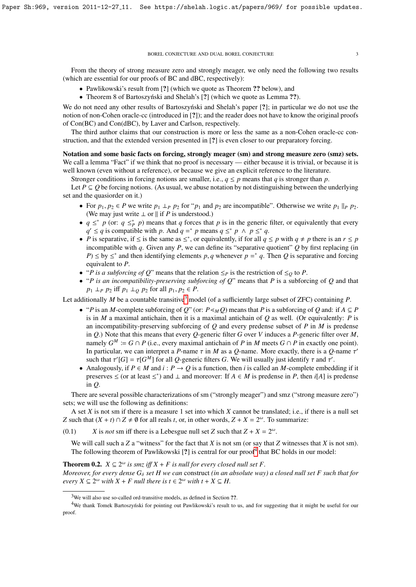From the theory of strong measure zero and strongly meager, we only need the following two results (which are essential for our proofs of BC and dBC, respectively):

- Pawlikowski's result from [?] (which we quote as Theorem ?? below), and
- Theorem 8 of Bartoszyński and Shelah's [?] (which we quote as Lemma ??).

We do not need any other results of Bartoszynski and Shelah's paper [?]; in particular we do not use the notion of non-Cohen oracle-cc (introduced in [?]); and the reader does not have to know the original proofs of Con(BC) and Con(dBC), by Laver and Carlson, respectively.

The third author claims that our construction is more or less the same as a non-Cohen oracle-cc construction, and that the extended version presented in [?] is even closer to our preparatory forcing.

Notation and some basic facts on forcing, strongly meager (sm) and strong measure zero (smz) sets. We call a lemma "Fact" if we think that no proof is necessary — either because it is trivial, or because it is well known (even without a reference), or because we give an explicit reference to the literature.

Stronger conditions in forcing notions are smaller, i.e.,  $q \leq p$  means that *q* is stronger than *p*.

Let  $P \subseteq O$  be forcing notions. (As usual, we abuse notation by not distinguishing between the underlying set and the quasiorder on it.)

- For  $p_1, p_2 \in P$  we write  $p_1 \perp_P p_2$  for " $p_1$  and  $p_2$  are incompatible". Otherwise we write  $p_1 \parallel_P p_2$ . (We may just write  $\perp$  or  $\parallel$  if *P* is understood.)
- $q \leq^* p$  (or:  $q \leq^* p$ ) means that *q* forces that *p* is in the generic filter, or equivalently that every  $q' \leq q$  is compatible with *p*. And  $q = \nvert p$  means  $q \leq \nvert p \wedge p \leq \nvert q$ .
- *P* is separative, if  $\leq$  is the same as  $\leq^*$ , or equivalently, if for all  $q \leq p$  with  $q \neq p$  there is an  $r \leq p$ incompatible with  $q$ . Given any  $P$ , we can define its "separative quotient"  $Q$  by first replacing (in *P*)  $\leq$  by  $\leq^*$  and then identifying elements *p*, *q* whenever *p* = \* *q*. Then *Q* is separative and forcing equivalent to *P* equivalent to *P*.
- "*P is a subforcing of Q*" means that the relation ≤*<sup>P</sup>* is the restriction of ≤*<sup>Q</sup>* to *P*.
- "*P is an incompatibility-preserving subforcing of Q*" means that *P* is a subforcing of *Q* and that *p*<sub>1</sub> ⊥*P p*<sub>2</sub> iff *p*<sub>1</sub> ⊥*Q p*<sub>2</sub> for all *p*<sub>1</sub>, *p*<sub>2</sub> ∈ *P*.

Let additionally *M* be a countable transitive<sup>[3](#page-2-0)</sup> model (of a sufficiently large subset of ZFC) containing *P*.

- "*P* is an *M*-complete subforcing of *Q*" (or:  $P \leq_M Q$ ) means that *P* is a subforcing of *Q* and: if  $A \subseteq P$ is in *M* a maximal antichain, then it is a maximal antichain of  $Q$  as well. (Or equivalently: *P* is an incompatibility-preserving subforcing of *Q* and every predense subset of *P* in *M* is predense in *Q*.) Note that this means that every *Q*-generic filter *G* over *V* induces a *P*-generic filter over *M*, namely  $G^M := G \cap P$  (i.e., every maximal antichain of *P* in *M* meets  $G \cap P$  in exactly one point). In particular, we can interpret a *P*-name  $\tau$  in *M* as a *Q*-name. More exactly, there is a *Q*-name  $\tau'$ <br>such that  $\tau'(G) = \tau(G^M)$  for all *Q*-generic filters *G*. We will usually just identify  $\tau$  and  $\tau'$ such that  $\tau' [G] = \tau [G^M]$  for all *Q*-generic filters *G*. We will usually just identify  $\tau$  and  $\tau'$ .<br>Analogously if  $P \in M$  and  $i : P \to O$  is a function, then *i* is called an *M*-complete embed
- Analogously, if  $P \in M$  and  $i : P \to Q$  is a function, then *i* is called an *M*-complete embedding if it preserves ≤ (or at least ≤<sup>\*</sup>) and ⊥ and moreover: If  $A \in M$  is predense in *P*, then *i*[*A*] is predense in *Q*.

There are several possible characterizations of sm ("strongly meager") and smz ("strong measure zero") sets; we will use the following as definitions:

A set *X* is not sm if there is a measure 1 set into which *X* cannot be translated; i.e., if there is a null set *Z* such that  $(X + t) \cap Z \neq \emptyset$  for all reals *t*, or, in other words,  $Z + X = 2^{\omega}$ . To summarize:

(0.1) *X* is *not* sm iff there is a Lebesgue null set *Z* such that  $Z + X = 2^{\omega}$ .

We will call such a *Z* a "witness" for the fact that *X* is not sm (or say that *Z* witnesses that *X* is not sm). The following theorem of Pawlikowski [?] is central for our proof<sup>[4](#page-2-1)</sup> that BC holds in our model:

**Theorem 0.2.** *X* ⊆  $2^\omega$  *is smz iff X* + *F is null for every closed null set F*. *Moreover, for every dense*  $G_{\delta}$  *set H we can construct (in an absolute way) a closed null set F such that for every*  $X \subseteq 2^{\omega}$  *with*  $X + F$  *null there is*  $t \in 2^{\omega}$  *with*  $t + X \subseteq H$ .

<span id="page-2-1"></span><span id="page-2-0"></span><sup>&</sup>lt;sup>3</sup>We will also use so-called ord-transitive models, as defined in Section ??.

<sup>&</sup>lt;sup>4</sup>We thank Tomek Bartoszyński for pointing out Pawlikowski's result to us, and for suggesting that it might be useful for our proof.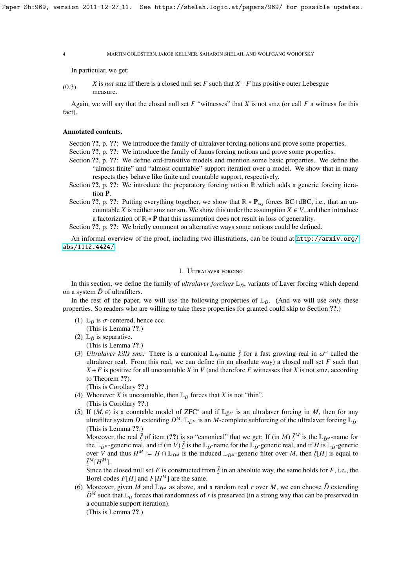In particular, we get:

 $(X, 3)$  *X* is *not* smz iff there is a closed null set *F* such that  $X + F$  has positive outer Lebesgue measure.

Again, we will say that the closed null set *F* "witnesses" that *X* is not smz (or call *F* a witness for this fact).

#### Annotated contents.

Section ??, p. ??: We introduce the family of ultralaver forcing notions and prove some properties.

- Section ??, p. ??: We introduce the family of Janus forcing notions and prove some properties.
- Section ??, p. ??: We define ord-transitive models and mention some basic properties. We define the "almost finite" and "almost countable" support iteration over a model. We show that in many respects they behave like finite and countable support, respectively.
- Section ??, p. ??: We introduce the preparatory forcing notion  $\mathbb R$  which adds a generic forcing iteration  $\bar{P}$ .
- Section ??, p. ??: Putting everything together, we show that  $\mathbb{R} * \mathbf{P}_{\omega_2}$  forces BC+dBC, i.e., that an un-<br>countries *V* is not beginning to get the under the examples *V*  $\in$  *V* and then introduce countable *X* is neither smz nor sm. We show this under the assumption  $X \in V$ , and then introduce a factorization of  $\mathbb{R} * \bar{P}$  that this assumption does not result in loss of generality.

Section ??, p. ??: We briefly comment on alternative ways some notions could be defined.

An informal overview of the proof, including two illustrations, can be found at [http://arxiv.org/](http://arxiv.org/abs/1112.4424/) [abs/1112.4424/](http://arxiv.org/abs/1112.4424/).

# 1. Ultralaver forcing

In this section, we define the family of *ultralaver forcings*  $L_{\bar{D}}$ , variants of Laver forcing which depend on a system *D* of ultrafilters.

In the rest of the paper, we will use the following properties of  $L<sub>D</sub>$ . (And we will use *only* these properties. So readers who are willing to take these properties for granted could skip to Section ??.)

(1)  $\mathbb{L}_{\bar{D}}$  is  $\sigma$ -centered, hence ccc.

(This is Lemma ??.) (2)  $\mathbb{L}_{\bar{D}}$  is separative.

(This is Lemma ??.)

(3) *Ultralaver kills smz*: There is a canonical  $\mathbb{L}_{\tilde{D}}$ -name  $\bar{\ell}$  for a fast growing real in  $\omega^{\omega}$  called the ultralaver real. From this real we can define (in an absolute way) a closed null set *F* such tha ultralaver real. From this real, we can define (in an absolute way) a closed null set  $F$  such that  $X + F$  is positive for all uncountable *X* in *V* (and therefore *F* witnesses that *X* is not smz, according to Theorem ??).

(This is Corollary ??.)

- (4) Whenever *X* is uncountable, then  $\mathbb{L}_{\bar{D}}$  forces that *X* is not "thin". (This is Corollary ??.)
- (5) If  $(M, \epsilon)$  is a countable model of ZFC<sup>∗</sup> and if  $\mathbb{L}_{\bar{D}^M}$  is an ultralaver forcing in *M*, then for any ultrafilter system  $\bar{D}$  extending  $\bar{D}^M \mathbb{I}_{\epsilon}$  is an *M*-complete subforcing of the ultralaver f ultrafilter system  $\bar{D}$  extending  $\bar{D}^M$ , L<sub> $\bar{D}^M$ </sub> is an *M*-complete subforcing of the ultralaver forcing L<sub> $\bar{D}$ </sub>. (This is Lemma ??.)

Moreover, the real  $\bar{\ell}$  of item (??) is so "canonical" that we get: If (in *M*)  $\bar{\ell}^M$  is the  $\mathbb{L}_{\bar{D}^M}$ -name for the  $\mathbb{L}_{\bar{D}^M}$ -name for the  $\mathbb{L}_{\bar{D}^M}$  and if  $H$  is  $\mathbb{L}_{\bar{D}^M}$ -generic real, the  $\mathbb{L}_{\bar{D}^M}$ -generic real, and if (in *V*)  $\bar{\ell}$  is the  $\mathbb{L}_{\bar{D}}$ -name for the  $\mathbb{L}_{\bar{D}}$ -generic real, and if *H* is  $\mathbb{L}_{\bar{D}}$ -generic<br>over *V* and thus *H<sup>M</sup>* :- *H*  $\cap$   $\mathbb{L}_{\bar{D}}$  is the induce over *V* and thus  $H^M := H \cap \mathbb{L}_{\bar{D}^M}$  is the induced  $\mathbb{L}_{\bar{D}^M}$ -generic filter over *M*, then  $\bar{\ell}[H]$  is equal to  $\bar{\ell}^M[H^M]$  $\bar{\ell}^M [H^M].$ 

Since the closed null set *F* is constructed from  $\bar{\ell}$  in an absolute way, the same holds for *F*, i.e., the Borel codes *F*[*H*] and *F*[*H<sup>M</sup>*] are the same Borel codes  $F[H]$  and  $F[H^M]$  are the same.

(6) Moreover, given *M* and  $\mathbb{L}_{\tilde{D}^M}$  as above, and a random real *r* over *M*, we can choose  $\tilde{D}$  extending  $\bar{D}^M$  such that  $\mathbb{L}_{\bar{D}}$  forces that randomness of *r* is preserved (in a strong way that can be preserved in a countable support iteration).

(This is Lemma ??.)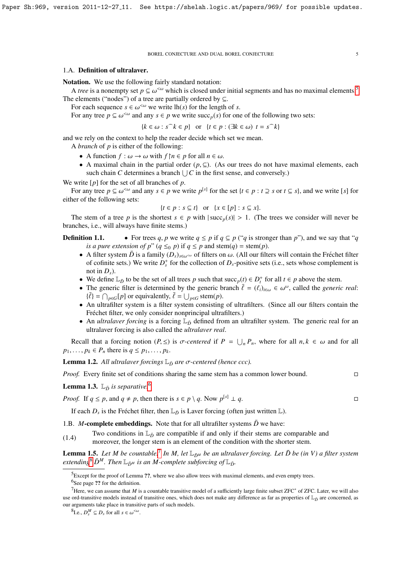#### 1.A. Definition of ultralaver.

Notation. We use the following fairly standard notation:

A *tree* is a nonempty set  $p \subseteq \omega^{\lt \omega}$  which is closed under initial segments and has no maximal elements.<sup>[5](#page-4-0)</sup> The elements ("nodes") of a tree are partially ordered by  $\subseteq$ .

For each sequence  $s \in \omega^{\leq \omega}$  we write lh(*s*) for the length of *s*.<br>For any tree  $n \in \omega^{\leq \omega}$  and any  $s \in n$  we write succ (*s*) for one

For any tree  $p \subseteq \omega^{\leq \omega}$  and any  $s \in p$  we write succ<sub>p</sub>(*s*) for one of the following two sets:

 ${k \in \omega : s^k \in p}$  or  ${t \in p : (\exists k \in \omega) \ t = s^k}$ 

and we rely on the context to help the reader decide which set we mean.

A *branch* of *p* is either of the following:

- A function  $f: \omega \to \omega$  with  $f \upharpoonright n \in p$  for all  $n \in \omega$ .
- A maximal chain in the partial order  $(p, \subseteq)$ . (As our trees do not have maximal elements, each such chain *C* determines a branch  $\bigcup C$  in the first sense, and conversely.)

We write [*p*] for the set of all branches of *p*.

For any tree  $p \subseteq \omega^{\leq \omega}$  and any  $s \in p$  we write  $p^{[s]}$  for the set  $\{t \in p : t \supseteq s \text{ or } t \subseteq s\}$ , and we write [s] for either of the following sets:

$$
\{t \in p : s \subseteq t\} \text{ or } \{x \in [p] : s \subseteq x\}.
$$

The stem of a tree *p* is the shortest  $s \in p$  with  $|\text{succ}_p(s)| > 1$ . (The trees we consider will never be notes i.e. will always have finite stems) branches, i.e., will always have finite stems.)

# **Definition 1.1.** • For trees *q*, *p* we write  $q \leq p$  if  $q \subseteq p$  ("*q* is stronger than *p*"), and we say that "*q is a pure extension of p*" ( $q \leq_0 p$ ) if  $q \leq p$  and stem( $q$ ) = stem( $p$ ).

- A filter system  $\bar{D}$  is a family  $(D_s)_{s \in \omega^{\leq \omega}}$  of filters on  $\omega$ . (All our filters will contain the Fréchet filter of cofinite sets.) We write  $D_s^+$  for the collection of  $D_s$ -positive sets (i.e., sets whose complement is not in  $D_s$ ).
- We define  $\mathbb{L}_{\bar{D}}$  to be the set of all trees *p* such that succ<sub>*p*</sub>(*t*)  $\in D_t^+$  for all  $t \in p$  above the stem.
- The generic filter is determined by the generic branch  $\bar{\ell} = (\ell_i)_{i \in \omega} \in \omega^\omega$ , called the *generic real*:<br> $\bar{\ell} = (\bar{\ell}_i)_{i \in \omega} \in \omega^\omega$ , called the *generic real*:  $\{\bar{\ell}\} = \bigcap_{p \in G} [p]$  or equivalently,  $\bar{\ell} = \bigcup_{p \in G}$  stem(*p*).
- An ultrafilter system is a filter system consisting of ultrafilters. (Since all our filters contain the Fréchet filter, we only consider nonprincipal ultrafilters.)
- An *ultralaver forcing* is a forcing  $L_{\tilde{D}}$  defined from an ultrafilter system. The generic real for an ultralaver forcing is also called the *ultralaver real*.

Recall that a forcing notion  $(P, \leq)$  is  $\sigma$ -centered if  $P = \bigcup_n P_n$ , where for all  $n, k \in \omega$  and for all  $n, k \in \omega$  $p_1, \ldots, p_k \in P_n$  there is  $q \leq p_1, \ldots, p_k$ .

**Lemma 1.2.** All ultralaver forcings  $L_{\bar{D}}$  are  $\sigma$ -centered (hence ccc).

*Proof.* Every finite set of conditions sharing the same stem has a common lower bound. □

**Lemma 1.3.**  $\mathbb{L}_{\bar{D}}$  *is separative.*<sup>[6](#page-4-1)</sup>

*Proof.* If  $q \leq p$ , and  $q \neq p$ , then there is  $s \in p \setminus q$ . Now  $p^{[s]} \perp q$ .

If each  $D_s$  is the Fréchet filter, then  $\mathbb{L}_{\bar{D}}$  is Laver forcing (often just written  $\mathbb{L}$ ).

1.B. *M*-complete embeddings. Note that for all ultrafilter systems  $\bar{D}$  we have:

(1.4) Two conditions in  $\mathbb{L}_{\tilde{D}}$  are compatible if and only if their stems are comparable and (1.4) moreover, the longer stem is an element of the condition with the shorter stem.

**Lemma 1.5.** Let M be countable.<sup>[7](#page-4-2)</sup> In M, let  $\mathbb{L}_{\bar{D}^M}$  be an ultralaver forcing. Let  $\bar{D}$  be (in V) a filter system *extending*<sup>[8](#page-4-3)</sup>  $\bar{D}^M$ *. Then*  $\mathbb{L}_{\bar{D}^M}$  *is an M-complete subforcing of*  $\mathbb{L}_{\bar{D}^M}$ *.* 

<span id="page-4-1"></span><span id="page-4-0"></span> ${}^{5}$ Except for the proof of Lemma ??, where we also allow trees with maximal elements, and even empty trees. <sup>6</sup>See page ?? for the definition.

<span id="page-4-2"></span><sup>7</sup>Here, we can assume that *M* is a countable transitive model of a sufficiently large finite subset ZFC<sup>∗</sup> of ZFC. Later, we will also use ord-transitive models instead of transitive ones, which does not make any difference as far as properties of  $\mathbb{L}_{\tilde{D}}$  are concerned, as our arguments take place in transitive parts of such models.

<span id="page-4-3"></span> ${}^{8}$ I.e.,  $D_s^M \subseteq D_s$  for all  $s \in \omega^{{\langle \omega \rangle}}$ .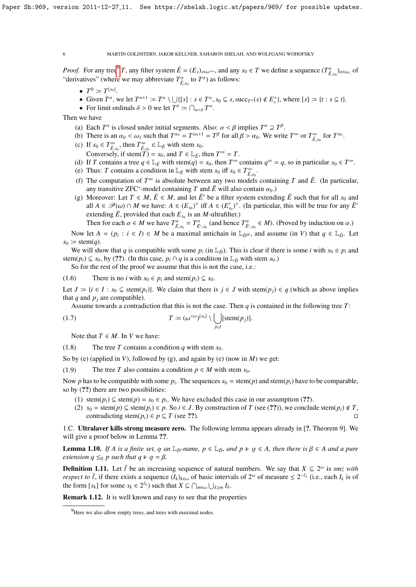*Proof.* For any tree<sup>[9](#page-5-0)</sup> *T*, any filter system  $\bar{E} = (E_s)_{s \in \omega^{\leq \omega}}$ , and any  $s_0 \in T$  we define a sequence  $(T_{\bar{E},s_0}^{\alpha})_{\alpha \in \omega_1}$  of "derivatives" (where we may abbreviate  $T^{\alpha}$  to  $T^{\alpha}$ ) as follows: "derivatives" (where we may abbreviate  $T^{\alpha}_{\bar{E},s_0}$  to  $T^{\alpha}$ ) as follows:

- $T^0 \coloneqq T^{[s_0]}.$
- Given  $T^{\alpha}$ , we let  $T^{\alpha+1} := T^{\alpha} \setminus \bigcup \{ [s] : s \in T^{\alpha}, s_0 \subseteq s, \text{succ}_{T^{\alpha}}(s) \notin E_s^+ \}$ , where  $[s] := \{ t : s \subseteq t \}$ .<br>• For limit ordinals  $\delta > 0$  we let  $T^{\delta} := \bigcap_{s \in T^{\alpha}} T^{\alpha}$
- For limit ordinals  $\delta > 0$  we let  $T^{\delta} := \bigcap_{\alpha < \delta} T^{\alpha}$ .

Then we have

- (a) Each  $T^{\alpha}$  is closed under initial segments. Also:  $\alpha < \beta$  implies  $T^{\alpha} \supseteq T^{\beta}$ .<br>(b) There is an  $\alpha < \alpha$ , such that  $T^{\alpha_0} T^{\alpha_0+1} T^{\beta}$  for all  $\beta > \alpha_0$ . We writ
- (b) There is an  $\alpha_0 < \omega_1$  such that  $T^{\alpha_0} = T^{\alpha_0+1} = T^{\beta}$  for all  $\beta > \alpha_0$ . We write  $T^{\infty}$  or  $T^{\infty}_{\bar{E}, s_0}$  for  $T^{\alpha_0}$ .<br>(c) If  $s_0 \in T^{\infty}$  then  $T^{\infty} \in \mathbb{I}$  is with stempton
- (c) If  $s_0 \in T^{\infty}_{\bar{E},s_0}$ , then  $T^{\infty}_{\bar{E},s_0} \in \mathbb{L}_{\bar{E}}$  with stem  $s_0$ .<br>Conversely if stem(*T*)  $s_0$  and  $T \in \mathbb{L}_{\bar{E}}$ Conversely, if stem $(T) = s_0$ , and  $T \in \mathbb{L}_{\bar{E}}$ , then  $T^{\infty} = T$ .
- (d) If *T* contains a tree  $q \in \mathbb{L}_{\bar{E}}$  with stem( $q$ ) =  $s_0$ , then  $T^{\infty}$  contains  $q^{\infty} = q$ , so in particular  $s_0 \in T^{\infty}$ .
- (e) Thus: *T* contains a condition in  $\mathbb{L}_E$  with stem  $s_0$  iff  $s_0 \in T_{E,s_0}^{\infty}$ <br>(f) The computation of  $T^{\infty}$  is absolute between only two models
- (f) The computation of  $T^{\infty}$  is absolute between any two models containing *T* and  $\bar{E}$ . (In particular, any transitive ZFC<sup>\*</sup>-model containing *T* and  $\overline{E}$  will also contain  $\alpha_0$ .)<br>Moreover: Let  $T \in M$ ,  $\overline{F} \in M$  and let  $\overline{F}'$  be a filter system extend
- (g) Moreover: Let  $T \in M$ ,  $\overline{E} \in M$ , and let  $\overline{E}'$  be a filter system extending  $\overline{E}$  such that for all  $s_0$  and all *A* ∈  $\mathcal{P}(\omega) \cap M$  we have:  $A \in (E_{s_0})^+$  iff  $A \in (E'_{s_0})^+$ . (In particular, this will be true for any  $\overline{E}'$ <sup> $\omega$ </sup> extending  $\bar{E}$ , provided that each  $E_{s_0}$  is an *M*-ultrafilter.)

Then for each  $\alpha \in M$  we have  $T^{\alpha}_{\vec{E}',s_0} = T^{\alpha}_{\vec{E}',s_0}$  (and hence  $T^{\alpha}_{\vec{E}',s_0} \in M$ ). (Proved by induction on  $\alpha$ .)

Now let  $A = (p_i : i \in I) \in M$  be a maximal antichain in  $\mathbb{L}_{\bar{D}^M}$ , and assume (in *V*) that  $q \in \mathbb{L}_{\bar{D}}$ . Let  $s_0 \coloneqq \operatorname{stem}(q)$ .

We will show that *q* is compatible with some  $p_i$  (in  $\mathbb{L}_D$ ). This is clear if there is some *i* with  $s_0 \in p_i$  and stem( $p_i$ )  $\subseteq$   $s_0$ , by (??). (In this case,  $p_i \cap q$  is a condition in  $\mathbb{L}_{\bar{D}}$  with stem  $s_0$ .)

So for the rest of the proof we assume that this is not the case, i.e.:

(1.6) There is no *i* with  $s_0 \in p_i$  and stem $(p_i) \subseteq s_0$ .

Let *J* :  $\{i \in I : s_0 \subseteq \text{stem}(p_i)\}$ . We claim that there is *j* ∈ *J* with stem(*p<sub>i</sub>*) ∈ *q* (which as above implies that *q* and  $p_j$  are compatible).

Assume towards a contradiction that this is not the case. Then *q* is contained in the following tree *T*:

(1.7) 
$$
T := (\omega^{<\omega})^{[s_0]} \setminus \bigcup_{j \in J} [\text{stem}(p_j)].
$$

Note that  $T \in M$ . In *V* we have:

(1.8) The tree *T* contains a condition *q* with stem  $s_0$ .

So by (e) (applied in *V*), followed by (g), and again by (e) (now in *M*) we get:

(1.9) The tree *T* also contains a condition  $p \in M$  with stem  $s_0$ .

Now *p* has to be compatible with some  $p_i$ . The sequences  $s_0 = \operatorname{stem}(p)$  and  $\operatorname{stem}(p_i)$  have to be comparable, so by (??) there are two possibilities:

- (1) stem( $p_i$ ) ⊆ stem( $p$ ) =  $s_0$  ∈  $p_i$ . We have excluded this case in our assumption (??).
- (2)  $s_0$  = stem(*p*) ⊆ stem(*p<sub>i</sub>*) ∈ *p*. So *i* ∈ *J*. By construction of *T* (see (??)), we conclude stem(*p<sub>i</sub>*) ∉ *T*, contradicting stem $(p_i) \in p \subseteq T$  (see ??).

1.C. Ultralaver kills strong measure zero. The following lemma appears already in [?, Theorem 9]. We will give a proof below in Lemma ??.

**Lemma 1.10.** *If A is a finite set,*  $\alpha$  *an*  $\mathbb{L}_{\bar{D}}$ -*name,*  $p \in \mathbb{L}_{\bar{D}}$ *, and*  $p \Vdash \alpha \in A$ *, then there is*  $\beta \in A$  *and a pure extension*  $a \leq_{\alpha} p$  *such that*  $a \Vdash \alpha = B$ extension  $q \leq_0 p$  such that  $q \vDash \alpha = \beta$ .

**Definition 1.11.** Let  $\bar{\ell}$  be an increasing sequence of natural numbers. We say that  $X \subseteq 2^{\omega}$  is *smz with* respect to  $\bar{\ell}$  if there exists a sequence  $(L)$ . of basic intervals of  $2^{\omega}$  of measure  $\leq 2^{-\ell_k}$  *respect to*  $\bar{\ell}$ , if there exists a sequence  $(I_k)_{k \in \omega}$  of basic intervals of  $2^{\omega}$  of measure  $\leq 2^{-\ell_k}$  (i.e., each  $I_k$  is of the form [s,] for some s<sub>i</sub>  $\epsilon$   $2^{\ell_k}$  such that  $X \subseteq \Omega$ the form  $[s_k]$  for some  $s_k \in 2^{\ell_k}$  such that  $X \subseteq \bigcap_{m \in \omega} \bigcup_{k \ge m} I_k$ .

Remark 1.12. It is well known and easy to see that the properties

<span id="page-5-0"></span><sup>&</sup>lt;sup>9</sup>Here we also allow empty trees, and trees with maximal nodes.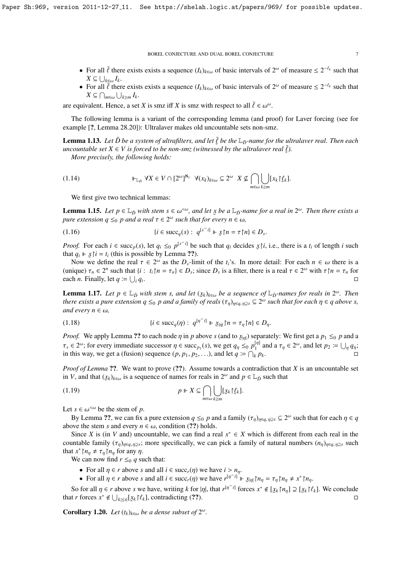- For all  $\bar{\ell}$  there exists exists a sequence  $(I_k)_{k \in \omega}$  of basic intervals of  $2^{\omega}$  of measure  $\leq 2^{-\ell_k}$  such that  $X \subset \square$ .  $X \subseteq \bigcup_{k \in \omega} I_k$ .<br>For all  $\overline{\ell}$  than
- For all  $\bar{\ell}$  there exists exists a sequence  $(I_k)_{k \in \omega}$  of basic intervals of  $2^{\omega}$  of measure  $\leq 2^{-\ell_k}$  such that  $X \subset \bigcap_{k=1}^{\infty} I_k$ .  $X \subseteq \bigcap_{m \in \omega} \bigcup_{k \geq m} I_k.$

are equivalent. Hence, a set *X* is smz iff *X* is smz with respect to all  $\bar{\ell} \in \omega^{\omega}$ .

The following lemma is a variant of the corresponding lemma (and proof) for Laver forcing (see for example [?, Lemma 28.20]): Ultralaver makes old uncountable sets non-smz.

**Lemma 1.13.** *Let*  $\bar{D}$  *be a system of ultrafilters, and let*  $\bar{\ell}$  *be the*  $\mathbb{L}_D$ -name for the ultralaver real. Then each uncountable set  $X \in V$  is forced to be non-smz (witnessed by the ultralayer real  $\bar{\ell$  $u_0 = \frac{u_0 - u_1}{u_0 - u_1}$  is the unit,  $u_1, u_2, u_3, u_4, u_5, u_6, u_7, u_8, u_9, u_1, u_1, u_2, u_3, u_1, u_2, u_3, u_4, u_5, u_7, u_8, u_9, u_1, u_1, u_2, u_3, u_1, u_2, u_3, u_4, u_5, u_7, u_8, u_9, u_1, u_2, u_3, u_4, u_7, u_8, u_9, u_1, u_2, u_3, u_4, u_7, u$ 

*More precisely, the following holds:*

(1.14) 
$$
\Vdash_{\mathbb{L}_{\tilde{D}}} \forall X \in V \cap [2^{\omega}]^{\aleph_1} \ \forall (x_k)_{k \in \omega} \subseteq 2^{\omega} \ X \nsubseteq \bigcap_{m \in \omega} \bigcup_{k \geq m} [x_k]_{\ell}^{\ell}.
$$

We first give two technical lemmas:

**Lemma 1.15.** *Let*  $p \in \mathbb{L}_{\bar{D}}$  *with stem*  $s \in \omega^{\leq \omega}$ *, and let*  $\bar{x}$  *be a*  $\mathbb{L}_{\bar{D}}$ *-name for a real in*  $2^{\omega}$ *. Then there exists a nure extension a*  $\leq \infty$  *n* and a real  $\tau \in 2^{\omega}$  such that fo *pure extension*  $q \leq_0 p$  *and a real*  $\tau \in 2^\omega$  such that for every  $n \in \omega$ ,

(1.16) 
$$
\{i \in \text{succ}_q(s) : q^{[s \cap i]} \Vdash \mathcal{Z} \upharpoonright n = \tau \upharpoonright n\} \in D_s.
$$

*Proof.* For each  $i \in \text{succ}_p(s)$ , let  $q_i \leq_0 p^{\lfloor s \rfloor}$  be such that  $q_i$  decides  $\chi \upharpoonright i$ , i.e., there is a  $t_i$  of length i such that  $q_i \Vdash \chi \upharpoonright i$ , (this is possible by Lemma 22) that  $q_i \Vdash \dot{x} \upharpoonright i = t_i$  (this is possible by Lemma ??).

Now we define the real  $\tau \in 2^{\omega}$  as the  $D_s$ -limit of the  $t_i$ 's. In more detail: For each  $n \in \omega$  there is a state is a vertical  $\tau \in 2^{\omega}$  with  $\tau \upharpoonright n = \tau$  for (unique)  $\tau_n \in 2^n$  such that  $\{i : t_i \mid n = \tau_n\} \in D_s$ ; since  $D_s$  is a filter, there is a real  $\tau \in 2^\omega$  with  $\tau \mid n = \tau_n$  for each *n*. Finally let  $a := \square \cup a$ . each *n*. Finally, let  $q \coloneqq \bigcup_i q_i$ . The contract of the contract of the contract of the contract of the contract of the contract of the contract<br>The contract of the contract of the contract of the contract of the contract of the contract of the contract o

**Lemma 1.17.** *Let*  $p \in \mathbb{L}_{\bar{D}}$  *with stem s, and let*  $(x_k)_{k \in \omega}$  *be a sequence of*  $\mathbb{L}_{\bar{D}}$ -names for reals in  $2^{\omega}$ . Then there exists a pure extension  $a \leq n$  and a family of reals  $(x_n) \in 2^{\omega}$  such tha *there exists a pure extension*  $q \leq_0 p$  *and a family of reals*  $(\tau_{\eta})_{\eta \in q, \eta \geq s} \subseteq 2^{\omega}$  such that for each  $\eta \in q$  above s, *and every n*  $\in \omega$ *,* 

(1.18) 
$$
\{i \in \operatorname{succ}_q(\eta) : q^{[\eta^\frown i]} \Vdash \underline{x}_{|\eta|} \upharpoonright n = \tau_\eta \upharpoonright n\} \in D_\eta.
$$

*Proof.* We apply Lemma ?? to each node  $\eta$  in *p* above *s* (and to  $x_{|\eta|}$ ) separately: We first get a  $p_1 \leq_0 p$  and a  $p_2 \leq_0 p_1$ *τ<sub>s</sub>* ∈ 2<sup>ω</sup>; for every immediate successor *η* ∈ succ<sub>*p*1</sub></sub>(*s*), we get *q<sub>n</sub>* ≤0 *p*<sup>1</sup><sup>*n*</sup> and a τ<sub>*η*</sub> ∈ 2<sup>ω</sup>, and let *p*<sub>2</sub> := ∪<sub>*n*</sub> *q<sub>n</sub>*; in this way, we get a (fusion) sequence (*p*, *p*<sub>1</sub>, *p*<sub>2</sub>, ...), in this way, we get a (fusion) sequence  $(p, p_1, p_2, \ldots)$ , and let  $q = \bigcap$ 

*Proof of Lemma* ??. We want to prove (??). Assume towards a contradiction that *X* is an uncountable set in *V*, and that  $(\underline{y}_k)_{k \in \omega}$  is a sequence of names for reals in  $2^{\omega}$  and  $p \in \mathbb{L}_{\bar{D}}$  such that

$$
(1.19) \t\t p \Vdash X \subseteq \bigcap_{m \in \omega} \bigcup_{k \ge m} [x_k] \mathcal{L}_k].
$$

Let  $s \in \omega^{\leq \omega}$  be the stem of *p*.<br>By Lemma 22, we can fix

By Lemma ??, we can fix a pure extension  $q \leq_0 p$  and a family  $(\tau_\eta)_{\eta \in q, \eta \geq s} \subseteq 2^\omega$  such that for each  $\eta \in q$ <br>we the stem s and every  $n \in \omega$  condition (22) holds above the stem *s* and every  $n \in \omega$ , condition (??) holds.

Since *X* is (in *V* and) uncountable, we can find a real  $x^* \in X$  which is different from each real in the countable family  $(\tau_{\eta})_{\eta \in q, \eta \geq s}$ ; more specifically, we can pick a family of natural numbers  $(n_{\eta})_{\eta \in q, \eta \geq s}$  such that  $x^* \upharpoonright n \neq \tau \upharpoonright n$  for any *n* that  $x^* \upharpoonright n_\eta \neq \tau_\eta \upharpoonright n_\eta$  for any  $\eta$ .<br>We can now find  $r \leq \varrho$  as

We can now find  $r \leq_0 q$  such that:

- For all  $\eta \in r$  above *s* and all  $i \in succ_r(\eta)$  we have  $i > n_\eta$ .
- For all  $\eta \in r$  above *s* and all  $i \in \text{succ}_r(\eta)$  we have  $r^{[\eta^{-}i]} \Vdash \mathcal{Z}_{|\eta|} \upharpoonright n_\eta = \tau_\eta \upharpoonright n_\eta \neq x^* \upharpoonright n_\eta$

So for all  $\eta \in r$  above *s* we have, writing *k* for  $|\eta|$ , that  $r^{[\eta^{-j}]}$  forces  $x^* \notin [x_k \upharpoonright n_\eta] \supseteq [x_k \upharpoonright \ell_k]$ . We conclude that *r* forces  $x^* \notin \bigcup_{k \ge |s|} [x_k|^2 \mathcal{E}_k]$ , contradicting (??). □

**Corollary 1.20.** *Let*  $(t_k)_{k \in \omega}$  *be a dense subset of*  $2^{\omega}$ *.*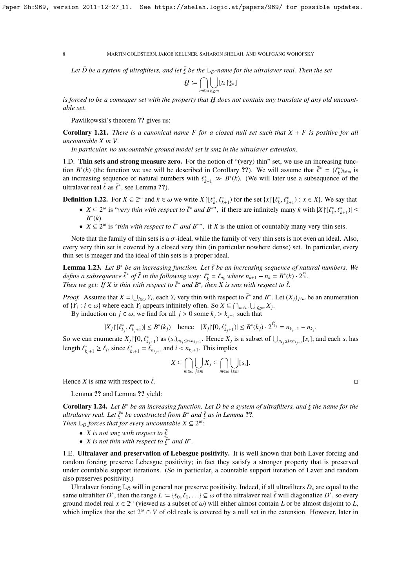Let  $\bar{D}$  be a system of ultrafilters, and let  $\bar{\xi}$  be the  $\mathbb{L}_{\bar{D}}$ -name for the ultralaver real. Then the set

$$
\underline{H} := \bigcap_{m \in \omega} \bigcup_{k \geq m} [t_k] \underline{\ell}_k]
$$

is forced to be a comeager set with the property that H does not contain any translate of any old uncount-<br>able set *able set.*

Pawlikowski's theorem ?? gives us:

Corollary 1.21. *There is a canonical name F for a closed null set such that X* + *F is positive for all uncountable X in V.*

*In particular, no uncountable ground model set is smz in the ultralaver extension.*

1.D. Thin sets and strong measure zero. For the notion of "(very) thin" set, we use an increasing function  $B^*(k)$  (the function we use will be described in Corollary ??). We will assume that  $\bar{\ell}^* = (\ell_k^*)_{k \in \omega}$  is<br>an increasing sequence of natural numbers with  $\ell^* \implies B^*(k)$ . (We will later use a subsequence of the an increasing sequence of natural numbers with  $\ell_{k+1}^* \gg B^*(k)$ . (We will later use a subsequence of the ultral wer real  $\bar{\ell}$  as  $\bar{\ell}^*$  see I amma 22) ultralaver real  $\bar{\ell}$  as  $\bar{\ell}^*$ , see Lemma ??).

**Definition 1.22.** For *X* ⊆ 2<sup>ω</sup> and *k* ∈ ω we write *X* | [ $\ell_k^*, \ell_{k+1}^*$ ) for the set {*x* | [ $\ell_k^*, \ell_{k+1}^*$ ) : *x* ∈ *X*}. We say that

- $X \subseteq 2^{\omega}$  is "*very thin with respect to*  $\bar{\ell}^*$  *and B*<sup>∗</sup>", if there are infinitely many *k* with  $|X|[\ell_k^*, \ell_{k+1}^*]| \leq R^*(k)$ *B* ∗ (*k*).
- $X \subseteq 2^{\omega}$  is *"thin with respect to*  $\bar{\ell}^*$  *and*  $B^{*}$ ", if *X* is the union of countably many very thin sets.

Note that the family of thin sets is a  $\sigma$ -ideal, while the family of very thin sets is not even an ideal. Also, every very thin set is covered by a closed very thin (in particular nowhere dense) set. In particular, every thin set is meager and the ideal of thin sets is a proper ideal.

**Lemma 1.23.** Let  $B^*$  be an increasing function. Let  $\bar{\ell}$  be an increasing sequence of natural numbers. We *define a subsequence*  $\bar{\ell}^*$  *of*  $\bar{\ell}$  *in the following way:*  $\ell_k^* = \ell_{n_k}$  *where*  $n_{k+1} - n_k = B^*(k) \cdot 2^{\ell_k^*}$ .<br>Then we get: If Y is thin with respect to  $\bar{\ell}^*$  and  $B^*$  then Y is sma with respect to  $\bar{\ell}$ *Then we get:* If X is thin with respect to  $\bar{\ell}^*$  and  $B^*$ , then X is smz with respect to  $\bar{\ell}$ .

*Proof.* Assume that  $X = \bigcup_{i \in \omega} Y_i$ , each  $Y_i$  very thin with respect to  $\overline{\ell}^*$  and  $B^*$ . Let  $(X_j)_{j \in \omega}$  be an enumeration of  $Y \cdot i \in \omega$  where each  $Y_i$  annears infinitely often. So  $X \subseteq \bigcap_{i=1}^{\infty} |X_i|$ of  $\{Y_i : i \in \omega\}$  where each  $Y_i$  appears infinitely often. So  $X \subseteq \bigcap_{m \in \omega} \bigcup_{j \ge m} X_j$ .<br>By induction on  $i \in \omega$ , we find for all  $i > 0$  some  $k > k$ . such that

By induction on *j* ∈ ω, we find for all *j* > 0 some  $k_j$  >  $k_{j-1}$  such that

$$
|X_j| \{ \ell_{k_j}^*, \ell_{k_j+1}^* \} | \le B^*(k_j) \quad \text{hence} \quad |X_j| \, | \{ 0, \ell_{k_j+1}^* \} | \le B^*(k_j) \cdot 2^{\ell_{k_j}^*} = n_{k_j+1} - n_{k_j}.
$$

So we can enumerate  $X_j \restriction [0, \ell_{k_j+1}^*)$  as  $(s_i)_{n_{k_j} \le i \le n_{k_j+1}}$ . Hence  $X_j$  is a subset of  $\bigcup_{n_{k_j} \le i \le n_{k_j+1}} [s_i]$ ; and each  $s_i$  has length  $\ell_{k_j+1}^* \geq \ell_i$ , since  $\ell_{k_j+1}^* = \ell_{n_{k_j+1}}$  and  $i < n_{k_j+1}$ . This implies

$$
X \subseteq \bigcap_{m \in \omega} \bigcup_{j \geq m} X_j \subseteq \bigcap_{m \in \omega} \bigcup_{i \geq m} [s_i].
$$

Hence *X* is smz with respect to  $\bar{\ell}$ .

Lemma ?? and Lemma ?? yield:

**Corollary 1.24.** Let  $B^*$  be an increasing function. Let  $\overline{D}$  be a system of ultrafilters, and  $\overline{\xi}$  the name for the ultral over real. Let  $\overline{F}^*$  be constructed from  $B^*$  and  $\overline{\xi}$  as in Lemma 22. *ultralaver real. Let*  $\bar{\ell}^*$  *be constructed from B<sup>∗</sup> and*  $\bar{\ell}$  *as in Lemma* ??*. Then I a forces that for every uncountable*  $X \subseteq 2^\omega$ *. Then*  $\mathbb{L}_{\bar{D}}$  *forces that for every uncountable X*  $\subseteq 2^{\omega}$ *:* 

- 
- *X* is not thin with respect to  $\bar{\ell}$ .<br>• *X* is not thin with respect to  $\bar{\ell}^*$  and  $B^*$ .

1.E. Ultralaver and preservation of Lebesgue positivity. It is well known that both Laver forcing and random forcing preserve Lebesgue positivity; in fact they satisfy a stronger property that is preserved under countable support iterations. (So in particular, a countable support iteration of Laver and random also preserves positivity.)

Ultralaver forcing  $\mathbb{L}_D$  will in general not preserve positivity. Indeed, if all ultrafilters  $D_s$  are equal to the same ultrafilter *D*<sup>\*</sup>, then the range  $L := \{ \ell_0, \overline{\ell}_1, \ldots \} \subseteq \omega$  of the ultralaver real  $\overline{\ell}$  will diagonalize  $D^*$ , so every ground model real  $x \in 2^\omega$  (viewed as a subset of  $\omega$ ) will either almost contain *L* ground model real  $x \in 2^{\omega}$  (viewed as a subset of  $\omega$ ) will either almost contain *L* or be almost disjoint to *L*, which implies that the set  $2^{\omega} \cap V$  of old reals is covered by a pull set in the extension. However which implies that the set  $2^{\omega} \cap V$  of old reals is covered by a null set in the extension. However, later in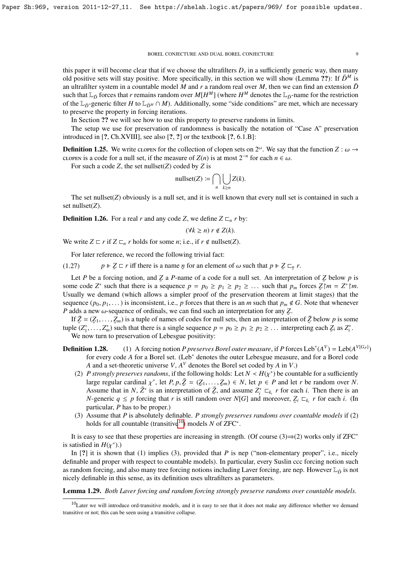this paper it will become clear that if we choose the ultrafilters  $D_s$  in a sufficiently generic way, then many old positive sets will stay positive. More specifically, in this section we will show (Lemma ??): If  $\bar{D}^M$  is an ultrafilter system in a countable model *M* and *r* a random real over *M*, then we can find an extension  $\bar{D}$ such that  $L_{\bar{D}}$  forces that *r* remains random over  $M[H^M]$  (where  $H^M$  denotes the  $L_{\bar{D}}$ -name for the restriction of the  $L_D$ -generic filter *H* to  $L_{DM} \cap M$ ). Additionally, some "side conditions" are met, which are necessary to preserve the property in forcing iterations.

In Section ?? we will see how to use this property to preserve randoms in limits.

The setup we use for preservation of randomness is basically the notation of "Case A" preservation introduced in [?, Ch.XVIII], see also [?, ?] or the textbook [?, 6.1.B]:

**Definition 1.25.** We write clopen for the collection of clopen sets on  $2^{\omega}$ . We say that the function  $Z : \omega \to C1$  open is a code for a pull set if the measure of  $Z(n)$  is at most  $2^{-n}$  for each  $n \in \omega$ . cLOPEN is a code for a null set, if the measure of *Z*(*n*) is at most  $2^{-n}$  for each *n* ∈ ω.<br>For such a code *Z* the set nullset(*Z*) coded by *Z* is

For such a code *Z*, the set nullset(*Z*) coded by *Z* is

$$
\text{nullset}(Z) := \bigcap_{n} \bigcup_{k \ge n} Z(k).
$$

The set nullset( $Z$ ) obviously is a null set, and it is well known that every null set is contained in such a set nullset(*Z*).

**Definition 1.26.** For a real *r* and any code *Z*, we define  $Z \nsubseteq_n r$  by:

$$
(\forall k \ge n) \ r \notin Z(k).
$$

We write  $Z \sqsubset r$  if  $Z \sqsubset_n r$  holds for some *n*; i.e., if  $r \notin \text{nullset}(Z)$ .

For later reference, we record the following trivial fact:

 $(1.27)$  $Z \subset r$  iff there is a name *n* for an element of  $\omega$  such that  $p \Vdash Z \subset_p r$ . ˜

Let *P* be a forcing notion, and *Z* a *P*-name of a code for a null set. An interpretation of *Z* below *p* is some code  $Z^*$  such that there is a sequence  $p = p_0 \ge p_1 \ge p_2 \ge \dots$  such that  $p_m$  forces  $\overline{Z} \upharpoonright m = Z^* \upharpoonright m$ .<br>Henally we demand (which allows a simpler proof of the preservation theorem at limit stages) that the Usually we demand (which allows a simpler proof of the preservation theorem at limit stages) that the sequence  $(p_0, p_1, \ldots)$  is inconsistent, i.e., *p* forces that there is an *m* such that  $p_m \notin G$ . Note that whenever *P* adds a new  $\omega$ -sequence of ordinals, we can find such an interpretation for any *Z*.<br>If  $\bar{z} - (z, z)$  is a tuple of names of codes for pull sets, then an interpretation

If  $\bar{Z} = (\bar{Z}_1, \ldots, \bar{Z}_m)$  is a tuple of names of codes for null sets, then an interpretation of  $\bar{Z}$  below *p* is some<br>de  $(Z^*$   $Z^*)$  such that there is a single sequence  $n - p_0 \ge n_1 \ge n_2 \ge ...$  interpreting each  $Z$  tuple  $(Z_1^*, \ldots, Z_m^*)$  such that there is a single sequence  $p = p_0 \ge p_1 \ge p_2 \ge \ldots$  interpreting each  $Z_i$  as  $Z_i^*$ .<br>We now turn to preservation of Lebesgue positivity: We now turn to preservation of Lebesgue positivity:

- **Definition 1.28.** (1) A forcing notion *P preserves Borel outer measure*, if *P* forces Leb<sup>\*</sup>( $A^V$ ) = Leb( $A^{V[G_P]}$ ) for every code A for a Borel set. (Leb<sup>\*</sup> denotes the outer Lebesgue measure, and for a Borel code *A* and a set-theoretic universe *V*, *A <sup>V</sup>* denotes the Borel set coded by *A* in *V*.)
	- (2) *P strongly preserves randoms*, if the following holds: Let  $N < H(\chi^*)$  be countable for a sufficiently large require cardinal  $\chi^*$  let *P*  $n \bar{Z} (Z_1 Z_1) \in N$  let  $n \in P$  and let *r* be random over *N* large regular cardinal  $\chi^*$ , let *P*,  $p, \bar{Z} = (Z_1, \ldots, Z_m) \in N$ , let  $p \in P$  and let *r* be random over *N*.<br>Assume that in *N*  $\bar{Z}^*$  is an interpretation of  $\bar{Z}$  and assume  $Z^* \sqsubset r$  for each *i*. Then there is a Assume that in *N*,  $\overline{Z}^*$  is an interpretation of  $\overline{Z}$ , and assume  $Z_i^* \subset k_i$ , *r* for each *i*. Then there is an *N*-generic  $q \leq p$  forcing that *r* is still random over *N*[*G*] and moreover,  $Z_i \sqsubset_{k_i} r$  for each *i*. (In particular, *P* has to be proper) particular, *P* has to be proper.)
	- (3) Assume that *P* is absolutely definable. *P strongly preserves randoms over countable models* if (2) holds for all countable (transitive<sup>[10](#page-8-0)</sup>) models *N* of ZFC<sup>\*</sup>.

It is easy to see that these properties are increasing in strength. (Of course  $(3) \Rightarrow (2)$  works only if ZFC<sup>∗</sup> is satisfied in  $H(\chi^* )$ .)<br>In [2] it is shown

In [?] it is shown that (1) implies (3), provided that *P* is nep ("non-elementary proper", i.e., nicely definable and proper with respect to countable models). In particular, every Suslin ccc forcing notion such as random forcing, and also many tree forcing notions including Laver forcing, are nep. However  $\mathbb{L}_{\bar{D}}$  is not nicely definable in this sense, as its definition uses ultrafilters as parameters.

Lemma 1.29. *Both Laver forcing and random forcing strongly preserve randoms over countable models.*

<span id="page-8-0"></span> $10$ Later we will introduce ord-transitive models, and it is easy to see that it does not make any difference whether we demand transitive or not; this can be seen using a transitive collapse.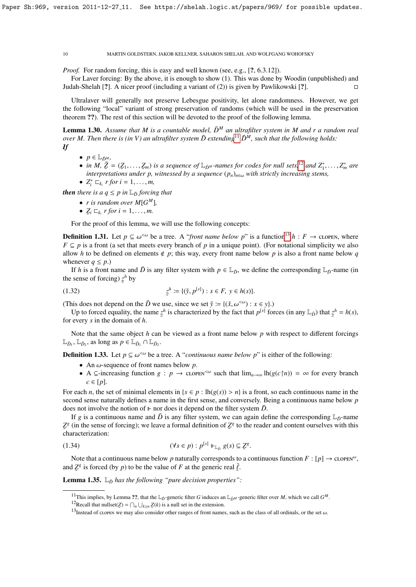*Proof.* For random forcing, this is easy and well known (see, e.g., [?, 6.3.12]).

For Laver forcing: By the above, it is enough to show (1). This was done by Woodin (unpublished) and Judah-Shelah [?]. A nicer proof (including a variant of (2)) is given by Pawlikowski [?].

Ultralaver will generally not preserve Lebesgue positivity, let alone randomness. However, we get the following "local" variant of strong preservation of randoms (which will be used in the preservation theorem ??). The rest of this section will be devoted to the proof of the following lemma.

**Lemma 1.30.** Assume that M is a countable model,  $\bar{D}^M$  an ultrafilter system in M and r a random real *over M. Then there is (in V) an ultrafilter system*  $\bar{D}$  *extending<sup>[11](#page-9-0)</sup>*  $\bar{D}^M$ *, such that the following holds: If*

- 
- $\bullet$   $p \in \mathbb{L}_{\bar{D}^M}$ ,
- *in M,*  $\bar{Z} = (Z_1, \ldots, Z_m)$  *is a sequence of*  $\mathbb{L}_{\bar{D}^M}$ -names for codes for null sets,<sup>[12](#page-9-1)</sup> and  $Z_1^*, \ldots, Z_m^*$  are interpretations under n witnessed by a sequence  $(n)$ , with strictly increasing stems interpretations under p, witnessed by a sequence  $(p_n)_{n\in\omega}$  with strictly increasing stems,<br> $7^* \equiv n \pmod{1}$

• 
$$
Z_i^* \sqsubset_{k_i} r
$$
 for  $i = 1, ..., m$ ,

*then there is a*  $q \leq p$  *in*  $\mathbb{L}_{\bar{D}}$  *forcing that* 

- *r* is random over  $M[G^M]$ ,
- $Z_i \sqsubset_{k_i} r$  for  $i = 1, \ldots, m$ .

For the proof of this lemma, we will use the following concepts:

**Definition 1.31.** Let *p* ⊆  $\omega^{\text{&} \omega}$  be a tree. A "*front name below p*" is a function<sup>[13](#page-9-2)</sup> *h* : *F* → clopen, where *F* ⊆ *n* is a front (a set that meets every branch of *n* in a unique point). (For notational si  $F \subseteq p$  is a front (a set that meets every branch of *p* in a unique point). (For notational simplicity we also allow *h* to be defined on elements  $\notin p$ ; this way, every front name below *p* is also a front name below *q* whenever  $q \leq p$ .)

If *h* is a front name and  $\bar{D}$  is any filter system with  $p \in \mathbb{L}_{\bar{D}}$ , we define the corresponding  $\mathbb{L}_{\bar{D}}$ -name (in the sense of forcing)  $z^h$  by ˜

(1.32) 
$$
z^{h} := \{(\check{y}, p^{[s]}): s \in F, y \in h(s)\}.
$$

(This does not depend on the  $\bar{D}$  we use, since we set  $\check{y} := \{(\check{x}, \omega^{\lt \omega}) : x \in y\}$ .)

Up to forced equality, the name  $\ddot{\phantom{0}}$  $z^h$  is characterized by the fact that  $p^{[s]}$  forces (in any  $\mathbb{L}_{\bar{D}}$ ) that  $\zeta$  $z^h = h(s)$ , for every *s* in the domain of *h*.

Note that the same object *h* can be viewed as a front name below *p* with respect to different forcings  $\mathbb{L}_{\bar{D}_1}$ ,  $\mathbb{L}_{\bar{D}_2}$ , as long as  $p \in \mathbb{L}_{\bar{D}_1} \cap \mathbb{L}_{\bar{D}_2}$ .

**Definition 1.33.** Let  $p \subseteq \omega^{\leq \omega}$  be a tree. A "*continuous name below p*" is either of the following:

- An  $\omega$ -sequence of front names below  $p$ .
- A ⊆-increasing function *g* : *p*  $\rightarrow$  clopen<sup><ω</sup> such that  $\lim_{n\to\infty}$  lh( $g(c \nmid n)$ ) = ∞ for every branch  $c \in [p]$ .

For each *n*, the set of minimal elements in  $\{s \in p : \text{lh}(g(s)) > n\}$  is a front, so each continuous name in the second sense naturally defines a name in the first sense, and conversely. Being a continuous name below *p* does not involve the notion of  $\mathbb F$  nor does it depend on the filter system  $\bar{D}$ .

If *g* is a continuous name and  $\bar{D}$  is any filter system, we can again define the corresponding  $\mathbb{L}_D$ -name  $\frac{1}{x}$  characterization:  $Z^g$  (in the sense of forcing); we leave a formal definition of  $Z^g$  to the reader and content ourselves with this

(1.34) 
$$
(\forall s \in p) : p^{[s]} \Vdash_{\mathbb{L}_{\tilde{D}}} g(s) \subseteq \mathcal{Z}^g.
$$

Note that a continuous name below p naturally corresponds to a continuous function  $F : [p] \to \text{clopes}^{\omega}$ , and  $Z^g$  is forced (by *p*) to be the value of *F* at the generic real  $\bar{\ell}$ .

**Lemma 1.35.**  $\mathbb{L}_{\bar{D}}$  *has the following "pure decision properties"*:

<span id="page-9-0"></span><sup>&</sup>lt;sup>11</sup>This implies, by Lemma ??, that the  $\mathbb{L}_{\bar{D}}$ -generic filter *G* induces an  $\mathbb{L}_{\bar{D}^M}$ -generic filter over *M*, which we call  $G^M$ .

<span id="page-9-1"></span><sup>&</sup>lt;sup>12</sup>Recall that nullset( $Z = \bigcap_n \bigcup_{k \ge n} Z(k)$  is a null set in the extension.

<span id="page-9-2"></span><sup>&</sup>lt;sup>13</sup>Instead of clopen we may also consider other ranges of front names, such as the class of all ordinals, or the set  $\omega$ .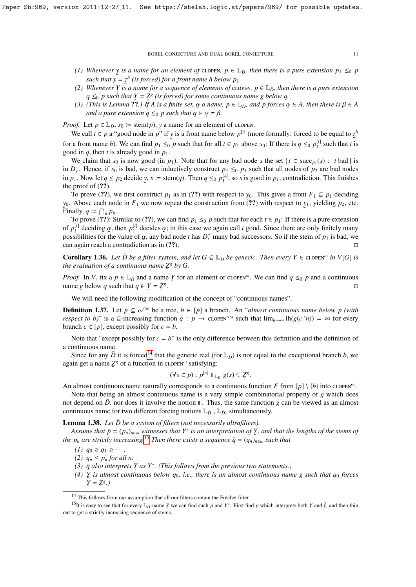- *(1) Whenever*  $y$  *is a name for an element of* clopen,  $p \in L_{\bar{D}}$ , then there is a pure extension  $p_1 \leq_0 p$ such that  $\bar{y} = z^h$  (is forced) for a front name h below  $p_1$ .
- (2) Whenever  $\tilde{y}$  is a name for a sequence of elements of clopen,  $p \in \mathbb{L}_D$ , then there is a pure extension *q*  $\leq_0$  *p* such that  $\zeta = \zeta^g$  (is forced) for some continuous name g below q.
- (3) (This is Lemma ??.) If A is a finite set,  $\alpha$  a name,  $p \in \mathbb{L}_{\bar{D}}$ , and p forces  $\alpha \in A$ , then there is  $\beta \in A$ <br>and a pure extension  $a \leq_{\alpha} p$  such that  $a \models \alpha = B$ and a pure extension  $q \leq_0 p$  such that  $q \Vdash \alpha = \beta$ .

*Proof.* Let  $p \in L_{\bar{D}}$ ,  $s_0 := \text{stem}(p)$ , y a name for an element of clopen.

We call  $t \in p$  a "good node in  $p^{r}$ " if y is a front name below  $p^{[t]}$  (more formally: forced to be equal to  $z^{h}$ for a front name *h*). We can find  $p_1 \leq_0 p$  such that for all  $t \in p_1$  above  $s_0$ : If there is  $q \leq_0 p_1^{\lfloor t \rfloor}$  such that *t* is good in  $q$ , then  $t$  is already good in  $p_1$ .

We claim that  $s_0$  is now good (in  $p_1$ ). Note that for any bad node *s* the set { $t \in \text{succ}_{p_1}(s) : t$  bad} is in  $D_s^+$ . Hence, if  $s_0$  is bad, we can inductively construct  $p_2 \leq_0 p_1$  such that all nodes of  $p_2$  are bad nodes in  $p_1$ . Now let  $q \leq p_2$  decide ˜ *y*, *s*  $:=$  stem(*q*). Then  $q \leq_0 p_1^{[s]}$ , so *s* is good in  $p_1$ , contradiction. This finishes the proof of  $(??)$ .

To prove (??), we first construct  $p_1$  as in (??) with respect to  $y_0$ . This gives a front  $F_1 \subseteq p_1$  deciding  $y_0$ . Above each node in  $F_1$  we now repeat the construction from  $\tilde{r}(??)$  with respect to  $y_1$ , yielding  $p_2$ , etc. Finally,  $q \coloneqq \bigcap_n p_n$ . ˜

To prove (??): Similar to (??), we can find  $p_1 \leq_0 p$  such that for each  $t \in p_1$ : If there is a pure extension of  $p_1^{[t]}$  deciding  $\alpha$ , then  $p_1^{[t]}$  decides  $\alpha$ ; in this case we again call *t* good. Since there are only finitely many<br>possibilities for the value of  $\alpha$ , any bad node *t* has  $D^+$  many bad successors. So if t possibilities for the value of  $\alpha$ , any bad node *t* has  $D_t^+$  many bad successors. So if the stem of  $p_1$  is bad, we can again reach a contradiction as in (22) can again reach a contradiction as in  $(?)$ .

**Corollary 1.36.** Let  $\bar{D}$  be a filter system, and let  $G \subseteq \mathbb{L}_{\bar{D}}$  be generic. Then every  $Y \in \text{clopes}^{\omega}$  in  $V[G]$  is *the evaluation of a continuous name*  $Z^g$  *by G.* 

*Proof.* In *V*, fix a  $p \in \mathbb{L}_{\bar{D}}$  and a name  $\bar{Y}$  for an element of clopen<sup>ω</sup>. We can find  $q \leq_0 p$  and a continuous name *a* below *a* such that  $q \models Y - Z_s^g$ name *g* below *q* such that  $q \Vdash \underline{Y} = \underline{Z}^g$ . In the second contract of the second contract of the second contract of the second contract of the second co<br>The second contract of the second contract of the second contract of the second contract of the second contract

We will need the following modification of the concept of "continuous names".

**Definition 1.37.** Let *p* ⊆ ω<sup>*<ω*</sup> be a tree, *b* ∈ [*p*] a branch. An "*almost continuous name below p (with respect to b)" is a ⊂-increasing function*  $a : n \to c_1$  *opens<sup>∞</sup> such that*  $\lim_{b \to c_1} \ln(a(c \ln b) - \infty$  *for every respect to b)*" is a ⊆-increasing function *g* : *p* → clopen<sup><ω</sup> such that  $\lim_{n\to\infty} \ln(g(c \upharpoonright n)) = \infty$  for every branch  $c \in [p]$ , except possibly for  $c = b$ .

Note that "except possibly for  $c = b$ " is the only difference between this definition and the definition of a continuous name.

Since for any  $\bar{D}$  it is forced<sup>[14](#page-10-0)</sup> that the generic real (for  $L_{\bar{D}}$ ) is not equal to the exceptional branch *b*, we again get a name  $Z^g$  of a function in clopen<sup> $\omega$ </sup> satisfying:

$$
(\forall s \in p) : p^{[s]} \Vdash_{\mathbb{L}_{\bar{D}}} g(s) \subseteq \mathcal{Z}^g.
$$

An almost continuous name naturally corresponds to a continuous function *F* from [*p*] \ {*b*} into clopen<sup>ω</sup>.

Note that being an almost continuous name is a very simple combinatorial property of *g* which does not depend on  $\bar{D}$ , nor does it involve the notion  $\Vdash$ . Thus, the same function *g* can be viewed as an almost continuous name for two different forcing notions  $\mathbb{L}_{\bar{D}_1}$ ,  $\mathbb{L}_{\bar{D}_2}$  simultaneously.

Lemma 1.38. Let  $\bar{D}$  be a system of filters (not necessarily ultrafilters).

*Assume that*  $\bar{p} = (p_n)_{n \in \omega}$  *witnesses that*  $Y^*$  *is an interpretation of*  $\bar{Y}$ *, and that the lengths of the stems of the p<sub>n</sub>* are strictly increasing.<sup>[15](#page-10-1)</sup> *Then there exists a sequence*  $\bar{q} = (q_n)_{n \in \omega}$  such that

*(1)*  $q_0 ≥ q_1 ≥ \cdots$ .

*(2)*  $q_n \leq p_n$  *for all n.* 

- $(3)$   $\bar{q}$  also interprets  $\bar{Y}$  as  $Y^*$ . (This follows from the previous two statements.)
- (4)  $\frac{y}{2}$  is almost continuous below  $q_0$ , i.e., there is an almost continuous name g such that  $q_0$  *forces* ˜  $\underline{Y} = \underline{Z}^g.$

<span id="page-10-1"></span><span id="page-10-0"></span> $14$  This follows from our assumption that all our filters contain the Fréchet filter.

<sup>&</sup>lt;sup>15</sup>It is easy to see that for every  $\mathbb{L}_{\tilde{D}}$ -name *Y* we can find such  $\tilde{p}$  and *Y*<sup>\*</sup>: First find  $\tilde{p}$  which interprets both *Y* and  $\tilde{\ell}$ , and then thin out to get a strictly increasing sequence of stems.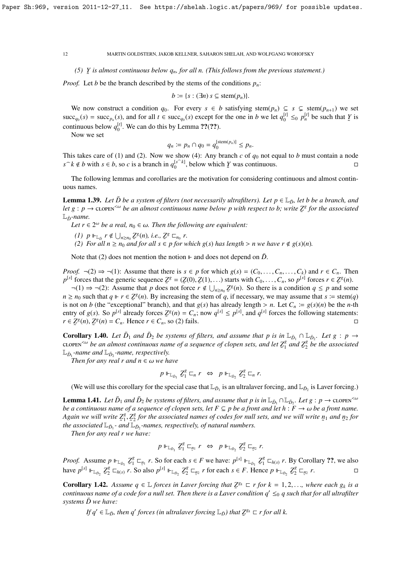# *(5)* ˜ *Y is almost continuous below qn, for all n. (This follows from the previous statement.)*

*Proof.* Let *b* be the branch described by the stems of the conditions  $p_n$ :

$$
b \coloneqq \{s : (\exists n) \ s \subseteq \mathrm{stem}(p_n)\}.
$$

We now construct a condition  $q_0$ . For every  $s \in b$  satisfying stem $(p_n) \subseteq s \subsetneq \text{stem}(p_{n+1})$  we set  $\text{succ}_{q_0}(s) = \text{succ}_{p_n}(s)$ , and for all  $t \in \text{succ}_{q_0}(s)$  except for the one in b we let  $q_0^{[t]} \leq_0 p_n^{[t]}$  be such that Y is continuous below  $q_0^{[t]}$ . We can do this by Lemma ??(??).

Now we set

$$
q_n := p_n \cap q_0 = q_0^{[\operatorname{stem}(p_n)]} \le p_n.
$$

This takes care of (1) and (2). Now we show (4): Any branch  $c$  of  $q_0$  not equal to  $b$  must contain a node *s*  $\cap$  *k* ∉ *b* with *s* ∈ *b*, so *c* is a branch in  $q_0^{\lfloor s \cap k \rfloor}$ , below which *Y* was continuous.  $\Box$ 

The following lemmas and corollaries are the motivation for considering continuous and almost continuous names.

**Lemma 1.39.** *Let*  $\bar{D}$  *be a system of filters (not necessarily ultrafilters). Let*  $p \in \mathbb{L}_{\bar{D}}$ *, let b be a branch, and let*  $g : p \to \text{clopeN}^{< \omega}$  *be an almost continuous name below p with respect to b; write*  $\mathbb{Z}^g$  *for the associated*  $\mathbb{I}$   $\mathbb{Z}$  *for the associated*  $\mathbb{L}_{\bar{D}}$ -name.

Let  $r \in 2^{\omega}$  be a real,  $n_0 \in \omega$ . Then the following are equivalent:

- *(1)*  $p \Vdash_{\mathbb{L}_D} r \notin \bigcup_{n \ge n_0} \mathbb{Z}^g(n)$ , *i.e.*,  $\mathbb{Z}^g \sqsubset_{n_0} r$ .
- (2) *For all*  $n \ge n_0$  *and for all*  $s \in p$  *for which*  $g(s)$  *has length* > *n we have*  $r \notin g(s)(n)$ *.*

Note that (2) does not mention the notion  $\mathbb F$  and does not depend on  $\bar{D}$ .

*Proof.*  $\neg$ (2)  $\Rightarrow$   $\neg$ (1): Assume that there is  $s \in p$  for which  $g(s) = (C_0, \ldots, C_n, \ldots, C_k)$  and  $r \in C_n$ . Then  $p^{[s]}$  forces that the generic sequence  $Z^g = (Z(0), Z(1), ...)$  starts with  $C_0, ..., C_n$ , so  $p^{[s]}$  forces  $r \in Z^g(n)$ .<br>  $\neg(1) \rightarrow \neg(2)$ : Assume that *n* does not force  $r \notin \Box$   $Z^g(n)$ . So there is a condition  $g \le n$  and son

 $\neg(1)$  ⇒  $\neg(2)$ : Assume that *p* does not force *r* ∉  $\bigcup_{n \geq n_0} Z^g(n)$ . So there is a condition *q* ≤ *p* and some  $n \ge n_0$  such that  $q \Vdash r \in \mathbb{Z}^g(n)$ . By increasing the stem of *q*, if necessary, we may assume that  $s := \text{stem}(q)$ is not on *b* (the "exceptional" branch), and that  $g(s)$  has already length > *n*. Let  $C_n := g(s)(n)$  be the *n*-th entry of  $g(s)$ . So  $p^{[s]}$  already forces  $Zg(n) - C$  : now  $g^{[s]} \leq p^{[s]}$  and  $g^{[s]}$  forces the following sta entry of  $g(s)$ . So  $p^{[s]}$  already forces  $Z^{g}(n) = C_n$ ; now  $q^{[s]} \le p^{[s]}$ , and  $q^{[s]}$  forces the following statements:  $r \in \mathbb{Z}^g(n), \mathbb{Z}^g(n) = C_n$ . Hence  $r \in C_n$ , so (2) fails.

**Corollary 1.40.** Let  $\bar{D}_1$  and  $\bar{D}_2$  be systems of filters, and assume that p is in  $\mathbb{L}_{\bar{D}_1} \cap \mathbb{L}_{\bar{D}_2}$ . Let  $g : p \to p$ clopen<sup> $<\omega$ </sup> be an almost continuous name of a sequence of clopen sets, and let  $\mathcal{Z}_1^g$ <br> $\mathbb{I}$  = -name and  $\mathbb{I}$  = -name, respectively  $Z_1^g$  and  $Z_2^g$ 2 *be the associated*  $\mathbb{L}_{\bar{D}_1}$ -name and  $\mathbb{L}_{\bar{D}_2}$ -name, respectively.

*Then for any real r and*  $n \in \omega$  *we have* 

$$
p \Vdash_{\mathbb{L}_{\bar{D}_1}} \mathbb{Z}_1^g \sqsubset_n r \iff p \Vdash_{\mathbb{L}_{\bar{D}_2}} \mathbb{Z}_2^g \sqsubset_n r.
$$

(We will use this corollary for the special case that  $\mathbb{L}_{\bar{D}_1}$  is an ultralaver forcing, and  $\mathbb{L}_{\bar{D}_2}$  is Laver forcing.)

**Lemma 1.41.** Let  $\bar{D}_1$  and  $\bar{D}_2$  be systems of filters, and assume that p is in  $\mathbb{L}_{\bar{D}_1} \cap \mathbb{L}_{\bar{D}_2}$ . Let  $g: p \to \text{clopes}^{\leq \omega}$ *be a continuous name of a sequence of clopen sets, let*  $F \subseteq p$  *be a front and let*  $h : F \to \omega$  *be a front name. Again we will write Z g*  $\lim_{\lambda \to \infty}$   $\lim_{n \to \infty}$   $\lim_{\lambda \to \infty}$   $\lim_{\lambda \to \infty}$   $\lim_{n \to \infty}$   $\lim_{n \to \infty}$   $\lim_{n \to \infty}$   $\lim_{n \to \infty}$   $\lim_{n \to \infty}$   $\lim_{n \to \infty}$   $\lim_{n \to \infty}$   $\lim_{n \to \infty}$   $\lim_{n \to \infty}$   $\lim_{n \to \infty}$   $\lim_{n \to \infty}$   $\lim_{n \to \infty}$   $\lim_{n \to \infty$  $\sum_{1}^{g}$ ,  $Z_{2}^{g}$ <sup>2</sup> for the associated names of codes for null sets, and we will write  $p_1$  and  $p_2$  for  $p_3$  *names respectively of natural numbers* 

*Then for any real r we have:*

$$
p \Vdash_{\mathbb{L}_{D_1}} \mathbb{Z}_1^g \sqsubset_{\mathfrak{B}_1} r \iff p \Vdash_{\mathbb{L}_{D_2}} \mathbb{Z}_2^g \sqsubset_{\mathfrak{B}_2} r.
$$

*Proof.* Assume  $p \Vdash_{\mathbb{L}_{\bar{D}_1}} \mathbb{Z}_1^g$  $\zeta_1^g \sqsubset$ *n*<sub>1</sub> *r*. So for each  $s \in F$  we have:  $p^{[s]} \Vdash_{\mathbb{L}_{\bar{D}_1}} \mathbb{Z}_1^g$  $\int_1^g \Box_{h(s)} r$ . By Corollary ??, we also have  $p^{[s]} \Vdash_{\mathbb{L}_{\bar{D}_2}} \mathbb{Z}_2^g$  $Z_2^g \square_{h(s)} r$ . So also  $p^{[s]} \Vdash_{\mathbb{L}_{\bar{D}_2}} \mathcal{Z}_2^g$  $\frac{g}{2} \sqsubset$ *n*<sub>2</sub> *r* for each *s*  $\in$  *F*. Hence *p*  $\Vdash_{\mathbb{L}_{\bar{D}_2}} \mathbb{Z}_2^g$  $\frac{g}{2} \sqsubset$  $n_2$   $r$ .

**Corollary 1.42.** Assume  $q \in \mathbb{L}$  forces in Laver forcing that  $\mathbb{Z}^{g_k} \subset r$  for  $k = 1, 2, \ldots$ , where each  $g_k$  is a<br>continuous name of a code for a null set. Then there is a Laver condition  $g' \leq g$  such that for al ˜ *continuous name of a code for a null set. Then there is a Laver condition q*<sup>0</sup> ≤<sup>0</sup> *q such that for all ultrafilter systems*  $\bar{D}$  *we have:* 

*If*  $q' \in \mathbb{L}_{\bar{D}}$ , then  $q'$  forces (in ultralaver forcing  $\mathbb{L}_{\bar{D}}$ ) that  $\mathcal{Z}^{g_k} \subset r$  for all k.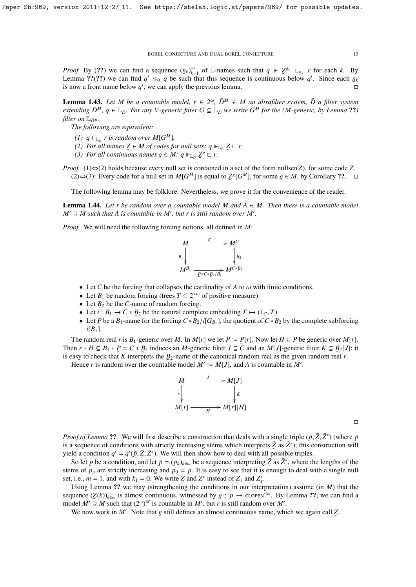*Proof.* By (??) we can find a sequence  $(p_k)_{k=1}^{\infty}$  of L-names such that  $q \vDash \mathbb{Z}^{g_k} \sqsubset_{p_k} r$  for each *k*. By Lemma ??(??) we can find  $q' \leq_0 q$  be such that this sequence is continuous below q'. Since each  $n_k$ <br>is now a front name below q', we can apply the previous lemma is now a front name below  $q'$ , we can apply the previous lemma.

**Lemma 1.43.** Let M be a countable model,  $r \in 2^{\omega}$ ,  $\bar{D}^M \in M$  an ultrafilter system,  $\bar{D}$  a filter system *extending*  $\bar{D}^M$ ,  $q \in L_{\bar{D}}$ *. For any V-generic filter*  $G \subseteq L_{\bar{D}}$ *we write*  $G^M$  *for the* (*M-generic, by Lemma* ??) *filter on*  $\mathbb{L}_{\bar{D}^M}$ *.* 

*The following are equivalent:*

- *(1)*  $q \Vdash_{\mathbb{L}_{\bar{D}}} r$  is random over  $M[G^M]$ .
- (2) For all names  $Z \in M$  of codes for null sets:  $q \Vdash_{\mathbb{L}_D} Z \sqsubset r$ .<br>
(3) For all continuous names  $q \in M$ ;  $q \Vdash_{\mathbb{L}} Z^g \sqsubset r$ .
- *(3) For all continuous names*  $g \in M$ *:*  $q \Vdash_{\mathbb{L}_D} \mathbb{Z}^g \sqsubset r$ *.*
- *Proof.* (1)⇔(2) holds because every null set is contained in a set of the form nullset(*Z*), for some code *Z*. (2)⇔(3): Every code for a null set in  $M[G^M]$  is equal to  $\mathcal{Z}^g[G^M]$ , for some  $g \in M$ , by Corollary ??. □

The following lemma may be folklore. Nevertheless, we prove it for the convenience of the reader.

**Lemma 1.44.** Let r be random over a countable model M and  $A \in M$ . Then there is a countable model  $M' \supseteq M$  such that A is countable in M', but r is still random over M'.

*Proof.* We will need the following forcing notions, all defined in *M*:



- Let C be the forcing that collapses the cardinality of A to  $\omega$  with finite conditions.
- Let  $B_1$  be random forcing (trees  $T \subseteq 2^{< \omega}$  of positive measure).
- Let  $B_2$  be the *C*-name of random forcing.
- Let  $i : B_1 \to C * B_2$  be the natural complete embedding  $T \mapsto (1_C, T)$ .<br>• Let *P* be a *R*<sub>1</sub>-name for the forcing  $C * B_2/i[G_2]$ , the quotient of  $C * B$
- Let *P* be a  $B_1$ -name for the forcing  $C * B_2 / i[G_{B_1}]$ , the quotient of  $C * B_2$  by the complete subforcing  $i[B_1]$  $i[B_1]$ .

The random real *r* is  $B_1$ -generic over *M*. In *M*[*r*] we let  $P \coloneqq P[r]$ . Now let  $H \subseteq P$  be generic over *M*[*r*]. Then  $r * H \subseteq B_1 * P \simeq C * B_2$  induces an *M*-generic filter  $J \subseteq C$  and an *M*[*J*]-generic filter  $K \subseteq B_2[J]$ ; it is easy to check that *K* interprets the  $B_2$ -name of the canonical random real as the given random real *r*.

Hence *r* is random over the countable model  $M' := M[J]$ , and *A* is countable in *M'*.



 $\Box$ 

*Proof of Lemma* ??. We will first describe a construction that deals with a single triple  $(\bar{p}, \bar{Z}, \bar{Z}^*)$  (where  $\bar{p}$  is a sequence of conditions with strictly increasing stems which interprets  $\bar{Z}$  as  $\bar{Z}^*$ is a sequence of conditions with strictly increasing stems which interprets  $\bar{Z}$  as  $\bar{Z}^*$ ); this construction will yield a condition  $q' = q'(\bar{p}, \bar{Z}, \bar{Z}^*)$ . We will then show how to deal with all possible triples.<br>So let *n* be a condition and let  $\bar{p} = (p_1)$ , be a sequence interpreting  $\bar{Z}$  as  $\bar{Z}^*$  where the

So let *p* be a condition, and let  $\bar{p} = (p_k)_{k \in \omega}$  be a sequence interpreting  $\bar{Z}$  as  $\bar{Z}^*$ , where the lengths of the measure of the lengths of the sequence interpreting  $\bar{Z}$  as  $\bar{Z}^*$ , where the lengths stems of  $p_n$  are strictly increasing and  $p_0 = p$ . It is easy to see that it is enough to deal with a single null set, i.e.,  $m = 1$ , and with  $k_1 = 0$ . We write  $Z$  and  $Z^*$  instead of  $Z_1$  and  $Z_1^*$ .

Using Lemma ?? we may (strengthening the conditions in our interpretation) assume (in *M*) that the sequence  $(Z(k))_{k\in\omega}$  is almost continuous, witnessed by  $g : p \to c\text{LOPEN}^{\leq\omega}$ . By Lemma ??, we can find a model  $M' \supset M$  and that  $(2\omega)M$  is countable in  $M'$ , but *n* is still readom over  $M'$ . model *M*<sup> $\prime$ </sup> ⊇ *M* such that  $(2^{\omega})^M$  is countable in *M*<sup> $\prime$ </sup>, but *r* is still random over *M*<sup> $\prime$ </sup>.

We now work in  $M'$ . Note that *g* still defines an almost continuous name, which we again call  $Z$ .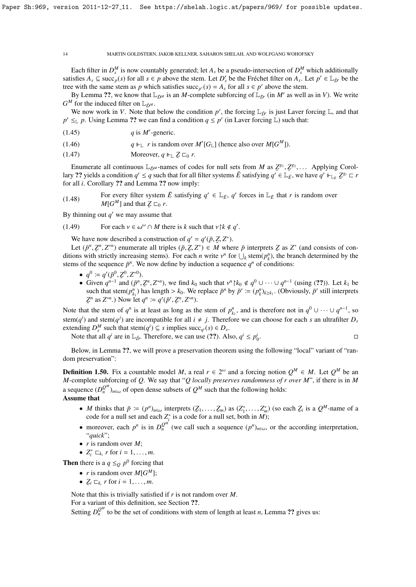Each filter in  $D_s^M$  is now countably generated; let  $A_s$  be a pseudo-intersection of  $D_s^M$  which additionally satisfies  $A_s \subseteq \text{succ}_p(s)$  for all  $s \in p$  above the stem. Let  $D'_s$  be the Fréchet filter on  $A_s$ . Let  $p' \in \mathbb{L}_{\bar{D}'}$  be the tree with the same stem as *p* which satisfies succ<sub>*p*'</sub>(*s*) =  $A_s$  for all  $s \in p'$  above the stem.

By Lemma ??, we know that  $\mathbb{L}_{\bar{D}^M}$  is an *M*-complete subforcing of  $\mathbb{L}_{\bar{D}'}$  (in *M'* as well as in *V*). We write  $G^M$  for the induced filter on  $\mathbb{L}_{\bar{D}^M}$ .

We now work in *V*. Note that below the condition  $p'$ , the forcing  $\mathbb{L}_{\bar{D}'}$  is just Laver forcing  $\mathbb{L}$ , and that  $p' \leq_{\mathbb{L}} p$ . Using Lemma ?? we can find a condition  $q \leq p'$  (in Laver forcing  $\mathbb{L}$ ) such that:

 $q$  is *M*<sup> $\prime$ </sup>-generic.

(1.46)  $q \Vdash_{\mathbb{L}} r$  is random over *M'*[*G*<sub>L</sub>] (hence also over *M*[*G*<sup>*M*</sup>]).

(1.47) **Moreover,**  $q \Vdash_{\mathbb{L}} \mathbb{Z} \sqsubset_0 r$ .

Enumerate all continuous  $\mathbb{L}_{\bar{D}^M}$ -names of codes for null sets from *M* as  $\mathbb{Z}^{g_1}, \mathbb{Z}^{g_2}, \ldots$  Applying Corol-<br>*g* 22 vields a condition  $g' \leq g$  such that for all filter systems  $\bar{F}$  satisfying  $g' \in \math$ lary ?? yields a condition  $q' \leq q$  such that for all filter systems  $\overline{E}$  satisfying  $q' \in \mathbb{L}_{\overline{E}}$ , we have  $q' \Vdash_{\mathbb{L}_{E}} \mathbb{Z}^{g_i} \subset r$  for all *i*. Corollary ?? and I emma ?? now imply: for all *i*. Corollary ?? and Lemma ?? now imply:

(1.48) For every filter system  $\bar{E}$  satisfying  $q' \in \mathbb{L}_{\bar{E}}$ ,  $q'$  forces in  $\mathbb{L}_{\bar{E}}$  that *r* is random over  $M[G^M]$  and that  $Z \sqsubset_0 r$ .

 $\ddot{\phantom{0}}$ By thinning out  $q'$  we may assume that

(1.49) For each 
$$
v \in \omega^{\omega} \cap M
$$
 there is k such that  $v \upharpoonright k \notin q'$ .

We have now described a construction of  $q' = q'(\bar{p}, Z, Z^*)$ .<br>Let  $(\bar{p}^n, Z^n, Z^{*n})$  enumerate all triples  $(\bar{p}, Z, Z^*) \in M$  where

Let  $(\bar{p}^n, \bar{Z}^n, Z^{*n})$  enumerate all triples  $(\bar{p}, \bar{Z}, Z^*) \in M$  where  $\bar{p}$  interprets  $\bar{Z}$  as  $Z^*$  (and consists of con-<br>ions with strictly increasing stems). For each *n* write  $y^n$  for  $\Box$  stem( $n^n$ ), the b ditions with strictly increasing stems). For each *n* write  $v^n$  for  $\bigcup_k$  stem( $p_k^n$ ), the branch determined by the stems of the sequence  $\bar{n}^n$ . We now define by induction a sequence  $a^n$  of conditions. stems of the sequence  $\bar{p}^n$ . We now define by induction a sequence  $q^n$  of conditions:

- $q^0 \coloneqq q'(\bar{p}^0, \bar{z}^0, Z^{*0}).$
- $q^0 := q'(\bar{p}^0, \bar{Z}^0, Z^{*0})$ .<br>
 Given  $q^{n-1}$  and  $(\bar{p}^n, \bar{Z}^n, Z^{*n})$ , we find  $k_0$  such that  $v^n | k_0 \notin q^0 \cup \cdots \cup q^{n-1}$  (using (??)). Let  $k_1$  be<br>
such that stem( $n^n$ ) has length  $\ge k_0$ . We replace  $\bar{p}^n$  such that stem $(p_{k_1}^n)$  has length >  $k_0$ . We replace  $\bar{p}^n$  by  $\bar{p}' := (p_k^n)_{k \ge k_1}$ . (Obviously,  $\bar{p}'$  still interprets  $Z^n$  as  $Z^{*n}$ ) Now let  $a^n := a'(\bar{p}'_k, Z^n, Z^{*n})$  $Z^n$  as  $Z^{*n}$ .) Now let  $q^n := q'(\bar{p}', Z^n, Z^{*n})$ .

Note that the stem of  $q^n$  is at least as long as the stem of  $p_{k_1}^n$ , and is therefore not in  $q^0 \cup \cdots \cup q^{n-1}$ , so stem( $q$ <sup>*i*</sup>) and stem( $q$ <sup>*j*</sup>) are incompatible for all  $i \neq j$ . Therefore we can choose for each *s* an ultrafilter  $D_s$ extending  $D_s^M$  such that stem( $q^i$ )  $\subseteq$  *s* implies succ<sub>q</sub><sup>*i*</sup>(*s*)  $\in$   $D_s$ .

Note that all  $q^i$  are in  $\mathbb{L}_{\bar{D}}$ . Therefore, we can use (??). Also,  $q^i \leq p_0^i$ .

Below, in Lemma ??, we will prove a preservation theorem using the following "local" variant of "random preservation":

**Definition 1.50.** Fix a countable model M, a real  $r \in 2^{\omega}$  and a forcing notion  $Q^M \in M$ . Let  $Q^M$  be an *M*-complete subforcing of *Q*. We say that "*Q locally preserves randomness of r over M*", if there is in *M* a sequence  $(D_n^{Q^M})_{n \in \omega}$  of open dense subsets of  $Q^M$  such that the following holds: Assume that

- *M* thinks that  $\bar{p} := (p^n)_{n \in \omega}$  interprets  $(\bar{z}_1, \ldots, \bar{z}_m)$  as  $(\bar{z}_1^*, \ldots, \bar{z}_m^*)$  (so each  $\bar{z}_i$  is a  $Q^M$ -name of a code for a null set and each  $\bar{z}^*$  is a code for a null set both in *M*). ˜ ˜ code for a null set and each *Z* ∗ *i* is a code for a null set, both in *M*);
- moreover, each  $p^n$  is in  $D_n^{Q^M}$  (we call such a sequence  $(p^n)_{n \in \omega}$ , or the according interpretation, "*quick*";
- *r* is random over *M*;
- $Z_i^* \sqsubset_{k_i} r$  for  $i = 1, ..., m$ .

**Then** there is a  $q \leq_Q p^0$  forcing that

- *r* is random over  $M[G^M];$
- $\mathcal{Z}_i \sqsubset_{k_i} r$  for  $i = 1, \ldots, m$ .

Note that this is trivially satisfied if *r* is not random over *M*.

For a variant of this definition, see Section ??.

Setting  $D_n^{Q^M}$  to be the set of conditions with stem of length at least *n*, Lemma ?? gives us: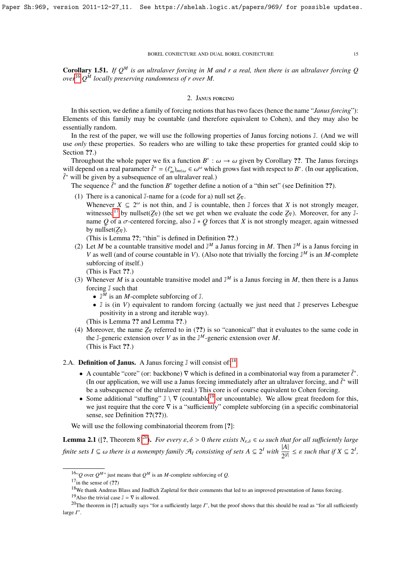Corollary 1.51. *If Q<sup>M</sup> is an ultralaver forcing in M and r a real, then there is an ultralaver forcing Q over*[16](#page-14-0) *Q <sup>M</sup> locally preserving randomness of r over M.*

### 2. Janus forcing

In this section, we define a family of forcing notions that has two faces (hence the name "*Janus forcing*"): Elements of this family may be countable (and therefore equivalent to Cohen), and they may also be essentially random.

In the rest of the paper, we will use the following properties of Janus forcing notions J. (And we will use *only* these properties. So readers who are willing to take these properties for granted could skip to Section ??.)

Throughout the whole paper we fix a function  $B^*$ :  $\omega \to \omega$  given by Corollary ??. The Janus forcings<br>I depend on a real parameter  $\bar{F}^* - (F^*)$   $\in \mathcal{L}^{\omega}$  which grows fast with respect to  $B^*$ . (In our application will depend on a real parameter  $\bar{\ell}^* = (\ell_m^*)_{m \in \omega} \in \omega^\omega$  which grows fast with respect to  $B^*$ . (In our application,  $\bar{\ell}^*$  will be given by a subsequence of an ultralayer real.)  $\bar{\ell}^*$  will be given by a subsequence of an ultralaver real.)<br>The sequence  $\bar{\ell}^*$  and the function  $R^*$  together define

The sequence  $\bar{\ell}^*$  and the function  $B^*$  together define a notion of a "thin set" (see Definition ??).

- (1) There is a canonical J-name for a (code for a) null set  $Z_{\nabla}$ .
	- Whenever  $X \subseteq 2^{\omega}$  is not thin, and J is countable, then J forces that X is not strongly meager, witnessed<sup>[17](#page-14-1)</sup> by nullset( $Z_{\nabla}$ ) (the set we get when we evaluate the code  $Z_{\nabla}$ ). Moreover, for any Jname *Q* of a *σ*-centered forcing, also  $J * Q$  forces that *X* is not strongly<br>by nullset( $Z_{\nabla}$ ). by nullset( $Z_{\nabla}$ ). *Q* forces that *X* is not strongly meager, again witnessed

(This is Lemma ??; "thin" is defined in Definition ??.)

- (2) Let *M* be a countable transitive model and  $\mathbb{J}^M$  a Janus forcing in *M*. Then  $\mathbb{J}^M$  is a Janus forcing in *V* as well (and of course countable in *V*). (Also note that trivially the forcing J<sup>M</sup> is an *M*-complete subforcing of itself.) (This is Fact ??.)
- (3) Whenever *M* is a countable transitive model and  $J^M$  is a Janus forcing in *M*, then there is a Janus forcing J such that
	- $\mathbb{J}^{\bar{M}}$  is an *M*-complete subforcing of  $\mathbb{J}$ .
	- J is (in *V*) equivalent to random forcing (actually we just need that J preserves Lebesgue positivity in a strong and iterable way).

(This is Lemma ?? and Lemma ??.)

(4) Moreover, the name *Z*<sup>∇</sup> referred to in (??) is so "canonical" that it evaluates to the same code in the J-generic extension over *V* as in the  $\mathbb{J}^M$ -generic extension over *M*. (This is Fact ??.)

# 2.A. Definition of Janus. A Janus forcing  $\mathbb J$  will consist of:<sup>[18](#page-14-2)</sup>

- A countable "core" (or: backbone)  $\nabla$  which is defined in a combinatorial way from a parameter  $\bar{\ell}^*$ .<br>(In our application, we will use a Janus forcing immediately after an ultralayer forcing, and  $\bar{\ell}^*$  will (In our application, we will use a Janus forcing immediately after an ultralaver forcing, and  $\bar{\ell}^*$  will be a subsequence of the ultralaver real.) This core is of course equivalent to Cohen forcing be a subsequence of the ultralaver real.) This core is of course equivalent to Cohen forcing.
- Some additional "stuffing"  $\mathbb{J} \setminus \nabla$  (countable<sup>[19](#page-14-3)</sup> or uncountable). We allow great freedom for this, we just require that the core ∇ is a "sufficiently" complete subforcing (in a specific combinatorial sense, see Definition ??(??)).

We will use the following combinatorial theorem from [?]:

**Lemma 2.1** ([?, Theorem 8]<sup>[20](#page-14-4)</sup>). *For every*  $\varepsilon, \delta > 0$  *there exists*  $N_{\varepsilon,\delta} \in \omega$  *such that for all sufficiently large finite sets*  $I \subseteq \omega$  *there is a nonempty family*  $\mathcal{A}_I$  *consisting of sets*  $A \subseteq 2^I$  *with*  $\frac{|A|}{2^{|I|}} \leq \varepsilon$  *such that if*  $X \subseteq 2^I$ *,* 

<span id="page-14-1"></span> $17$ in the sense of  $(22)$ 

<span id="page-14-4"></span><span id="page-14-3"></span><sup>19</sup>Also the trivial case  $\mathbb{J} = \nabla$  is allowed.

<span id="page-14-0"></span><sup>&</sup>lt;sup>16</sup>" $Q$  over  $Q^{M}$ " just means that  $Q^M$  is an *M*-complete subforcing of  $Q$ .

<span id="page-14-2"></span><sup>&</sup>lt;sup>18</sup>We thank Andreas Blass and Jindřich Zapletal for their comments that led to an improved presentation of Janus forcing.

<sup>&</sup>lt;sup>20</sup>The theorem in [?] actually says "for a sufficiently large *I*", but the proof shows that this should be read as "for all sufficiently large *I*".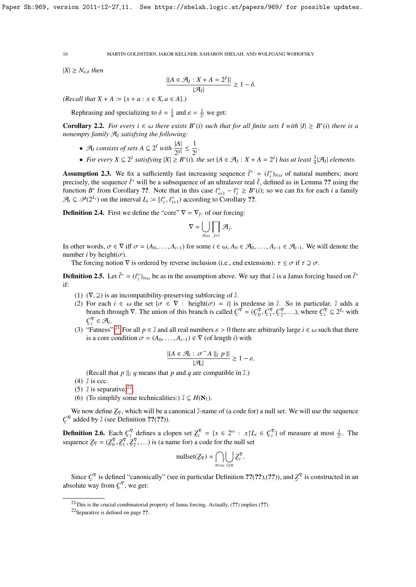$|X| \geq N_{\varepsilon,\delta}$  *then* 

$$
\frac{|\{A \in \mathcal{A}_I : X + A = 2^I\}|}{|\mathcal{A}_I|} \ge 1 - \delta.
$$

 $(Recall that X + A := \{x + a : x \in X, a \in A\})$ 

Rephrasing and specializing to  $\delta = \frac{1}{4}$  and  $\varepsilon = \frac{1}{2^i}$  we get:

**Corollary 2.2.** For every  $i \in \omega$  there exists  $B^*(i)$  such that for all finite sets I with  $|I| \geq B^*(i)$  there is a nonempty family  $\mathcal{A}_i$  satisfying the following: *nonempty family* A*<sup>I</sup> satisfying the following:*

- $\mathcal{A}_I$  *consists of sets*  $A \subseteq 2^I$  *with*  $\frac{|A|}{2^{|I|}} \leq \frac{1}{2^i}$  $\frac{1}{2^i}$ .
- *For every*  $X \subseteq 2^I$  *satisfying*  $|X| \ge B^*(i)$ *, the set*  $\{A \in \mathcal{A}_I : X + A = 2^I\}$  *has at least*  $\frac{3}{4}|\mathcal{A}_I|$  *elements.*

**Assumption 2.3.** We fix a sufficiently fast increasing sequence  $\bar{\ell}^* = (\ell_i^*)_{i\in\omega}$  of natural numbers; more precisely the sequence  $\bar{\ell}^*$  will be a subsequence of an ultralayer real  $\bar{\ell}$  defined as in Lemma 22 precisely, the sequence  $\bar{\ell}^*$  will be a subsequence of an ultralaver real  $\bar{\ell}$ , defined as in Lemma ?? using the function  $R^*$  from Corollary ?? Note that in this case  $\ell^* = \ell^* \geq R^*(i)$ ; so we can fix for each i function *B*<sup>\*</sup> from Corollary ??. Note that in this case  $\ell_{i+1}^* - \ell_i^* \geq B^*(i)$ ; so we can fix for each *i* a family  $\mathcal{A} \subset \mathcal{A}(2^L)$  on the interval  $L_i := [f^* \ell^*]$  according to Corollary 22  $\mathcal{A}_i \subseteq \mathcal{P}(2^{L_i})$  on the interval  $L_i := [\ell_i^*, \ell_{i+1}^* )$  according to Corollary ??.

**Definition 2.4.** First we define the "core"  $\nabla = \nabla_{\tilde{\ell}^*}$  of our forcing:

$$
\nabla = \bigcup_{i \in \omega} \prod_{j < i} \mathcal{A}_j.
$$

In other words,  $\sigma \in \nabla$  iff  $\sigma = (A_0, \ldots, A_{i-1})$  for some  $i \in \omega$ ,  $A_0 \in \mathcal{A}_0, \ldots, A_{i-1} \in \mathcal{A}_{i-1}$ . We will denote the number *i* by height( $\sigma$ ).

The forcing notion  $\nabla$  is ordered by reverse inclusion (i.e., end extension):  $\tau \leq \sigma$  if  $\tau \supseteq \sigma$ .

**Definition 2.5.** Let  $\bar{\ell}^* = (\ell_i^*)_{i \in \omega}$  be as in the assumption above. We say that J is a Janus forcing based on  $\bar{\ell}^*$ if:

- (1)  $(\nabla, \supseteq)$  is an incompatibility-preserving subforcing of J.
- (2) For each  $i \in \omega$  the set  $\{\sigma \in \nabla : \text{height}(\sigma) = i\}$  is predense in J. So in particular, J adds a branch through  $\nabla$ . The union of this branch is called  $C^{\nabla} = (C_0^{\nabla}, C_1^{\nabla}, C_2^{\nabla}, \ldots)$ , where  $C_i^{\nabla} \subseteq 2^{L$  $C_i^{\nabla} \in \mathcal{A}_i$ .
- (3) "Fatness":<sup>[21](#page-15-0)</sup> For all  $p \in \mathbb{J}$  and all real numbers  $\varepsilon > 0$  there are arbitrarily large  $i \in \omega$  such that there is a core condition  $\sigma = (A_0, \ldots, A_{i-1}) \in \nabla$  (of length *i*) with

$$
\frac{|\{A\in\mathcal{A}_i:\,\sigma\widehat{\phantom{a}}A\mid_{\mathbb{J}}p\}|}{|\mathcal{A}_i|}\geq 1-\varepsilon.
$$

(Recall that  $p \parallel_{I} q$  means that  $p$  and  $q$  are compatible in J.)

- $(4)$  J is ccc.
- (5)  $\sqrt{J}$  is separative.<sup>[22](#page-15-1)</sup>
- (6) (To simplify some technicalities:)  $\mathbb{J} \subseteq H(\mathbb{N}_1)$ .

We now define  $\mathcal{Z}_{\nabla}$ , which will be a canonical J-name of (a code for) a null set. We will use the sequence ˜  $C^{\nabla}$  added by J (see Definition ??(??)).

**Definition 2.6.** Each  $C_i^{\nabla}$  defines a clopen set  $Z_i^{\nabla} = \{x \in 2^{\omega} : x \nabla L_i \in C_i^{\nabla} \}$  of measure at most  $\frac{1}{2^i}$ . The sequence  $Z_{\nabla} = (Z_0^{\nabla}, Z_1^{\nabla}, Z_2^{\nabla}, \dots)$  is (a name for) a code for the null set

$$
\text{nullset}(\underline{Z}_{\nabla}) = \bigcap_{n < \omega} \bigcup_{i \geq n} \underline{Z}_{i}^{\nabla}.
$$

Since  $\mathcal{C}^{\nabla}$  is defined "canonically" (see in particular Definition ??(??),(??)), and  $\mathcal{Z}^{\nabla}$  is constructed in an colute way from  $\mathcal{C}^{\nabla}$  we get: absolute way from  $C^{\nabla}$ , we get:

<span id="page-15-0"></span><sup>&</sup>lt;sup>21</sup>This is the crucial combinatorial property of Janus forcing. Actually,  $(?)$  implies  $(?)$ .

<span id="page-15-1"></span><sup>&</sup>lt;sup>22</sup>Separative is defined on page ??.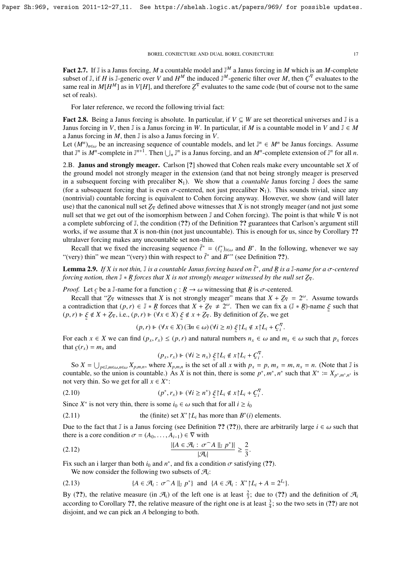Fact 2.7. If  $\mathbb J$  is a Janus forcing, M a countable model and  $\mathbb J^M$  a Janus forcing in M which is an M-complete subset of J, if *H* is J-generic over *V* and  $H^M$  the induced J<sup>M</sup>-generic filter over M, then  $C^{\nabla}$  evaluates to the same real in  $M[H^M]$  as in  $V[H]$ , and therefore  $Z^{\nabla}$  evaluates to the same code (but of course not to the same set of reals).

For later reference, we record the following trivial fact:

Fact 2.8. Being a Janus forcing is absolute. In particular, if *V* ⊆ *W* are set theoretical universes and J is a Janus forcing in *V*, then  $\mathbb J$  is a Janus forcing in *W*. In particular, if *M* is a countable model in *V* and  $\mathbb J \in M$ a Janus forcing in *M*, then J is also a Janus forcing in *V*.

Let  $(M^n)_{n\in\omega}$  be an increasing sequence of countable models, and let  $\mathbb{J}^n \in M^n$  be Janus forcings. Assume that  $\mathbb{J}^n$  complete in  $\mathbb{J}^n + 1$ . Then  $\mathbb{J}^n$  is a Janus forcing and an  $M^n$  complete outprain that  $\mathbb{J}^n$  is  $M^n$ -complete in  $\mathbb{J}^{n+1}$ . Then  $\bigcup_n \mathbb{J}^n$  is a Janus forcing, and an  $M^n$ -complete extension of  $\mathbb{J}^n$  for all *n*.

2.B. Janus and strongly meager. Carlson [?] showed that Cohen reals make every uncountable set *X* of the ground model not strongly meager in the extension (and that not being strongly meager is preserved in a subsequent forcing with precaliber  $\aleph_1$ ). We show that a *countable* Janus forcing J does the same (for a subsequent forcing that is even  $\sigma$ -centered, not just precaliber  $\aleph_1$ ). This sounds trivial, since any (nontrivial) countable forcing is equivalent to Cohen forcing anyway. However, we show (and will later use) that the canonical null set *Z*<sup>∇</sup> defined above witnesses that *X* is not strongly meager (and not just some null set that we get out of the isomorphism between J and Cohen forcing). The point is that while  $∇$  is not a complete subforcing of J, the condition (??) of the Definition ?? guarantees that Carlson's argument still works, if we assume that *X* is non-thin (not just uncountable). This is enough for us, since by Corollary ?? ultralaver forcing makes any uncountable set non-thin.

Recall that we fixed the increasing sequence  $\bar{\ell}^* = (\ell_i^*)_{i\in\omega}$  and  $B^*$ . In the following, whenever we say "(very) thin" we mean "(very) thin with respect to  $\bar{\ell}^*$  and  $B^{**}$ " (see Definition ??).

**Lemma 2.9.** If X is not thin,  $\mathbb{J}$  is a countable Janus forcing based on  $\bar{\ell}^*$ , and R is a  $\mathbb{J}$ -name for a  $\sigma$ -centered forcing potion, then  $\mathbb{J} * R$  forces that X is not strongly meager witnessed by the n *forcing notion, then*  $\mathbb{J} * R$  *forces that* X *is not strongly meager witnessed by the null set*  $\mathbb{Z}_{\nabla}$ *.* ˜

*Proof.* Let *c* be a J-name for a function  $c : \mathcal{R} \to \omega$  witnessing that  $\mathcal{R}$  is  $\sigma$ -centered.<br>Recall that "*Z*<sub>E</sub> witnesses that *X* is not strongly meager" means that  $X + Z_{\text{E}}$ 

Recall that " $\mathbb{Z}_{\nabla}$  witnesses that *X* is not strongly meager" means that  $X + \mathbb{Z}_{\nabla} = 2^{\omega}$ . Assume towards a contradiction that  $(p, r) \in \mathbb{J} * R$  forces that  $X + Z_{\nabla} \neq 2^{\omega}$ . Then we can fix a  $(\mathbb{J} * R)$ -name  $\xi$  such that  $(p, r)$   $\vdash \xi \notin X + Z_{\nabla}$ , i.e.,  $(p, r)$   $\vdash (\forall x \in X) \xi \notin x + Z_{\nabla}$ . By definition of  $Z_{\nabla}$ , we get ˜

$$
(p,r) \Vdash (\forall x \in X) (\exists n \in \omega) (\forall i \ge n) \xi L_i \notin x \upharpoonright L_i + C_i^{\nabla}
$$

 $(p, r) \Vdash (\forall x \in X) (\exists n \in \omega) (\forall i \ge n) \xi' | L_i \notin x | L_i + C_i^{\nabla}$ .<br>For each  $x \in X$  we can find  $(p_x, r_x) \le (p, r)$  and natural numbers  $n_x \in \omega$  and  $m_x \in \omega$  such that  $p_x$  forces that  $(p_x, r_y)$ that  $g(r_x) = m_x$  and

$$
(p_x, r_x) \Vdash (\forall i \ge n_x) \xi \upharpoonright L_i \notin x \upharpoonright L_i + \mathcal{C}_i^{\nabla}.
$$

 $(p_x, r_x) \Vdash (\forall i \ge n_x) \xi L_i \notin x \upharpoonright L_i + C_i^{\nabla}$ .<br>So  $X = \bigcup_{p \in \mathbb{J}, m \in \omega, n \in \omega} X_{p,m,n}$ , where  $X_{p,m,n}$  is the set of all x with  $p_x = p, m_x = m, n_x = n$ . (Note that  $\mathbb{J}$  is untable so the union is countable ). As Y is not thin th countable, so the union is countable.) As *X* is not thin, there is some  $p^*$ ,  $m^*$ ,  $n^*$  such that  $X^* := X_{p^* , m^* , n^*}$  is not very thin. So we get for all  $x \in X^*$ . not very thin. So we get for all  $x \in X^*$ :

$$
(p^*, r_x) \Vdash (\forall i \ge n^*) \xi \upharpoonright L_i \notin x \upharpoonright L_i + C_i^{\nabla}.
$$

Since  $X^*$  is not very thin, there is some  $i_0 \in \omega$  such that for all  $i \ge i_0$ 

(2.11) the (finite) set 
$$
X^* | L_i
$$
 has more than  $B^*(i)$  elements.

Due to the fact that J is a Janus forcing (see Definition ?? (??)), there are arbitrarily large  $i \in \omega$  such that there is a core condition  $\sigma = (A_0, \ldots, A_{i-1}) \in \nabla$  with

$$
\frac{\left|\left\{A \in \mathcal{A}_i : \sigma \cap A \mid \|_{\mathbb{J}} p^*\right\}\right|}{\left|\mathcal{A}_i\right|} \ge \frac{2}{3}
$$

Fix such an i larger than both *i*<sub>0</sub> and *n*<sup>\*</sup>, and fix a condition  $\sigma$  satisfying (??).<br>We now consider the following two subsets of  $\mathcal{A}$ .

We now consider the following two subsets of  $\mathcal{A}_i$ :

˜

(2.13) 
$$
\{A \in \mathcal{A}_i : \sigma \cap A \parallel_{\mathbb{J}} p^*\} \text{ and } \{A \in \mathcal{A}_i : X^* | L_i + A = 2^{L_i}\}\
$$

By (??), the relative measure (in  $\mathcal{A}_i$ ) of the left one is at least  $\frac{2}{3}$ ; due to (??) and the definition of  $\mathcal{A}_i$ according to Corollary ??, the relative measure of the right one is at least  $\frac{3}{4}$ ; so the two sets in (??) are not disjoint, and we can pick an *A* belonging to both.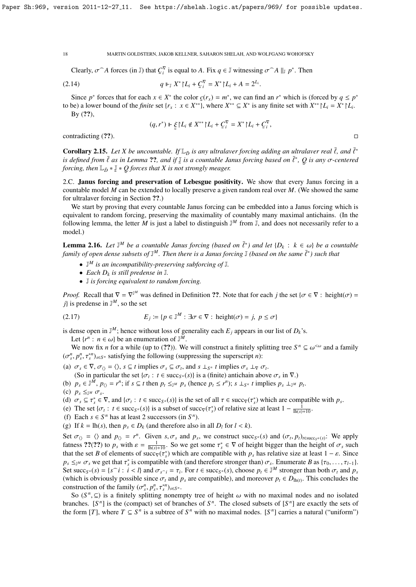Clearly,  $\sigma$ <sup> $\cap$ </sup> *A* forces (in J) that  $C_i^{\nabla}$  is equal to *A*. Fix  $q \in \mathbb{J}$  witnessing  $\sigma$ <sup> $\cap$ </sup> *A* ||<sub>J</sub>  $p^*$ . Then

(2.14) 
$$
q \Vdash_{\mathbb{J}} X^* \upharpoonright L_i + C_i^{\nabla} = X^* \upharpoonright L_i + A = 2^{L_i}.
$$

Since  $p^*$  forces that for each  $x \in X^*$  the color  $c(r_x) = m^*$ , we can find an  $r^*$  which is (forced by  $q \leq p^*$ to be) a lower bound of the *finite* set  $\{r_x : x \in X^{**}\}$ , where  $X^{**} \subseteq X^*$  is any finite set with  $X^{**} \mid L_i = X^* \mid L_i$ .  $By (??),$ 

$$
(q,r^*) \Vdash \xi \upharpoonright L_i \notin X^{**} \upharpoonright L_i + C_i^{\nabla} = X^* \upharpoonright L_i + C_i^{\nabla},
$$

contradicting  $(?)$ .

**Corollary 2.15.** *Let X be uncountable.* If  $\mathbb{L}_{\bar{D}}$  *is any ultralaver forcing adding an ultralaver real*  $\bar{\ell}$ *, and*  $\bar{\ell}^*$  *is defined from*  $\bar{\ell}$  *as in Lemma 22, and if*  $\bar{\ell}$  *is a countable Janus fo is defined from*  $\bar{\ell}$  *as in Lemma* ??, and if  $\bar{\ell}$  *is a countable Janus forcing based on*  $\bar{\ell}^*$ ,  $Q$  *is any*  $\sigma$ -centered forcing then  $\bar{\ell}$   $\rightarrow$   $\bar{\ell}$   $*$   $\bar{\ell}$   $*$   $\sigma$  forces that X is not strongly *forcing, then*  $\mathbb{L}_{\bar{D}} * \mathbb{J} * \mathbb{Q}$  *forces that* X is no ˜ J ∗ *Q forces that X is not strongly meager.*

2.C. Janus forcing and preservation of Lebesgue positivity. We show that every Janus forcing in a countable model *M* can be extended to locally preserve a given random real over *M*. (We showed the same for ultralaver forcing in Section ??.)

We start by proving that every countable Janus forcing can be embedded into a Janus forcing which is equivalent to random forcing, preserving the maximality of countably many maximal antichains. (In the following lemma, the letter  $M$  is just a label to distinguish  $\mathbb{J}^M$  from  $\mathbb{J}$ , and does not necessarily refer to a model.)

**Lemma 2.16.** *Let*  $\mathbb{J}^M$  *be a countable Janus forcing (based on*  $\bar{\ell}^*$ ) and let  $\{D_k : k \in \omega\}$  *be a countable*<br>*family of open dense subsets of*  $\mathbb{J}^M$ . Then there is a Janus forcing  $\mathbb{J}$  (based on the *family of open dense subsets of*  $\mathbb{J}^M$ . Then there is a Janus forcing  $\mathbb{J}$  *(based on the same*  $\overline{\ell}^*$ ) such that

- J *<sup>M</sup> is an incompatibility-preserving subforcing of* J*.*
- *Each*  $D_k$  *is still predense in*  $\mathbb{J}$ *.*

 $\ddot{\phantom{0}}$ 

• J *is forcing equivalent to random forcing.*

*Proof.* Recall that  $\nabla = \nabla^{\mathbb{J}^M}$  was defined in Definition ??. Note that for each *j* the set { $\sigma \in \nabla$  : height( $\sigma$ ) = *i*} is predense in  $\mathbb{J}^M$  so the set *j*} is predense in  $\mathbb{J}^M$ , so the set

(2.17) 
$$
E_j := \{ p \in \mathbb{J}^M : \exists \sigma \in \nabla : \text{ height}(\sigma) = j, \ p \leq \sigma \}
$$

is dense open in  $\mathbb{J}^M$ ; hence without loss of generality each  $E_j$  appears in our list of  $D_k$ 's. Let  $\{r^n : n \in \omega\}$  be an enumeration of  $\mathbb{J}^M$ .<br>We now fix *n* for a while (up to (22)). We

We now fix *n* for a while (up to (??)). We will construct a finitely splitting tree  $S^n \subseteq \omega^{\leq \omega}$  and a family  $n^n$ ,  $\tau^n$ ,  $\tau^{n}$ ,  $\tau^{n}$ , satisfying the following (suppressing the superscript *n*):  $(\sigma_s^n, p_s^n, \tau_s^{*n})_{s \in S^n}$  satisfying the following (suppressing the superscript *n*):

(a)  $\sigma_s \in \nabla$ ,  $\sigma_{\langle} = \langle \rangle$ ,  $s \subseteq t$  implies  $\sigma_s \subseteq \sigma_t$ , and  $s \perp_{S} r$  *t* implies  $\sigma_s \perp_{\nabla} \sigma_t$ .<br>(So in particular the set  $\{ \sigma : t \in \text{succ}_s(s) \}$  is a (finite) antichain above.

(So in particular the set  $\{\sigma_t : t \in \text{succ}_{S^n}(s)\}\)$  is a (finite) antichain above  $\sigma_s$  in  $\nabla$ .)<br>  $n \in \mathbb{N}$ ,  $n_0 = r^n$  if  $s \subset t$  then  $n_s \leq r^n$ ,  $n_s \leq r^n$ );  $s \mid s_n t$  implies  $n_s \mid s_n t$ 

(b)  $p_s \in \mathbb{J}^{\tilde{M}}$ ,  $p_{\langle\rangle} = r^n$ ; if  $s \subseteq t$  then  $p_t \leq_{\mathbb{J}^{\tilde{M}}} p_s$  (hence  $p_t \leq r^n$ );  $s \perp_{S^n} t$  implies  $p_s \perp_{\mathbb{J}^{\tilde{M}}} p_t$ .

(c) 
$$
p_s \leq_{\mathbb{J}^M} \sigma_s
$$
.  
(d)  $\sigma \subset \tau^* \in$ 

(d)  $\sigma_s \subseteq \tau_s^* \in \nabla$ , and  $\{\sigma_t : t \in \text{succ}_s(n(s)\}\$  is the set of all  $\tau \in \text{succ}_\nabla(\tau_s^*)$  which are compatible with  $p_s$ .<br>
(e) The set  $\{\sigma_s : t \in \text{succ}_s(n)\}$  is a subset of succ- $(\tau^*)$  of relative size at least  $1 - \frac{1}{\sqrt{2\pi}}$ 

- (e) The set { $\sigma_t$ :  $t \in \text{succ}_{S^n}(s)$ } is a subset of succ $\overline{\mathbf{v}}(\tau_s^*)$  of relative size at least  $1 \frac{1}{\ln(s) + 10}$ .
- (f) Each  $s \in S^n$  has at least 2 successors (in  $S^n$ ).
- (g) If  $k = \text{lh}(s)$ , then  $p_s \in D_k$  (and therefore also in all  $D_l$  for  $l \leq k$ ).

Set  $\sigma_{\langle} = \langle \rangle$  and  $p_{\langle} = r^n$ . Given  $s, \sigma_s$  and  $p_s$ , we construct succ<sub>s<sup>n</sub>(s)</sup> and  $(\sigma_t, p_t)_{t \in \text{succ}_s n(s)}$ : We apply</sub> fatness ??(??) to  $p_s$  with  $\varepsilon = \frac{1}{\ln(s)+10}$ . So we get some  $\tau_s^* \in \nabla$  of height bigger than the height of  $\sigma_s$  such that the set *R* of elements of successive are compatible with n has relative size at least 1 – c that the set *B* of elements of succ<sub>V</sub>( $\tau_s^*$ ) which are compatible with  $p_s$  has relative size at least  $1 - \varepsilon$ . Since  $p_s \leq w \leq r$  we get that  $\tau_s^*$  is compatible with (and therefore stronger than)  $\tau_s$ . Fullmerat  $p_s \leq_{\mathbb{J}^M} \sigma_s$  we get that  $\tau_s^*$  is compatible with (and therefore stronger than)  $\sigma_s$ . Enumerate *B* as { $\tau_0, \ldots, \tau_{l-1}$ }.<br>Set success(s) =  $\int s \, \tilde{f} \cdot \tilde{f} \cdot \tilde{f} \cdot \tilde{f}$  and  $\sigma_s \cdot \tilde{f} \cdot \tilde{f}$ . For Set succ<sub>Sn</sub>(s) = {s<sup>-</sup>i : i < l} and  $\sigma_{s^{-1}} = \tau_i$ . For  $t \in \text{succ}_{S^n}(s)$ , choose  $p_t \in \mathbb{J}^M$  stronger than both  $\sigma_t$  and  $p_s$ <br>(which is obviously possible since  $\sigma_s$  and n are compatible) and moreover  $p_t \in D_{\text{max}}$ . (which is obviously possible since  $\sigma_t$  and  $p_s$  are compatible), and moreover  $p_t \in D_{\text{lh}(t)}$ . This concludes the construction of the family  $(\sigma^n, p^n, \tau^{*n})$ construction of the family  $(\sigma_s^n, p_s^n, \tau_s^{*n})_{s \in S^n}$ .<br>So  $(S^n, \subset)$  is a finitely splitting poper

So  $(S^n, \subseteq)$  is a finitely splitting nonempty tree of height  $\omega$  with no maximal nodes and no isolated<br>nodes  $[S^n]$  is the (compact) set of branches of  $S^n$ . The closed subsets of  $[S^n]$  are exactly the sets of branches.  $[S^n]$  is the (compact) set of branches of  $S^n$ . The closed subsets of  $[S^n]$  are exactly the sets of the form [*T*], where  $T \subseteq S^n$  is a subtree of  $S^n$  with no maximal nodes. [ $S^n$ ] carries a natural ("uniform")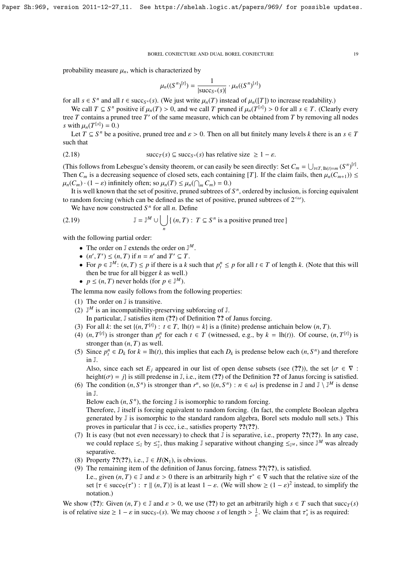probability measure  $\mu_n$ , which is characterized by

$$
\mu_n((S^n)^{[t]}) = \frac{1}{|\text{succ}_{S^n}(s)|} \cdot \mu_n((S^n)^{[s]})
$$

for all *s* ∈ *S*<sup>*n*</sup> and all *t* ∈ succ<sub>*S<sup>n</sup></sub>*(*s*). (We just write  $\mu_n(T)$  instead of  $\mu_n(T)$ ) to increase readability.)<br>We call *T* ⊂ *S*<sup>*n*</sup> positive if  $\mu$  (*T*) > 0 and we call *T* pruned if  $\mu$  (*T*<sup>[*s*]</sup>) ></sub>

We call  $T \subseteq S^n$  positive if  $\mu_n(T) > 0$ , and we call *T* pruned if  $\mu_n(T^{[s]}) > 0$  for all  $s \in T$ . (Clearly every tree  $T$  contains a pruned tree  $T'$  of the same measure, which can be obtained from  $T$  by removing all nodes *s* with  $\mu_n(T^{[s]}) = 0$ .)<br>Let  $T \subset S^n$  be an

Let *T* ⊆ *S*<sup>*n*</sup> be a positive, pruned tree and  $\varepsilon > 0$ . Then on all but finitely many levels *k* there is an *s* ∈ *T* th that such that

(2.18) 
$$
\text{succ}_T(s) \subseteq \text{succ}_{S^n}(s) \text{ has relative size } \geq 1 - \varepsilon.
$$

(This follows from Lebesgue's density theorem, or can easily be seen directly: Set  $C_m = \bigcup_{t \in T, \, \text{lh}(t) = m} (S^n)^{[t]}$ .<br>Then  $C_n$  is a decreasing sequence of closed sets, each containing [*T*]. If the claim fails, then  $\mu$ Then  $C_m$  is a decreasing sequence of closed sets, each containing [*T*]. If the claim fails, then  $\mu_n(C_{m+1})$ )  $\leq$  $\mu_n(C_m) \cdot (1 - \varepsilon)$  infinitely often; so  $\mu_n(T) \leq \mu_n(\bigcap_m C_m) = 0.$ <br>It is well known that the set of positive pruned subtrees of

It is well known that the set of positive, pruned subtrees of  $S<sup>n</sup>$ , ordered by inclusion, is forcing equivalent to random forcing (which can be defined as the set of positive, pruned subtrees of  $2^{<\omega}$ ).

We have now constructed  $S<sup>n</sup>$  for all *n*. Define

(2.19) 
$$
\mathbb{J} = \mathbb{J}^M \cup \bigcup_n \{ (n, T) : T \subseteq S^n \text{ is a positive pruned tree } \}
$$

with the following partial order:

- The order on  $\mathbb{J}$  extends the order on  $\mathbb{J}^M$ .
- $(n', T') \leq (n, T)$  if  $n = n'$  and  $T' \subseteq T$ .<br>• For  $n \in \mathbb{I}^M$ :  $(n, T) < n$  if there is a k
- For *p* ∈  $\mathbb{J}^M$ :  $(n, T) \le p$  if there is a *k* such that  $p_i^n \le p$  for all  $t \in T$  of length *k*. (Note that this will then be true for all bigger *k* as well) then be true for all bigger *k* as well.)
- $p \leq (n, T)$  never holds (for  $p \in \mathbb{J}^M$ ).

The lemma now easily follows from the following properties:

- (1) The order on J is transitive.
- (2)  $\mathbb{J}^M$  is an incompatibility-preserving subforcing of  $\mathbb{J}$ .
- In particular, J satisfies item (??) of Definition ?? of Janus forcing.
- (3) For all *k*: the set  $\{(n, T^{[t]}) : t \in T, \text{lh}(t) = k\}$  is a (finite) predense antichain below  $(n, T)$ .<br>(4)  $(n, T^{[t]})$  is stronger than  $n^n$  for each  $t \in T$  (witnessed e.g. by  $k = \text{lh}(t)$ ). Of course
- (4)  $(n, T^{[t]})$  is stronger than  $p_t^n$  for each  $t \in T$  (witnessed, e.g., by  $k = \text{lh}(t)$ ). Of course,  $(n, T^{[t]})$  is stronger than  $(n, T)$  as well stronger than  $(n, T)$  as well.
- (5) Since  $p_i^n \in D_k$  for  $k = \ln(t)$ , this implies that each  $D_k$  is predense below each  $(n, S^n)$  and therefore in  $\mathbb{I}$ in J.

Also, since each set  $E_j$  appeared in our list of open dense subsets (see (??)), the set { $\sigma \in \nabla$ : height( $\sigma$ ) = *j*} is still predense in J, i.e., item (??) of the Definition ?? of Janus forcing is satisfied.

(6) The condition  $(n, S^n)$  is stronger than  $r^n$ , so  $\{(n, S^n) : n \in \omega\}$  is predense in J and J  $\overline{\bigcup}^M$  is dense in J.

Below each  $(n, S^n)$ , the forcing  $\mathbb J$  is isomorphic to random forcing.<br>Therefore  $\mathbb J$  itself is forcing equivalent to random forcing. (In fact

Therefore, J itself is forcing equivalent to random forcing. (In fact, the complete Boolean algebra generated by J is isomorphic to the standard random algebra, Borel sets modulo null sets.) This proves in particular that J is ccc, i.e., satisfies property ??(??).

- (7) It is easy (but not even necessary) to check that J is separative, i.e., property ??(??). In any case, we could replace  $\leq_J$  by  $\leq_J^*$ , thus making J separative without changing  $\leq_{J^M}$ , since J<sup>M</sup> was already separative.
- (8) Property ??(??), i.e.,  $\mathbb{J} \in H(\mathcal{R}_1)$ , is obvious.
- (9) The remaining item of the definition of Janus forcing, fatness ??(??), is satisfied.
- I.e., given  $(n, T) \in \mathbb{J}$  and  $\varepsilon > 0$  there is an arbitrarily high  $\tau^* \in \nabla$  such that the relative size of the set  $\{\tau \in \text{succ}(\tau^*) : \tau \parallel (n, T)\}$  is at least  $1 \varepsilon$ . (We will show  $\geq (1 \varepsilon)^2$  instead, to simplify set { $\tau \in \text{succ}_{\nabla}(\tau^*)$ :  $\tau \parallel (n, T)$ } is at least  $1 - \varepsilon$ . (We will show  $\ge (1 - \varepsilon)^2$  instead, to simplify the notation.)

We show (??): Given  $(n, T) \in \mathbb{J}$  and  $\varepsilon > 0$ , we use (??) to get an arbitrarily high  $s \in T$  such that succ $T(s)$ is of relative size  $\geq 1 - \varepsilon$  in succ<sub>*S<sup>n</sup></sub>*(*s*). We may choose *s* of length  $> \frac{1}{\varepsilon}$ . We claim that  $\tau_s^*$  is as required:</sub>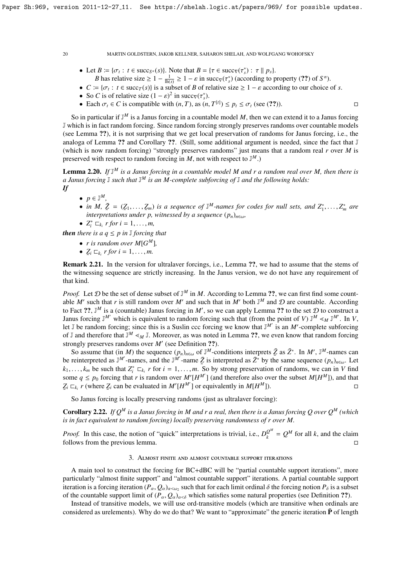- Let  $B := \{ \sigma_t : t \in \text{succ}_{S^n}(s) \}$ . Note that  $B = \{ \tau \in \text{succ}_{S}(r^*) : \tau \mid p_s \}$ .<br>*R* has relative size  $> 1 \frac{1}{s} > 1 \varepsilon$  in succ $(\tau^*)$  (according to r
	- *B* has relative size  $\geq 1 \frac{1}{\ln(s)} \geq 1 \varepsilon$  in succy( $\tau_s^*$ ) (according to property (??) of *S<sup>n</sup>*).<br> $= 1\sigma$  : *t*  $\in$  succ $\tau$ (s)) is a subset of *B* of relative size  $\geq 1 \varepsilon$  according to our choice.
- *C* := { $σ_t$  :  $t \in \text{succ}_T(s)$ } is a subset of *B* of relative size ≥ 1 − *ε* according to our choice of *s*.
- So *C* is of relative size  $(1 \varepsilon)^2$  in succ<sub>v</sub> $(\tau_s^*)$ . in succ<sub> $\triangledown$ </sub> $(\tau$ <sub>1</sub> as
- Each  $\sigma_t \in C$  is compatible with  $(n, T)$ , as  $(n, T^{[t]}) \leq p_t \leq \sigma_t$  (see (??)).

So in particular if J *<sup>M</sup>* is a Janus forcing in a countable model *M*, then we can extend it to a Janus forcing J which is in fact random forcing. Since random forcing strongly preserves randoms over countable models (see Lemma ??), it is not surprising that we get local preservation of randoms for Janus forcing, i.e., the analoga of Lemma ?? and Corollary ??. (Still, some additional argument is needed, since the fact that I (which is now random forcing) "strongly preserves randoms" just means that a random real *r* over *M* is preserved with respect to random forcing in  $M$ , not with respect to  $\mathbb{J}^M$ .)

Lemma 2.20. *If* J *<sup>M</sup> is a Janus forcing in a countable model M and r a random real over M, then there is a Janus forcing* J *such that* J *<sup>M</sup> is an M-complete subforcing of* J *and the following holds: If*

- $p \in \mathbb{J}^M$ ,
- *in M,*  $\bar{Z} = (\underline{Z}_1, \ldots, \underline{Z}_m)$  *is a sequence of*  $J^M$ -names for codes for null sets, and  $Z_1^*, \ldots, Z_m^*$  are interpretations under n witnessed by a sequence (n) *interpretations under p, witnessed by a sequence* (*pn*)*n*∈ω*,*
- $Z_i^* \sqsubset_{k_i} r$  for  $i = 1, ..., m$ ,

*then there is a*  $q \leq p$  *in*  $\mathbb{J}$  *forcing that* 

- *r* is random over  $M[G^M]$ ,
- $Z_i \sqsubset_{k_i} r$  for  $i = 1, \ldots, m$ .

Remark 2.21. In the version for ultralaver forcings, i.e., Lemma ??, we had to assume that the stems of the witnessing sequence are strictly increasing. In the Janus version, we do not have any requirement of that kind.

*Proof.* Let  $D$  be the set of dense subset of  $\mathbb{J}^M$  in M. According to Lemma ??, we can first find some countable *M'* such that *r* is still random over *M'* and such that in *M'* both  $\mathbb{J}^M$  and  $\mathcal D$  are countable. According to Fact ??,  $\mathbb{J}^M$  is a (countable) Janus forcing in M', so we can apply Lemma ?? to the set  $\mathcal D$  to construct a Janus forcing  $\mathbb{J}^M'$  which is equivalent to random forcing such that (from the point of *V*)  $\mathbb{J}^M \leq_M \mathbb{J}^{M'}$ . In *V*, let  $\mathbb J$  be random forcing; since this is a Suslin ccc forcing we know that  $\mathbb J^M$  is an  $M'$ -complete subforcing of J and therefore that  $\mathbb{J}^M \leq_M \mathbb{J}$ . Moreover, as was noted in Lemma ??, we even know that random forcing strongly preserves randoms over M' (see Definition ??).

So assume that (in *M*) the sequence  $(p_n)_{n \in \omega}$  of J<sup>M</sup>-conditions interprets  $\bar{Z}$  as  $\bar{Z}^*$ . In *M'*, J<sup>M</sup>-names can existenced as  $\bar{Z}^*$  by the sequence (i) Let be reinterpreted as  $J^M$ -names, and the  $J^M$ -name  $\bar{Z}$  is interpreted as  $\bar{Z}^*$  by the same sequence  $(p_n)_{n\in\omega}$ . Let  $k_1, \ldots, k_m$  be such that  $Z_i^* \sqsubset_{k_i} r$  for  $i = 1, \ldots, m$ . So by strong preservation of randoms, we can in *V* finds  $\sum_{i=1}^m k_i$  for  $i = 1, \ldots, m$ . So by strong preservation of randoms, we can in *V* finds  $\sum_{i=1}^m k_i$  some  $q \leq p_0$  forcing that *r* is random over  $M'[H^{M'}]$  (and therefore also over the subset  $M[H^M]$ ), and that  $Z_i \sqsubset_{k_i} r$  (where  $Z_i$  can be evaluated in  $M'[H^{M'}]$  or equivalently in  $M[H^{M}])$ .

So Janus forcing is locally preserving randoms (just as ultralaver forcing):

**Corollary 2.22.** *If*  $Q^M$  *is a Janus forcing in* M and r a real, then there is a Janus forcing Q over  $Q^M$  (which *is in fact equivalent to random forcing) locally preserving randomness of r over M.*

*Proof.* In this case, the notion of "quick" interpretations is trivial, i.e.,  $D_k^{Q^M}$  $\mathcal{Q}^{\mathcal{Q}^m} = Q^M$  for all *k*, and the claim follows from the previous lemma.

#### 3. Almost finite and almost countable support iterations

A main tool to construct the forcing for BC+dBC will be "partial countable support iterations", more particularly "almost finite support" and "almost countable support" iterations. A partial countable support iteration is a forcing iteration  $(P_{\alpha}, Q_{\alpha})_{\alpha \leq \omega_2}$  such that for each limit ordinal  $\delta$  the forcing notion  $P_{\delta}$  is a subset<br>of the countable support limit of  $(P_{\alpha}, Q_{\alpha})$  is which satisfies some natural properti of the countable support limit of  $(P_\alpha, Q_\alpha)_{\alpha < \delta}$  which satisfies some natural properties (see Definition ??).

Instead of transitive models, we will use ord-transitive models (which are transitive when ordinals are considered as urelements). Why do we do that? We want to "approximate" the generic iteration  $\overline{P}$  of length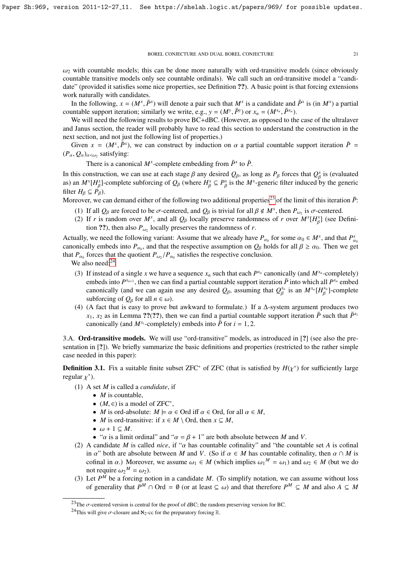$\omega_2$  with countable models; this can be done more naturally with ord-transitive models (since obviously countable transitive models only see countable ordinals). We call such an ord-transitive model a "candidate" (provided it satisfies some nice properties, see Definition ??). A basic point is that forcing extensions work naturally with candidates.

In the following,  $x = (M^x, \bar{P}^x)$  will denote a pair such that  $M^x$  is a candidate and  $\bar{P}^x$  is (in  $M^x$ ) a partial unport iteration; similarly we write  $e, \alpha, y = (M^y, \bar{P}^y)$  or  $x = (M^{x_n}, \bar{P}^{x_n})$ countable support iteration; similarly we write, e.g.,  $y = (M^y, \bar{P}^y)$  or  $x_n = (M^{x_n}, \bar{P}^{x_n})$ .<br>We will need the following results to prove  $\text{R C+4RC}$ . (However, as opposed to the

We will need the following results to prove BC+dBC. (However, as opposed to the case of the ultralaver and Janus section, the reader will probably have to read this section to understand the construction in the next section, and not just the following list of properties.)

Given  $x = (M^x, \bar{P}^x)$ , we can construct by induction on  $\alpha$  a partial countable support iteration  $\bar{P} = Q$ ) satisfying:  $(P_\alpha, Q_\alpha)_{\alpha<\omega_2}$  satisfying:

There is a canonical  $M^x$ -complete embedding from  $\bar{P}^x$  to  $\bar{P}$ .

In this construction, we can use at each stage  $\beta$  any desired  $Q_{\beta}$ , as long as  $P_{\beta}$  forces that  $Q_{\beta}^x$  is (evaluated<br>as) an  $M^x[H^x]$  complete subforcing of  $Q_x$  (where  $H^x \subset P^x$  is the  $M^x$  generic filter in as) an  $M^x[H_\beta^x]$ -complete subforcing of  $Q_\beta$  (where  $H_\beta^x \subseteq P_\beta^x$  is the  $M^x$ -generic filter induced by  $H \subseteq B$ ). filter  $H_\beta \subseteq P_\beta$ ).  $P^x_\beta \subseteq P^x_\beta$  $\beta_{\beta}$  is the *M<sup>x</sup>*-generic filter induced by the generic

Moreover, we can demand either of the following two additional properties<sup>[23](#page-20-0)</sup> of the limit of this iteration  $\bar{P}$ :

- (1) If all  $Q_\beta$  are forced to be  $\sigma$ -centered, and  $Q_\beta$  is trivial for all  $\beta \notin M^x$ , then  $P_{\omega_2}$  is  $\sigma$ -centered.<br>(2) If r is random over  $M^x$  and all  $Q_\beta$  locally preserve randomness of r over  $M^x[H^x]$  (see D
- (2) If *r* is random over  $M^x$ , and all  $Q_\beta$  locally preserve randomness of *r* over  $M^x[H_\beta^x]$  (see Definition 22) than also *n*, locally preserves the angle property of *x*. β tion ??), then also  $P_{\omega_2}$  locally preserves the randomness of *r*.

Actually, we need the following variant: Assume that we already have  $P_{\alpha_0}$  for some  $\alpha_0 \in M^x$ , and that  $P_a^{\alpha_0}$  canonically embeds into *P* and that the respective assumption on  $Q_0$  holds for all  $\beta > \alpha_0$ . The canonically embeds into *P*<sub>α0</sub>, and that the respective assumption on  $Q_\beta$  holds for all  $\beta \ge \alpha_0$ . Then we get that *P* forces that the quotient *P IP* satisfies the respective conclusion that  $P_{\alpha_0}$  forces that the quotient  $P_{\omega_2}/P_{\alpha_0}$  satisfies the respective conclusion.<br>We also need:<sup>24</sup>

We also need:<sup>[24](#page-20-1)</sup>

- (3) If instead of a single *x* we have a sequence  $x_n$  such that each  $P^{x_n}$  canonically (and  $M^{x_n}$ -completely) embeds into  $P^{x_{n+1}}$ , then we can find a partial countable support iteration  $\bar{P}$  into which all  $P^{x_n}$  embed canonically (and we can again use any desired  $Q_{\beta}$ , assuming that  $Q_{\beta}^{x_n}$  is an  $M^{x_n}[H_{\beta}^{x_n}]$ -complete Γ Γ subforcing of  $Q_\beta$  for all  $n \in \omega$ ).
- (4) (A fact that is easy to prove but awkward to formulate.) If a ∆-system argument produces two  $x_1, x_2$  as in Lemma ??(??), then we can find a partial countable support iteration  $\bar{P}$  such that  $\bar{P}^{x_i}$ canonically (and  $M^{x_i}$ -completely) embeds into  $\bar{P}$  for  $i = 1, 2$ .

3.A. Ord-transitive models. We will use "ord-transitive" models, as introduced in [?] (see also the presentation in [?]). We briefly summarize the basic definitions and properties (restricted to the rather simple case needed in this paper):

**Definition 3.1.** Fix a suitable finite subset ZFC<sup>\*</sup> of ZFC (that is satisfied by  $H(\chi^*)$  for sufficiently large regular  $\chi^*$ ) regular  $\chi^*$ ).

- (1) A set *M* is called a *candidate*, if
	- *M* is countable,
	- (*M*,  $\in$ ) is a model of ZFC<sup>\*</sup>,<br>• *M* is ord-absolute:  $M \vdash \alpha$
	- *M* is ord-absolute:  $M \models \alpha \in \text{Ord}$  iff  $\alpha \in \text{Ord}$ , for all  $\alpha \in M$ ,
	- *M* is ord-transitive: if  $x \in M \setminus \text{Ord}$ , then  $x \subseteq M$ ,
	- $\omega + 1 \subseteq M$ .
	- " $\alpha$  is a limit ordinal" and " $\alpha = \beta + 1$ " are both absolute between *M* and *V*.
- (2) A candidate *M* is called *nice*, if " $\alpha$  has countable cofinality" and "the countable set *A* is cofinal in  $\alpha$ " both are absolute between *M* and *V*. (So if  $\alpha \in M$  has countable cofinality, then  $\alpha \cap M$  is cofinal in  $\alpha$ .) Moreover, we assume  $\omega_1 \in M$  (which implies  $\omega_1^M = \omega_1$ ) and  $\omega_2 \in M$  (but we do not require  $\omega_1^M = \omega_2$ ) not require  $\omega_2^M = \omega_2$ ).<br>Let  $P^M$  be a forcing no
- (3) Let  $P^M$  be a forcing notion in a candidate M. (To simplify notation, we can assume without loss of generality that  $P^M \cap \text{Ord} = \emptyset$  (or at least  $\subseteq \omega$ ) and that therefore  $P^M \subseteq M$  and also  $A \subseteq M$

<span id="page-20-0"></span><sup>&</sup>lt;sup>23</sup>The  $\sigma$ -centered version is central for the proof of dBC; the random preserving version for BC.

<span id="page-20-1"></span><sup>&</sup>lt;sup>24</sup>This will give  $\sigma$ -closure and  $\aleph_2$ -cc for the preparatory forcing R.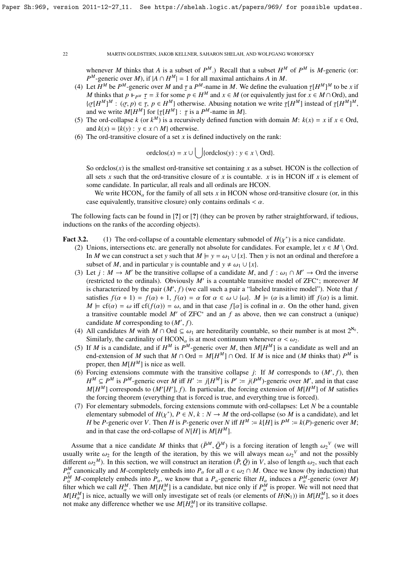whenever *M* thinks that *A* is a subset of  $P^M$ .) Recall that a subset  $H^M$  of  $P^M$  is *M*-generic (or:  $P^M$ -generic over *M*), if  $|A \cap H^M| = 1$  for all maximal antichains *A* in *M*.

- (4) Let  $H^M$  be  $P^M$ -generic over  $M$  and  $\tau$  a  $P^M$ -name in  $M$ . We define the evaluation  $\tau[H^M]^M$  to be  $x$  if  $M$  thinks that  $n \Vdash_{\mathcal{M}} \tau = \tilde{\tau}$  for some  $n \in H^M$  and  $x \in M$  (or equivalently just for  $x \in M \cap \text$ M thinks that  $p \Vdash_{P^M} \tau = \check{x}$  for some  $p \in H^M$  and  $x \in M$  (or equivalently just for  $x \in M \cap \text{Ord}$ ), and  $\iota_{\tau}H^M M$   $\vdots$   $(\tau, n) \in \tau, n \in H^M$  otherwise. Abusing notation we write  $\tau(H^M)$  instead of  $\tau(H^M)^M$ { $\sigma[H^M]^M$  :  $(\sigma, p) \in \mathcal{I}, p \in H^M$ } otherwise. Abusing notation we write  $\tau[H^M]$  instead of  $\tau[H^M]^M$ , and we write  $M[H^M]$  for  $\{\tau[H^M] : \tau \text{ is a } P^M\text{-name in } M\}$ .<br>The ord-collanse  $k$  (or  $k^M$ ) is a recursively defined function
- (5) The ord-collapse *k* (or  $k^M$ ) is a recursively defined function with domain *M*:  $k(x) = x$  if  $x \in \text{Ord}$ , and  $k(x) = {k(y) : y \in x \cap M}$  otherwise.
- (6) The ord-transitive closure of a set *x* is defined inductively on the rank:

ordclos(*x*) =  $x \cup \bigcup$ {ordclos(*y*) :  $y \in x \setminus \text{Ord}$ }.

So ordclos $(x)$  is the smallest ord-transitive set containing x as a subset. HCON is the collection of all sets *x* such that the ord-transitive closure of *x* is countable. *x* is in HCON iff *x* is element of some candidate. In particular, all reals and all ordinals are HCON.

We write  $HCON_{\alpha}$  for the family of all sets *x* in HCON whose ord-transitive closure (or, in this case equivalently, transitive closure) only contains ordinals  $\langle \alpha \rangle$ .

The following facts can be found in [?] or [?] (they can be proven by rather straightforward, if tedious, inductions on the ranks of the according objects).

- **Fact 3.2.** (1) The ord-collapse of a countable elementary submodel of  $H(\chi^*)$  is a nice candidate.<br>(2) Unions intersections etc. are generally not absolute for candidates. For example, let  $\chi \in M$ .
	- (2) Unions, intersections etc. are generally not absolute for candidates. For example, let  $x \in M \setminus \text{Ord}$ . In *M* we can construct a set *y* such that  $M \models y = \omega_1 \cup \{x\}$ . Then *y* is not an ordinal and therefore a subset of *M*, and in particular *y* is countable and  $y \neq \omega_1 \cup \{x\}$ .
	- (3) Let  $j : M \to M'$  be the transitive collapse of a candidate *M*, and  $f : \omega_1 \cap M' \to \text{Ord}$  the inverse (restricted to the ordinals). Obviously *M*<sup>0</sup> is a countable transitive model of ZFC<sup>∗</sup> ; moreover *M* is characterized by the pair  $(M', f)$  (we call such a pair a "labeled transitive model"). Note that *f*<br>satisfies  $f(x + 1) = f(x) + 1$ ,  $f(x) = \alpha$  for  $\alpha \in \omega \cup \{\omega\}$ ,  $M \vdash (\alpha)$  is a limit) iff  $f(\alpha)$  is a limit satisfies  $f(\alpha + 1) = f(\alpha) + 1$ ,  $f(\alpha) = \alpha$  for  $\alpha \in \omega \cup \{\omega\}$ .  $M \models (\alpha \text{ is a limit})$  iff  $f(\alpha)$  is a limit.  $M \models cf(\alpha) = \omega$  iff  $cf(f(\alpha)) = \omega$ , and in that case  $f[\alpha]$  is cofinal in  $\alpha$ . On the other hand, given a transitive countable model  $M'$  of ZFC<sup>\*</sup> and an  $f$  as above, then we can construct a (unique) candidate *M* corresponding to  $(M', f)$ .<br>All candidates *M* with *M*  $\cap$  Ord  $\subseteq \omega$ .
	- (4) All candidates *M* with *M* ∩ Ord  $\subseteq \omega_1$  are hereditarily countable, so their number is at most  $2^{\aleph_0}$ .<br>Similarly the cardinality of HCON is at most continuum whenever  $\alpha \leq \omega_0$ . Similarly, the cardinality of  $HCON_{\alpha}$  is at most continuum whenever  $\alpha < \omega_2$ .
	- (5) If *M* is a candidate, and if  $H^M$  is  $P^M$ -generic over *M*, then  $M[H^M]$  is a candidate as well and an end-extension of *M* such that  $M \cap \text{Ord} = M[H^M] \cap \text{Ord}$ . If *M* is nice and (*M* thinks that)  $P^M$  is proper, then  $M[H^M]$  is nice as well.
	- (6) Forcing extensions commute with the transitive collapse *j*: If *M* corresponds to  $(M', f)$ , then  $H^M \subset P^M$  is  $P^M \subset P^M$  and is polygraphic over  $M'$  and in the case  $H^M \subseteq P^M$  is  $P^M$ -generic over *M* iff  $H' := j[H^M]$  is  $P' := j(P^M)$ -generic over *M'*, and in that case  $M[H^M]$  corresponds to  $(M'[H'], f)$ . In particular, the forcing extension of  $M[H^M]$  of *M* satisfies the forcing theorem (everything that is forced) is true, and everything true is forced) the forcing theorem (everything that is forced is true, and everything true is forced).
	- (7) For elementary submodels, forcing extensions commute with ord-collapses: Let *N* be a countable elementary submodel of  $H(\chi^*)$ ,  $P \in N$ ,  $k : N \to M$  the ord-collapse (so *M* is a candidate), and let  $H$  be  $P$ -generic over  $V$ . Then  $H$  is  $P$ -generic over  $N$  iff  $H^M \sim k(H)$  is  $P^M \sim k(P)$ -generic over  $M$ : *H* be *P*-generic over *V*. Then *H* is *P*-generic over *N* iff  $H^M := k[H]$  is  $P^M := k(P)$ -generic over *M*; and in that case the ord-collapse of  $N[H]$  is  $M[H^M]$ .

Assume that a nice candidate *M* thinks that  $(\bar{P}^M, \bar{Q}^M)$  is a forcing iteration of length  $\omega_2^V$  (we will<br>tally write  $\omega_2$  for the length of the iteration, by this we will always mean  $\omega_2^V$  and not the possi usually write  $\omega_2$  for the length of the iteration, by this we will always mean  $\omega_2^V$  and not the possibly different  $\omega_2^W$ . In this section, we will construct an iteration  $(\bar{P} \bar{Q})$  in V, also of length  $\omega_2$ , different  $\omega_2^M$ ). In this section, we will construct an iteration  $(\bar{P}, \bar{Q})$  in *V*, also of length  $\omega_2$ , such that each  $P^M$  canonically and *M*-completely embeds into *P* for all  $\alpha \in \omega_0 \cap M$ . Once we know (by *P<sup>M</sup>* canonically and *M*-completely embeds into *P*<sub>α</sub> for all  $\alpha \in \omega_2 \cap M$ . Once we know (by induction) that  $P$ <sup>*M*</sup> *M*-completely embeds into *P* we know that a *P*<sub>-</sub>coneric filter *H* induces a *P<sup>M</sup>*-coneric (ov  $P_{\alpha}^{\overline{M}}$  *M*-completely embeds into  $P_{\alpha}$ , we know that a  $P_{\alpha}$ -generic filter  $H_{\alpha}$  induces a  $P_{\alpha}^{M}$ -generic (over *M*) filter which we call  $H^{M}$ . Then  $M[H^{M}]$  is a candidate, but pice only if  $P^{M}$  is filter which we call  $H^M_\alpha$ . Then  $M[H^M_\alpha]$  is a candidate, but nice only if  $P^M_\alpha$  is proper. We will not need that  $M[H^M_\alpha]$  is nice, actually we will only investigate set of reals (or elements of  $H(\mathbf{N}_1)$ ) in  $M[H^M_\alpha]$ , so it does not make any difference whether we use  $M[H_\alpha^M]$  or its transitive collapse.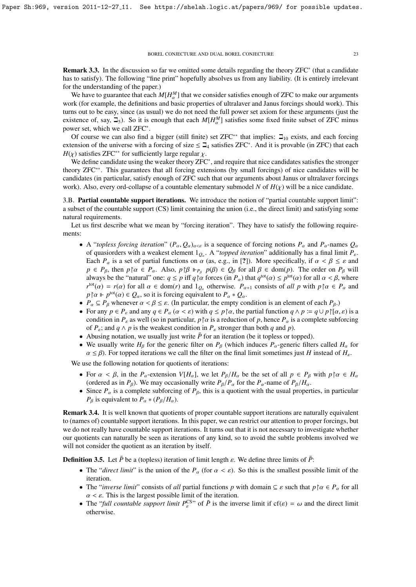Remark 3.3. In the discussion so far we omitted some details regarding the theory ZFC<sup>\*</sup> (that a candidate has to satisfy). The following "fine print" hopefully absolves us from any liability. (It is entirely irrelevant for the understanding of the paper.)

We have to guarantee that each  $M[H_\alpha^M]$  that we consider satisfies enough of ZFC to make our arguments work (for example, the definitions and basic properties of ultralaver and Janus forcings should work). This turns out to be easy, since (as usual) we do not need the full power set axiom for these arguments (just the existence of, say,  $\Xi_5$ ). So it is enough that each  $M[H_\alpha^M]$  satisfies some fixed finite subset of ZFC minus power set, which we call ZFC<sup>∗</sup> .

Of course we can also find a bigger (still finite) set ZFC<sup>\*\*</sup> that implies:  $\Box_{10}$  exists, and each forcing extension of the universe with a forcing of size  $\leq \square_4$  satisfies ZFC<sup>\*</sup>. And it is provable (in ZFC) that each  $H(\chi)$  satisfies ZFC<sup>\*\*</sup> for sufficiently large regular  $\chi$ .

We define candidate using the weaker theory ZFC<sup>\*</sup>, and require that nice candidates satisfies the stronger theory ZFC∗∗. This guarantees that all forcing extensions (by small forcings) of nice candidates will be candidates (in particular, satisfy enough of ZFC such that our arguments about Janus or ultralaver forcings work). Also, every ord-collapse of a countable elementary submodel *N* of  $H(\chi)$  will be a nice candidate.

3.B. Partial countable support iterations. We introduce the notion of "partial countable support limit": a subset of the countable support (CS) limit containing the union (i.e., the direct limit) and satisfying some natural requirements.

Let us first describe what we mean by "forcing iteration". They have to satisfy the following requirements:

- A "*topless forcing iteration*"  $(P_\alpha, Q_\alpha)_{\alpha<\epsilon}$  is a sequence of forcing notions  $P_\alpha$  and  $P_\alpha$ -names  $Q_\alpha$ of quasiorders with a weakest element 1*<sup>Q</sup>*α . A "*topped iteration*" additionally has a final limit *<sup>P</sup>*ε. Each  $P_\alpha$  is a set of partial functions on  $\alpha$  (as, e.g., in [?]). More specifically, if  $\alpha < \beta \le \varepsilon$  and *p* ∈ *P<sub>β</sub>*, then *p*<sub>[</sub> $\alpha$  ∈ *P<sub>α</sub>*. Also, *p*<sub>[</sub> $\beta$   $\Vdash_{P_\beta} p(\beta) \in Q_\beta$  for all  $\beta \in \text{dom}(p)$ . The order on *P<sub>β</sub>* will always be the "natural" one:  $q \le p$  iff  $q \upharpoonright \alpha$  forces (in  $P_\alpha$ ) that  $q^{\text{tot}}(\alpha) \le p^{\text{tot}}(\alpha)$  for all  $\alpha \le \beta$ , where  $r^{\text{tot}}(\alpha) = r(\alpha)$  for all  $\alpha \in \mathcal{A}$  and  $\alpha \in \mathcal{A}$  and  $\alpha \in \mathcal{A}$  and  $\alpha \in \mathcal{A}$  and  $\alpha \$  $r^{\text{tot}}(\alpha) = r(\alpha)$  for all  $\alpha \in \text{dom}(r)$  and  $1_{Q_\alpha}$  otherwise.  $P_{\alpha+1}$  consists of *all p* with  $p \upharpoonright \alpha \in P_\alpha$  and  $p \upharpoonright \alpha \Vdash p^{\text{tot}}(\alpha) \in Q_\alpha$ , so it is forcing equivalent to  $P_\alpha * Q_\alpha$ .<br> *P*  $\subset P_\alpha$  whenever  $\alpha \leq \beta \leq \epsilon$ . (In particular, the empty co-
- $P_{\alpha} \subseteq P_{\beta}$  whenever  $\alpha < \beta \leq \varepsilon$ . (In particular, the empty condition is an element of each  $P_{\beta}$ .)
- For any  $p \in P_{\varepsilon}$  and any  $q \in P_{\alpha}$  ( $\alpha < \varepsilon$ ) with  $q \leq p \upharpoonright \alpha$ , the partial function  $q \wedge p := q \cup p \upharpoonright [\alpha, \varepsilon)$  is a condition in  $P_{\varepsilon}$  as well (so in particular,  $p \upharpoonright \alpha$  is a reduction of p, hence  $P_{\alpha}$  is a complete subforcing of  $P_{\varepsilon}$ ; and  $q \wedge p$  is the weakest condition in  $P_{\varepsilon}$  stronger than both q and p).
- Abusing notation, we usually just write  $\bar{P}$  for an iteration (be it topless or topped).
- We usually write  $H_\beta$  for the generic filter on  $P_\beta$  (which induces  $P_\alpha$ -generic filters called  $H_\alpha$  for  $\alpha \leq \beta$ ). For topped iterations we call the filter on the final limit sometimes just *H* instead of  $H_{\varepsilon}$ .

We use the following notation for quotients of iterations:

- For  $\alpha < \beta$ , in the *P<sub>α</sub>*-extension  $V[H_\alpha]$ , we let  $P_\beta/H_\alpha$  be the set of all  $p \in P_\beta$  with  $p \upharpoonright \alpha \in H_\alpha$ (ordered as in *P*<sub>β</sub>). We may occasionally write  $P_{\beta}/P_{\alpha}$  for the  $P_{\alpha}$ -name of  $P_{\beta}/H_{\alpha}$ .
- Since  $P_\alpha$  is a complete subforcing of  $P_\beta$ , this is a quotient with the usual properties, in particular *P*<sup>β</sup> is equivalent to  $P_\alpha * (P_\beta/H_\alpha)$ .

Remark 3.4. It is well known that quotients of proper countable support iterations are naturally equivalent to (names of) countable support iterations. In this paper, we can restrict our attention to proper forcings, but we do not really have countable support iterations. It turns out that it is not necessary to investigate whether our quotients can naturally be seen as iterations of any kind, so to avoid the subtle problems involved we will not consider the quotient as an iteration by itself.

**Definition 3.5.** Let  $\bar{P}$  be a (topless) iteration of limit length  $\varepsilon$ . We define three limits of  $\bar{P}$ :

- The "*direct limit*" is the union of the  $P_\alpha$  (for  $\alpha < \varepsilon$ ). So this is the smallest possible limit of the iteration.
- The "*inverse limit*" consists of *all* partial functions *p* with domain  $\subseteq$   $\varepsilon$  such that  $p \upharpoonright \alpha \in P_\alpha$  for all  $\alpha < \varepsilon$ . This is the largest possible limit of the iteration.
- The "*full countable support limit*  $P_{\varepsilon}^{\text{CS}}$ " of  $\overline{P}$  is the inverse limit if cf( $\varepsilon$ ) =  $\omega$  and the direct limit otherwise otherwise.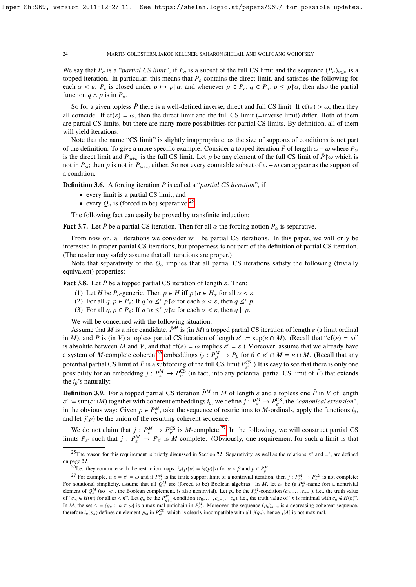We say that  $P_{\varepsilon}$  is a "*partial CS limit*", if  $P_{\varepsilon}$  is a subset of the full CS limit and the sequence  $(P_{\alpha})_{\alpha \leq \varepsilon}$  is a topped iteration. In particular, this means that *<sup>P</sup>*ε contains the direct limit, and satisfies the following for each  $\alpha < \varepsilon$ :  $P_{\varepsilon}$  is closed under  $p \mapsto p \upharpoonright \alpha$ , and whenever  $p \in P_{\varepsilon}$ ,  $q \in P_{\alpha}$ ,  $q \le p \upharpoonright \alpha$ , then also the partial function  $q \wedge p$  is in  $P_{\varepsilon}$ .

So for a given topless  $\bar{P}$  there is a well-defined inverse, direct and full CS limit. If cf( $\varepsilon$ ) >  $\omega$ , then they all coincide. If  $cf(\epsilon) = \omega$ , then the direct limit and the full CS limit (=inverse limit) differ. Both of them are partial CS limits, but there are many more possibilities for partial CS limits. By definition, all of them will yield iterations.

Note that the name "CS limit" is slightly inappropriate, as the size of supports of conditions is not part of the definition. To give a more specific example: Consider a topped iteration  $\bar{P}$  of length  $\omega + \omega$  where  $P_{\omega}$ is the direct limit and  $P_{\omega+\omega}$  is the full CS limit. Let *p* be any element of the full CS limit of  $\bar{P}^{\dagger}\omega$  which is not in  $P_{\omega}$ ; then *p* is not in  $P_{\omega+\omega}$  either. So not every countable subset of  $\omega+\omega$  can appear as the support of a condition.

**Definition 3.6.** A forcing iteration  $\overline{P}$  is called a "*partial CS iteration*", if

- every limit is a partial CS limit, and
- every  $Q_{\alpha}$  is (forced to be) separative.<sup>[25](#page-23-0)</sup>

The following fact can easily be proved by transfinite induction:

**Fact 3.7.** Let  $\bar{P}$  be a partial CS iteration. Then for all  $\alpha$  the forcing notion  $P_{\alpha}$  is separative.

From now on, all iterations we consider will be partial CS iterations. In this paper, we will only be interested in proper partial CS iterations, but properness is not part of the definition of partial CS iteration. (The reader may safely assume that all iterations are proper.)

Note that separativity of the  $Q_{\alpha}$  implies that all partial CS iterations satisfy the following (trivially equivalent) properties:

**Fact 3.8.** Let  $\bar{P}$  be a topped partial CS iteration of length  $\varepsilon$ . Then:

- (1) Let *H* be *P<sub>ε</sub>*-generic. Then  $p \in H$  iff  $p \upharpoonright \alpha \in H_\alpha$  for all  $\alpha < \varepsilon$ .
- (2) For all  $q, p \in P_{\varepsilon}$ : If  $q \upharpoonright \alpha \leq^* p \upharpoonright \alpha$  for each  $\alpha < \varepsilon$ , then  $q \leq^* p$ .<br>
(3) For all  $q, p \in P$ : If  $q \upharpoonright \alpha \leq^* p \upharpoonright \alpha$  for each  $\alpha < \varepsilon$ , then  $q \parallel p$ .
- (3) For all  $q, p \in P_{\varepsilon}$ : If  $q \upharpoonright \alpha \leq^* p \upharpoonright \alpha$  for each  $\alpha < \varepsilon$ , then  $q \parallel p$ .

We will be concerned with the following situation:

Assume that *M* is a nice candidate,  $\bar{P}^M$  is (in *M*) a topped partial CS iteration of length  $\varepsilon$  (a limit ordinal in *M*), and  $\bar{P}$  is (in *V*) a topless partial CS iteration of length  $\varepsilon' = \sup(\varepsilon \cap M)$ . (Recall that "cf( $\varepsilon$ ) = ω"<br>is absolute between *M* and *V* and that cf( $\varepsilon$ ) = ω implies  $\varepsilon' = \varepsilon$ ). Moreover, assume that is absolute between *M* and *V*, and that cf( $\varepsilon$ ) =  $\omega$  implies  $\varepsilon' = \varepsilon$ .) Moreover, assume that we already have<br>a system of *M*-complete coherent<sup>26</sup> embeddings  $i_0 : P^M \to P_0$  for  $\beta \in \varepsilon' \cap M = \varepsilon \cap M$ . (Recall th a system of *M*-complete coherent<sup>[26](#page-23-1)</sup> embeddings  $i_\beta : P^M_\beta \to P_\beta$  for  $\beta \in \varepsilon' \cap M = \varepsilon \cap M$ . (Recall that any notation of the full CS limit  $P^{CS}$ ). It is equation as that there is only any potential partial CS limit of  $\bar{P}$  is a subforcing of the full CS limit  $P_{S'}^{CS}$ .) It is easy to see that there is only one possibility for an embedding  $j: P^M_\varepsilon \to P^{CS}_\varepsilon$  (in fact, into any potential partial CS limit of  $\bar{P}$ ) that extends the *i*-'s paturally: the  $i_{\beta}$ 's naturally:

**Definition 3.9.** For a topped partial CS iteration  $\bar{P}^M$  in *M* of length  $\varepsilon$  and a topless one  $\bar{P}$  in *V* of length in the obvious way: Given  $p \in P^M$ , take the sequence of restrictions to *M*-ordinals, apply the functions *i<sub>β</sub>*,  $\mathcal{O}$  is  $= \sup(\varepsilon \cap M)$  together with coherent embeddings  $i_{\beta}$ , we define  $j : P_{\varepsilon}^M \to P_{\varepsilon}^{\text{CS}}$ , the "*canonical extension*",<br>the obvious way: Given  $p \in P^M$  take the sequence of restrictions to M ordinals, ap and let  $j(p)$  be the union of the resulting coherent sequence.

We do not claim that  $j: P_{\varepsilon}^M \to P_{\varepsilon'}^{\text{CS}}$ <br>its *P* such that  $j: P_{\varepsilon}^M \to P_{\varepsilon'}^{\text{CS}}$ <sup>CS</sup> is *M*-complete.<sup>[27](#page-23-2)</sup> In the following, we will construct partial CS  $\mu$ -complete. (Obviously, one requirement for such a limit is that limits  $P_{\varepsilon}$  such that  $j: P_{\varepsilon}^M \to P_{\varepsilon}$  is *M*-complete. (Obviously, one requirement for such a limit is that

<span id="page-23-0"></span><sup>&</sup>lt;sup>25</sup>The reason for this requirement is briefly discussed in Section ??. Separativity, as well as the relations  $\leq^*$  and  $\equiv^*$ , are defined on page ??.

<span id="page-23-2"></span><span id="page-23-1"></span><sup>&</sup>lt;sup>26</sup>I.e., they commute with the restriction maps:  $i_{\alpha}(p \upharpoonright \alpha) = i_{\beta}(p) \upharpoonright \alpha$  for  $\alpha < \beta$  and  $p \in P_{\beta}^{M}$ .

<sup>&</sup>lt;sup>27</sup> For example, if  $\varepsilon = \varepsilon' = \omega$  and if  $P_{\omega}^M$  is the finite support limit of a nontrivial iteration, then *j* :  $P_{\omega}^M \to P_{\omega}^{CS}$ <sup>2</sup>' For example, if  $\varepsilon = \varepsilon' = \omega$  and if  $P^M_{\omega}$  is the finite support limit of a nontrivial iteration, then  $j: P^M_{\omega} \to P^{\text{CS}}_{\omega}$  is not complete:<br>For notational simplicity, assume that all  $Q^M_n$  are (forced to b element of  $Q_n^M$  (so  $\neg c_n$ , the Boolean complement, is also nontrivial). Let  $p_n$  be the  $P_n^M$ -condition  $(c_0, \ldots, c_{n-1})$ , i.e., the truth value<br>of "c.  $\in H(m)$  for all  $m \leq n$ ". Let  $c_n$  be the  $P_n^M$ -condition  $(c_0, \ld$ of " $c_m \in H(m)$  for all  $m < n$ ". Let  $q_n$  be the  $P_{n+1}^M$ -condition  $(c_0, \ldots, c_{n-1}, -c_n)$ , i.e., the truth value of "*n* is minimal with  $c_n \notin H(n)$ ". In *M*, the set *A* = { $q_n$  :  $n \in \omega$ } is a maximal antichain in  $P_{\omega}^M$ . Moreover, the sequence  $(p_n)_{n \in \omega}$  is a decreasing coherent sequence, therefore *i* (*p*) defines an element *p*, in  $P^{CS}$  which is clearly inc therefore  $i_n(p_n)$  defines an element  $p_\omega$  in  $P_\omega^{\text{CS}}$ , which is clearly incompatible with all  $j(q_n)$ , hence  $j[A]$  is not maximal.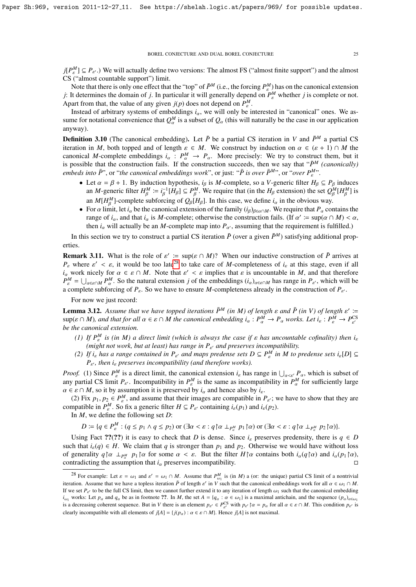$j[P^M] \subseteq P_{\varepsilon'}$ .) We will actually define two versions: The almost FS ("almost finite support") and the almost  $\text{CS}$  ("almost sountable support") limit CS ("almost countable support") limit.

Note that there is only one effect that the "top" of  $\bar{P}^M$  (i.e., the forcing  $P^M_{\varepsilon}$ ) has on the canonical extension *j*: It determines the domain of *j*. In particular it will generally depend on  $P^M_{\varepsilon}$  whether *j* is complete or not. Apart from that, the value of any given  $j(p)$  does not depend on  $P_{\varepsilon}^{M}$ .

Instead of arbitrary systems of embeddings  $i_{\alpha}$ , we will only be interested in "canonical" ones. We as-<br>no for notational convenience that  $OM$  is a subset of  $O$ , (this will not well) be the asses in our embiotion sume for notational convenience that  $Q_{\alpha}^M$  is a subset of  $Q_{\alpha}$  (this will naturally be the case in our application anyway).

**Definition 3.10** (The canonical embedding). Let  $\bar{P}$  be a partial CS iteration in *V* and  $\bar{P}^M$  a partial CS iteration in *M*, both topped and of length  $\varepsilon \in M$ . We construct by induction on  $\alpha \in (\varepsilon + 1) \cap M$  the canonical *M*-complete embeddings  $i_\alpha : P_\alpha^M \to P_\alpha$ . More precisely: We try to construct them, but it is possible that the construction fails. If the construction succeeds then we say that " $\bar{P}^M$  (canonically) is possible that the construction fails. If the construction succeeds, then we say that " $\bar{P}^M$  *(canonically) embeds into*  $\bar{P}$ ", or "*the canonical embeddings work*", or just: " $\bar{P}$  *is over*  $\bar{P}^{M}$ ", or "*over*  $P_{\varepsilon}^{M}$ ".

- Let  $\alpha = \beta + 1$ . By induction hypothesis, *i<sub>β</sub>* is *M*-complete, so a *V*-generic filter  $H_\beta \subseteq P_\beta$  induces<br>an *M* generic filter  $H^M = i^{-1}[H_\alpha] \subset P^M$ . We require that (in the *H*<sub>c</sub> extension) the set  $O^M[H^M]$  is an *M*-generic filter  $H^M_\beta := i^{-1}_\beta [H_\beta] \subseteq P^M_\beta$ . We require that (in the  $H_\beta$  extension) the set  $Q^M_\beta [H^M_\beta]$ an *M*[*H*<sup>*M*</sup>]-complete subforcing of  $Q_\beta[H_\beta]$ . In this case, we define  $i_\alpha$  in the obvious way.  $\binom{M}{\beta}$  is
- For α limit, let *i*<sub>α</sub> be the canonical extension of the family  $(i<sub>β</sub>)<sub>β∈α∩M</sub>$ . We require that *P*<sub>α</sub> contains the range of *i* and that *i* is *M*-complete; otherwise the construction fails (If α' = sun(α ∩ range of  $i_{\alpha}$ , and that  $i_{\alpha}$  is *M*-complete; otherwise the construction fails. (If  $\alpha' := \sup(\alpha \cap M) < \alpha$ , then *i* will actually be an *M*-complete man into *P*, assuming that the requirement is fulfilled.) then  $i_{\alpha}$  will actually be an *M*-complete map into  $P_{\alpha}$ , assuming that the requirement is fulfilled.)

In this section we try to construct a partial CS iteration  $\bar{P}$  (over a given  $\bar{P}^M$ ) satisfying additional properties.

**Remark 3.11.** What is the role of  $\varepsilon' := \sup(\varepsilon \cap M)$ ? When our inductive construction of  $\overline{P}$  arrives at  $P$  where  $\varepsilon' \leq \varepsilon$  it would be too late<sup>28</sup> to take care of *M*-completeness of *i*, at this stage, even if *P<sub>ε</sub>* where  $\varepsilon' < \varepsilon$ , it would be too late<sup>[28](#page-24-0)</sup> to take care of *M*-completeness of *i<sub>ε</sub>* at this stage, even if all *i* work picely for  $\alpha \in \varepsilon \cap M$ . Note that  $\varepsilon' < \varepsilon$  implies that  $\varepsilon$  is uncountable in *M* an *i*<sub>α</sub> work nicely for  $\alpha \in \varepsilon \cap M$ . Note that  $\varepsilon' < \varepsilon$  implies that  $\varepsilon$  is uncountable in *M*, and that therefore  $P^M - 1$   $\ldots$   $P^M$ . So the natural extension *i* of the embeddings (*i*)  $\ldots$  has range in *P*, w  $P_k^M = \bigcup_{\alpha \in \varepsilon \cap M} P_{\alpha}^M$ . So the natural extension *j* of the embeddings  $(i_{\alpha})_{\alpha \in \varepsilon \cap M}$  has range in  $P_{\varepsilon}$ , which will be complete subforcing of *P*. So we have to ensure *M* completeness already in the co a complete subforcing of  $P_{\varepsilon}$ . So we have to ensure *M*-completeness already in the construction of  $P_{\varepsilon}$ .

For now we just record:

**Lemma 3.12.** Assume that we have topped iterations  $\bar{P}^M$  (in M) of length  $\varepsilon$  and  $\bar{P}$  (in V) of length  $\varepsilon' :=$ <br>sup( $\varepsilon \cap M$ ) and that for all  $\alpha \in \varepsilon \cap M$  the canonical embedding  $i : P^M \to P$ , works, Let  $i : P^M \$  $\sup(\varepsilon \cap M)$ , and that for all  $\alpha \in \varepsilon \cap M$  the canonical embedding  $i_{\alpha}: P_{\alpha}^M \to P_{\alpha}$  works. Let  $i_{\varepsilon}: P_{\varepsilon}^M \to P_{\varepsilon}^{\text{CS}}$ <br>be the canonical extension *be the canonical extension.*

- *(1) If*  $P^M$  *is (in M) a direct limit (which is always the case if*  $\varepsilon$  *has uncountable cofinality) then i<sub>s</sub> (might not work but at least) has range in*  $P$ , and preserves incompatibility (might not work, but at least) has range in  $P_{\varepsilon'}$  and preserves incompatibility.<br>*If*  $\lambda$ , has a nance contained in  $P_{\varepsilon}$  and mane predates sets  $D \subseteq P_M^M$  in M to 1
- *(2) If*  $i_{\varepsilon}$  *has a range contained in*  $P_{\varepsilon'}$  *and maps predense sets*  $D \subseteq P_{\varepsilon}^M$  *in M to predense sets*  $i_{\varepsilon}[D] \subseteq$ <br> $P_{\varepsilon}$  then *i* massenges incompatibility (and therefore works)  $P_{\varepsilon}$ , then *i*<sub> $\varepsilon$ </sub> preserves incompatibility (and therefore works).

*Proof.* (1) Since  $P^M$  is a direct limit, the canonical extension  $i_{\varepsilon}$  has range in  $\bigcup_{\alpha \leq \varepsilon'} P_{\alpha}$ , which is subset of any partial CS limit  $P_{\alpha}$ . Inconnectivity in  $P^M$  is the same as inconnectivity in any partial CS limit  $P_{\varepsilon}$ . Incompatibility in  $P_{\varepsilon}^{M}$  is the same as incompatibility in  $P_{\alpha}^{M}$  for sufficiently large  $\alpha \in \varepsilon \cap M$ , so it by assumption it is preserved by  $i_\alpha$  and hence also by  $i_\varepsilon$ .<br>(2) Fix  $p_i$ ,  $p_\alpha \in P^M$  and assume that their images are compatible in *i* 

(2) Fix  $p_1, p_2 \in P_{\varepsilon}^M$ , and assume that their images are compatible in  $P_{\varepsilon}$ ; we have to show that they are mostible in  $P_M^M$ . So fix a generic filter  $H \subseteq P_{\varepsilon}$  containing *i*  $(p_1)$  and *i*  $(p_2)$ . compatible in  $P_e^M$ . So fix a generic filter  $H \subseteq P_{\varepsilon'}$  containing  $i_{\varepsilon}(p_1)$  and  $i_{\varepsilon}(p_2)$ .

In *M*, we define the following set *D*:

 $D \coloneqq \{q \in P_{\varepsilon}^M : (q \leq p_1 \land q \leq p_2) \text{ or } (\exists \alpha < \varepsilon : q \upharpoonright \alpha \perp_{P_{\alpha}^M} p_1 \upharpoonright \alpha) \text{ or } (\exists \alpha < \varepsilon : q \upharpoonright \alpha \perp_{P_{\alpha}^M} p_2 \upharpoonright \alpha)\}.$ 

Using Fact ??(??) it is easy to check that *D* is dense. Since  $i_{\varepsilon}$  preserves predensity, there is  $q \in D$ such that  $i_{\varepsilon}(q) \in H$ . We claim that *q* is stronger than  $p_1$  and  $p_2$ . Otherwise we would have without loss of generality  $q \upharpoonright \alpha \perp_{P^M} p_1 \upharpoonright \alpha$  for some  $\alpha < \varepsilon$ . But the filter  $H \upharpoonright \alpha$  contains both  $i_\alpha(q \upharpoonright \alpha)$  and  $i_\alpha(p_1 \upharpoonright \alpha)$ , contradicting the assumption that *i*, preserves incompatibility contradicting the assumption that  $i_{\alpha}$  preserves incompatibility.

<span id="page-24-0"></span><sup>&</sup>lt;sup>28</sup> For example: Let  $\varepsilon = \omega_1$  and  $\varepsilon' = \omega_1 \cap M$ . Assume that  $P_{\omega_1}^M$  is (in *M*) a (or: the unique) partial CS limit of a nontrivial contribution. Assume that we have a tenders iteration  $\bar{P}$  of length  $\alpha'$  i iteration. Assume that we have a topless iteration *P* of length  $\varepsilon'$  in *V* such that the canonical embeddings work for all  $\alpha \varepsilon \omega_1$  or  $M$ . If we set  $P_{\varepsilon'}$  to be the full CS limit, then we cannot further extend it to any iteration of length  $\omega_1$  such that the canonical embedding<br>i works: Let n, and a, be as in footnote 22. In M, the set  $A = \{a : a \in \omega\}$   $i_{\omega_1}$  works: Let  $p_\alpha$  and  $q_\alpha$  be as in footnote ??. In *M*, the set  $A = \{q_\alpha : \alpha \in \omega_1\}$  is a maximal antichain, and the sequence  $(p_\alpha)_{\alpha \in \omega_1}$ <br>is a decreasing sectorate assumes. But in *V* there is an alomant is a decreasing coherent sequence. But in *V* there is an element  $p_{\varepsilon'} \in P_{\varepsilon}^{\text{CS}}$  with  $p_{\varepsilon'} \upharpoonright \alpha = p_{\alpha}$  for all  $\alpha \in \varepsilon \cap M$ . This condition  $p_{\varepsilon'}$  is clearly incompatible with all elements of  $j[A] = \{j(p_\alpha) : \alpha \in \varepsilon \cap M\}$ . Hence  $j[A]$  is not maximal.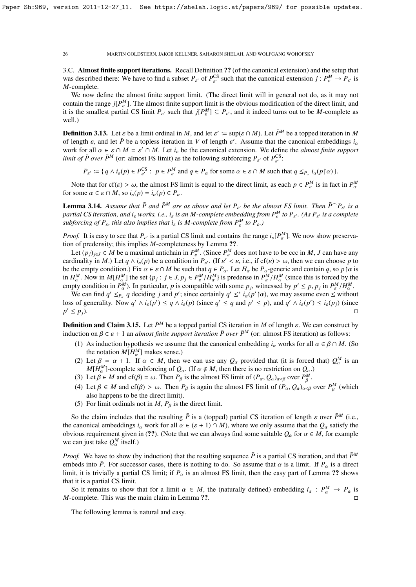3.C. Almost finite support iterations. Recall Definition ?? (of the canonical extension) and the setup that was described there: We have to find a subset  $P_{\varepsilon}$  of  $P_{\varepsilon}^{\text{CS}}$  such that the canonical extension  $j: P_{\varepsilon}^M \to P_{\varepsilon}$  is *M* complete *M*-complete.

We now define the almost finite support limit. (The direct limit will in general not do, as it may not contain the range  $j[P^M_\varepsilon]$ . The almost finite support limit is the obvious modification of the direct limit, and it is the smallest partial CS limit  $P_{\varepsilon}$  such that  $j[P_{\varepsilon}^M] \subseteq P_{\varepsilon}$ , and it indeed turns out to be *M*-complete as well.)

**Definition 3.13.** Let  $\varepsilon$  be a limit ordinal in *M*, and let  $\varepsilon' := \sup(\varepsilon \cap M)$ . Let  $\overline{P}^M$  be a topped iteration in *M* of length  $\varepsilon'$  assume that the canonical embeddings *i* of length  $\varepsilon$ , and let  $\overline{P}$  be a topless iteration in *V* of length  $\varepsilon'$ . Assume that the canonical embeddings *i<sub>a</sub>*<br>work for all  $\alpha \in \varepsilon \cap M - \varepsilon' \cap M$ . Let *i*, be the canonical extension. We define the *almost* work for all  $\alpha \in \varepsilon \cap M = \varepsilon' \cap M$ . Let  $i_{\varepsilon}$  be the canonical extension. We define the *almost finite support limit of*  $\bar{P}$  *over*  $\bar{P}^M$  (or: almost FS limit) as the following subforcing  $P$  *of*  $P^{CS}$ . *limit of*  $\bar{P}$  *over*  $\bar{P}^M$  (or: almost FS limit) as the following subforcing  $P_{\varepsilon'}$  of  $P_{\varepsilon'}^{\text{CS}}$ :

 $P_{\varepsilon'} := \{ q \wedge i_{\varepsilon}(p) \in P_{\varepsilon'}^{\text{CS}} : p \in P_{\varepsilon}^M \text{ and } q \in P_\alpha \text{ for some } \alpha \in \varepsilon \cap M \text{ such that } q \leq_{P_\alpha} i_{\alpha}(p \upharpoonright \alpha) \}.$ 

Note that for cf( $\varepsilon$ ) >  $\omega$ , the almost FS limit is equal to the direct limit, as each  $p \in P^M_{\varepsilon}$  is in fact in  $P^M_{\alpha}$ for some  $\alpha \in \varepsilon \cap M$ , so  $i_{\varepsilon}(p) = i_{\alpha}(p) \in P_{\alpha}$ .

**Lemma 3.14.** Assume that  $\bar{P}$  and  $\bar{P}^M$  are as above and let  $P_{\varepsilon'}$  be the almost FS limit. Then  $\bar{P}^{\frown}P_{\varepsilon'}$  is a complete that is a set in each *is a complete in a semplete with a line of the point of partial CS iteration, and i*ε *works, i.e., i*ε *is an M-complete embedding from P<sup>M</sup> to P*ε <sup>0</sup> *. (As P*ε <sup>0</sup> *is a complete subforcing of*  $P_{\varepsilon}$ *, this also implies that i<sub>ε</sub> is M-complete from*  $P_{\varepsilon}^M$  *to*  $P_{\varepsilon}$ *.*)

*Proof.* It is easy to see that  $P_{\varepsilon}$  is a partial CS limit and contains the range  $i_{\varepsilon}[P_{\varepsilon}^M]$ . We now show preservation of prodonsity this implies M completences by Lamma 22 tion of predensity; this implies *M*-completeness by Lemma ??.

Let  $(p_j)_{j \in J} \in M$  be a maximal antichain in  $P^M_\varepsilon$ . (Since  $P^M_\varepsilon$  does not have to be ccc in *M*, *J* can choose n to dinality in *M*) I et  $a \wedge i$  (n) be a condition in *P*<sub>i</sub>. (If  $c' < c$ , i.e., if  $cf(c) > \omega$ , then cardinality in *M*.) Let  $q \wedge i_{\varepsilon}(p)$  be a condition in  $P_{\varepsilon}$ . (If  $\varepsilon' < \varepsilon$ , i.e., if  $cf(\varepsilon) > \omega$ , then we can choose *p* to be the empty condition ). Fix  $\alpha \in s \cap M$  be such that  $a \in P$ . Let *H* be *P*, generic be the empty condition.) Fix  $\alpha \in \varepsilon \cap M$  be such that  $q \in P_\alpha$ . Let  $H_\alpha$  be  $P_\alpha$ -generic and contain *q*, so *p*  $\alpha$  is in  $H^M_\alpha$ . Now in  $M[H^M_\alpha]$  the set  $\{p_j : j \in J, p_j \in P^M_\alpha / H^M_\alpha\}$  is predense in  $P^M_\alpha / H^M_\alpha$  (since this is forced by the empty condition in  $P^M$ ). In particular, n is compatible with some n, witnessed by  $p' \leq p, p$ , empty condition in *P*<sup>M</sup>. In particular, *p* is compatible with some *p<sub>j</sub>*, witnessed by  $p' \le p$ ,  $p_j$  in  $P_e^M/H_e^M$ .<br>We can find  $a' \le p$ , *a* deciding *i* and *n'*; since certainly  $a' \le \tilde{a}$  *i* (*n'* bo) we may ass

We can find  $q' \leq_{P_\alpha} q$  deciding *j* and *p*'; since certainly  $q' \leq^* i_\alpha(p' \upharpoonright \alpha)$ , we may assume even  $\leq$  without s of generality. Now  $q' \wedge i$  (*p'*)  $\leq a \wedge i$  (*p*) (since  $q' \leq a$  and  $p' \leq a$  and  $p' \leq a$  and loss of generality. Now  $q' \wedge i_{\varepsilon}(p') \le q \wedge i_{\varepsilon}(p)$  (since  $q' \le q$  and  $p' \le p$ ), and  $q' \wedge i_{\varepsilon}(p') \le i_{\varepsilon}(p_j)$  (since  $p' \leq p_i$ ).  $\alpha' \leq p_j$ ).

**Definition and Claim 3.15.** Let  $\bar{P}^M$  be a topped partial CS iteration in *M* of length  $\varepsilon$ . We can construct by induction on  $\beta \in \varepsilon + 1$  an *almost finite support iteration*  $\bar{P}$  *over*  $\bar{P}^M$  (or: almost FS iteration) as follows:

- (1) As induction hypothesis we assume that the canonical embedding  $i_\alpha$  works for all  $\alpha \in \beta \cap M$ . (So the notation  $M[H^M_{\alpha}]$  makes sense.)
- (2) Let  $\beta = \alpha + 1$ . If  $\alpha \in M$ , then we can use any  $Q_{\alpha}$  provided that (it is forced that)  $Q_{\alpha}^{M}$  is an *MIH<sup>M</sup>*-complete subforcing of *Q* (If  $\alpha \notin M$  then there is no restriction on *Q*)  $M[H^M]$ -complete subforcing of  $Q_\alpha$ . (If  $\alpha \notin M$ , then there is no restriction on  $Q_\alpha$ .)<br>Let  $\beta \in M$  and  $cf(\beta) = \omega$ . Then  $P_\alpha$  is the almost FS limit of  $(P_1, Q_2)$ ,  $\alpha$  over  $P^M$
- (3) Let  $\beta \in M$  and cf( $\beta$ ) = ω. Then  $P_\beta$  is the almost FS limit of  $(P_\alpha, Q_\alpha)_{\alpha \leq \beta}$  over  $P_\beta^M$ .
- (4) Let  $\beta \in M$  and cf( $\beta$ ) >  $\omega$ . Then  $P_{\beta}$  is again the almost FS limit of  $(P_{\alpha}, Q_{\alpha})_{\alpha < \beta}$  over  $P_{\beta}^{M}$  (which also happens to be the direct limit) β also happens to be the direct limit).
- (5) For limit ordinals not in  $M$ ,  $P_\beta$  is the direct limit.

So the claim includes that the resulting  $\bar{P}$  is a (topped) partial CS iteration of length  $\varepsilon$  over  $\bar{P}^M$  (i.e., the canonical embeddings  $i_\alpha$  work for all  $\alpha \in (\varepsilon + 1) \cap M$ ), where we only assume that the  $Q_\alpha$  satisfy the obvious requirement given in (??). (Note that we can always find some suitable  $Q_\alpha$  for  $\alpha \in M$ , for example we can just take  $Q_{\alpha}^{M}$  itself.)

*Proof.* We have to show (by induction) that the resulting sequence  $\bar{P}$  is a partial CS iteration, and that  $\bar{P}^M$ embeds into  $\bar{P}$ . For successor cases, there is nothing to do. So assume that  $\alpha$  is a limit. If  $P_\alpha$  is a direct limit, it is trivially a partial CS limit; if  $P_\alpha$  is an almost FS limit, then the easy part of Lemma ?? shows that it is a partial CS limit.

So it remains to show that for a limit  $\alpha \in M$ , the (naturally defined) embedding  $i_{\alpha} : P_{\alpha}^{M} \to P_{\alpha}$  is complete. This was the main claim in Lemma 22 *M*-complete. This was the main claim in Lemma ??.

The following lemma is natural and easy.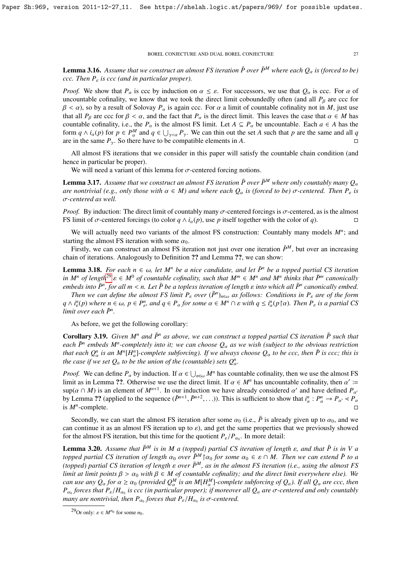**Lemma 3.16.** Assume that we construct an almost FS iteration  $\bar{P}$  over  $\bar{P}^M$  where each  $Q_\alpha$  is (forced to be) *ccc. Then P*ε *is ccc (and in particular proper).*

*Proof.* We show that  $P_\alpha$  is ccc by induction on  $\alpha \leq \varepsilon$ . For successors, we use that  $Q_\alpha$  is ccc. For  $\alpha$  of uncountable cofinality, we know that we took the direct limit coboundedly often (and all  $P_\beta$  are ccc for  $\beta < \alpha$ ), so by a result of Solovay  $P_\alpha$  is again ccc. For  $\alpha$  a limit of countable cofinality not in *M*, just use that all  $P_\beta$  are ccc for  $\beta < \alpha$ , and the fact that  $P_\alpha$  is the direct limit. This leaves the case that  $\alpha \in M$  has countable cofinality, i.e., the  $P_\alpha$  is the almost FS limit. Let  $A \subseteq P_\alpha$  be uncountable. Each  $a \in A$  has the form  $q \wedge i_{\alpha}(p)$  for  $p \in P_{\alpha}^{M}$  and  $q \in \bigcup_{\gamma < \alpha} P_{\gamma}$ . We can thin out the set *A* such that *p* are the same and all *q* are in the same  $P_{\alpha}$ . So there have to be compatible elements in *A* are in the same  $P_\gamma$ . So there have to be compatible elements in *A*.

All almost FS iterations that we consider in this paper will satisfy the countable chain condition (and hence in particular be proper).

We will need a variant of this lemma for  $\sigma$ -centered forcing notions.

**Lemma 3.17.** Assume that we construct an almost FS iteration  $\bar{P}$  over  $\bar{P}^M$  where only countably many  $Q_\alpha$ *are nontrivial (e.g., only those with*  $\alpha \in M$ ) and where each  $Q_{\alpha}$  *is (forced to be)*  $\sigma$ -centered. Then  $P_{\varepsilon}$  *is* σ*-centered as well.*

*Proof.* By induction: The direct limit of countably many  $\sigma$ -centered forcings is  $\sigma$ -centered, as is the almost FS limit of  $\sigma$ -centered forcings (to color  $a \wedge i_{\sigma}(p)$ ), use *p* itself together with the color of *a* FS limit of  $\sigma$ -centered forcings (to color  $q \wedge i_{\alpha}(p)$ , use p itself together with the color of *q*).

We will actually need two variants of the almost FS construction: Countably many models  $M^n$ ; and starting the almost FS iteration with some  $\alpha_0$ .

Firstly, we can construct an almost FS iteration not just over one iteration  $\bar{P}^M$ , but over an increasing chain of iterations. Analogously to Definition ?? and Lemma ??, we can show:

**Lemma 3.18.** *For each*  $n \in \omega$ , let  $M^n$  be a nice candidate, and let  $\bar{P}^n$  be a topped partial CS iteration *in M*<sup>*n*</sup> *of length*<sup>[29](#page-26-0)</sup>  $\varepsilon \in M^0$  *of countable cofinality, such that*  $M^m \in M^n$  *and*  $M^n$  *thinks that*  $\bar{P}^m$  *canonically embeds* into  $\bar{P}^n$  *for all*  $m \le n$ . Let  $\bar{P}$  be a topless iteration of leng *embeds into*  $\bar{P}^n$ , for all  $m < n$ . Let  $\bar{P}$  be a topless iteration of length  $\varepsilon$  *into which all*  $\bar{P}^n$  *canonically embed.*<br>Then we can define the almost ES limit P, over  $(\bar{P}^n)$ , as follows: Conditions

*Then we can define the almost FS limit*  $P_{\varepsilon}$  *over* ( $\bar{P}^n$ )<sub>*n*∈ω</sub> *as follows: Conditions in*  $P_{\varepsilon}$  *are of the form*<br>*i*<sup>n</sup>(n) where  $n \in \mathbb{N}$ ,  $n \in \mathbb{N}^n$ , and  $n \in \mathbb{N}$ , for some  $n \in \mathbb{N}^n$   $\Omega$  $q \wedge i_{\varepsilon}^n(p)$  where  $n \in \omega$ ,  $p \in P_{\varepsilon}^n$ , and  $q \in P_{\alpha}$  for some  $\alpha \in M^n \cap \varepsilon$  with  $q \leq i_{\alpha}^n(p \upharpoonright \alpha)$ . Then  $P_{\varepsilon}$  is a partial CS limit over each  $\bar{P}_n^n$ . *limit over each*  $\bar{P}^n$ .

As before, we get the following corollary:

**Corollary 3.19.** Given  $M^n$  and  $\bar{P}^n$  as above, we can construct a topped partial CS iteration  $\bar{P}$  such that *each*  $\bar{P}^n$  *embeds M<sup>n</sup>*-completely into it; we can choose  $Q_\alpha$  as we wish (subject to the obvious restriction)<br>that each  $Q_0^n$  is an *MILUID* countate subfamine). If we always aboses Q, to be seen than  $\bar{P}$  is *that each*  $Q_a^n$  *is an*  $M^n[H_a^n]$ -complete subforcing). If we always choose  $Q_a$  *to be ccc, then*  $\overline{P}$  *is ccc; this is* the substitution of the (equatable) sets  $Q_a^n$ *the case if we set*  $Q_{\alpha}$  *to be the union of the (countable) sets*  $Q_{\alpha}^{n}$ *.* 

*Proof.* We can define  $P_\alpha$  by induction. If  $\alpha \in \bigcup_{n \in \omega} M^n$  has countable cofinality, then we use the almost FS limit as in Lemma 22. Otherwise we use the direct limit If  $\alpha \in M^n$  has uncountable cofinality, then  $\alpha$ limit as in Lemma ??. Otherwise we use the direct limit. If  $\alpha \in M^n$  has uncountable cofinality, then  $\alpha' := \sup(\alpha \cap M)$  is an element of  $M^{n+1}$ . In our induction we have already considered  $\alpha'$  and have defined  $P$ .  $\sup(\alpha \cap M)$  is an element of  $M^{n+1}$ . In our induction we have already considered  $\alpha'$  and have defined  $P_{\alpha}$ <br>by Lemma 22 (applied to the sequence  $(\bar{P}^{n+1} - \bar{P}^{n+2})$ ). This is sufficient to show that  $i^n \cdot P^n \to P$  o by Lemma ?? (applied to the sequence  $(\bar{P}^{n+1}, \bar{P}^{n+2}, \ldots)$ ). This is sufficient to show that  $i_a^n$ mma ?? (applied to the sequence  $(\bar{P}^{n+1}, \bar{P}^{n+2}, \ldots)$ ). This is sufficient to show that  $i_{\alpha}^n : P_{\alpha}^n \to P_{\alpha'} \lt P_{\alpha}$ -complete. is  $M^n$ -complete.

Secondly, we can start the almost FS iteration after some  $\alpha_0$  (i.e.,  $\bar{P}$  is already given up to  $\alpha_0$ , and we can continue it as an almost FS iteration up to  $\varepsilon$ ), and get the same properties that we previously showed for the almost FS iteration, but this time for the quotient  $P_{\varepsilon}/P_{\alpha_0}$ . In more detail:

**Lemma 3.20.** Assume that  $\bar{P}^M$  is in M a (topped) partial CS iteration of length  $\varepsilon$ , and that  $\bar{P}$  is in V a *topped partial CS iteration of length*  $\alpha_0$  *over*  $\bar{P}^M$   $\alpha_0$  *for some*  $\alpha_0 \in \varepsilon \cap M$ . Then we can extend  $\bar{P}$  to a (topped) partial CS iteration of length  $\varepsilon$  over  $\bar{P}^M$ , as in the almost FS iteration (i.e., using the almost FS *limit at limit points*  $\beta > \alpha_0$  *with*  $\beta \in M$  *of countable cofinality; and the direct limit everywhere else). We can use any*  $Q_{\alpha}$  *for*  $\alpha \ge \alpha_0$  *(provided*  $Q_{\alpha}^M$  *is an M*[*H*<sup>M</sup>]-complete subforcing of  $Q_{\alpha}$ ). If all  $Q_{\alpha}$  are ccc, then  $P$  *is ccc (in particular proper)*: if moreover all  $Q_{\alpha}$  are  $\sigma$ -centered and  $P_{\alpha_0}$  forces that  $P_{\varepsilon}/H_{\alpha_0}$  is ccc (in particular proper); if moreover all  $Q_{\alpha}$  are  $\sigma$ -centered and only countably<br>many are nontrivial, then  $P_{\alpha}$  forces that  $P_{\alpha}/H_{\alpha}$  is  $\sigma_{\alpha}$  centered  $\mu$ <sub>*many are nontrivial, then P*<sub>α0</sub> *forces that P<sub>ε</sub>/H*<sub>α0</sub> *is*  $\sigma$ -centered.</sub>

<span id="page-26-0"></span><sup>&</sup>lt;sup>29</sup>Or only:  $\varepsilon \in M^{n_0}$  for some  $n_0$ .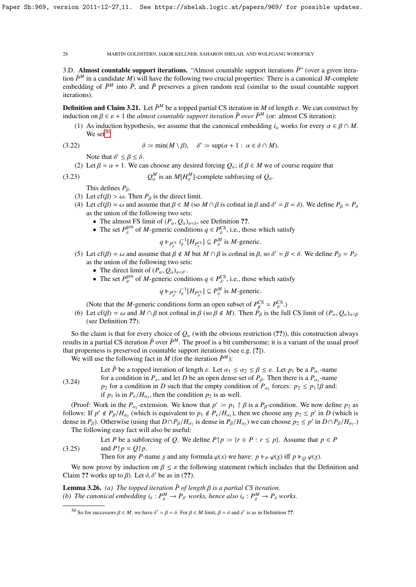$(3.23)$ 

28 MARTIN GOLDSTERN, JAKOB KELLNER, SAHARON SHELAH, AND WOLFGANG WOHOFSKY

3.D. Almost countable support iterations. "Almost countable support iterations  $\bar{P}$ " (over a given iteration  $\bar{P}^M$  in a candidate *M*) will have the following two crucial properties: There is a canonical *M*-complete embedding of  $\bar{P}^M$  into  $\bar{P}$ , and  $\bar{P}$  preserves a given random real (similar to the usual countable support iterations).

**Definition and Claim 3.21.** Let  $\bar{P}^M$  be a topped partial CS iteration in *M* of length  $\varepsilon$ . We can construct by induction on  $\beta \in \varepsilon + 1$  the *almost countable support iteration*  $\bar{P}$  *over*  $\bar{P}^M$  (or: almost CS iteration):

(1) As induction hypothesis, we assume that the canonical embedding  $i_{\alpha}$  works for every  $\alpha \in \beta \cap M$ . We set $30$ 

(3.22) 
$$
\delta := \min(M \setminus \beta), \quad \delta' := \sup(\alpha + 1 : \alpha \in \delta \cap M).
$$

Note that  $\delta' \leq \beta \leq \delta$ .<br>Let  $\beta = \alpha + 1$  We can

(2) Let  $\beta = \alpha + 1$ . We can choose any desired forcing  $Q_\alpha$ ; if  $\beta \in M$  we of course require that

$$
Q_{\alpha}^{M}
$$
 is an  $M[H_{\alpha}^{M}]$ -complete subforcing of  $Q_{\alpha}$ .

This defines  $P_\beta$ .

- (3) Let cf( $\beta$ ) >  $\omega$ . Then  $P_{\beta}$  is the direct limit.
- (4) Let cf( $\beta$ ) =  $\omega$  and assume that  $\beta \in M$  (so  $M \cap \beta$  is cofinal in  $\beta$  and  $\delta' = \beta = \delta$ ). We define  $P_{\beta} = P_{\delta}$  as the union of the following two sets: as the union of the following two sets:
	- The almost FS limit of  $(P_\alpha, Q_\alpha)_{\alpha < \delta}$ , see Definition ??.
	- The set  $P_{\delta}^{\text{gen}}$  of *M*-generic conditions  $q \in P_{\delta}^{\text{CS}}$ , i.e., those which satisfy

$$
q \Vdash_{P_{\delta}^{\text{CS}}} i_{\delta}^{-1}[H_{P_{\delta}^{\text{CS}}}] \subseteq P_{\delta}^M
$$
 is *M*-generic.

- (5) Let cf( $\beta$ ) = ω and assume that  $\beta \notin M$  but  $M \cap \beta$  is cofinal in  $\beta$ , so  $\delta' = \beta < \delta$ . We define  $P_{\beta} = P_{\delta'}$ <br>as the union of the following two sets: as the union of the following two sets:
	- The direct limit of  $(P_\alpha, Q_\alpha)_{\alpha < \delta'}$ .
	- The set  $P_{\beta}^{\text{gen}}$  of *M*-generic conditions  $q \in P_{\beta}^{\text{CS}}$ , i.e., those which satisfy

$$
q \Vdash_{P_{\delta'}^{CS}} i_{\delta}^{-1}[H_{P_{\delta'}^{CS}}] \subseteq P_{\delta}^M
$$
 is *M*-generic.

δ δ δ δ (Note that the *M*-generic conditions form an open subset of  $P<sub>g</sub><sup>CS</sup>$  $P_{\beta}^{\text{CS}} = P_{\delta'}^{\text{CS}}$ <br><sup>2</sup><sub>c</sub> is the f  $\frac{\delta^{(0)}}{\delta^{(0)}}$ 

(6) Let cf( $\beta$ ) =  $\omega$  and  $M \cap \beta$  not cofinal in  $\beta$  (so  $\beta \notin M$ ). Then  $P_{\beta}$  is the full CS limit of  $(P_{\alpha}, Q_{\alpha})_{\alpha < \beta}$ <br>(see Definition 22) (see Definition ??).

So the claim is that for every choice of  $Q_\alpha$  (with the obvious restriction (??)), this construction always results in a partial CS iteration  $\bar{P}$  over  $\bar{P}^M$ . The proof is a bit cumbersome; it is a variant of the usual proof that properness is preserved in countable support iterations (see e.g. [?]).

We will use the following fact in *M* (for the iteration  $\bar{P}^M$ ):

(3.24) Let  $\bar{P}$  be a topped iteration of length  $\varepsilon$ . Let  $\alpha_1 \leq \alpha_2 \leq \beta \leq \varepsilon$ . Let  $p_1$  be a  $P_{\alpha_1}$ -name for a condition in  $P_{\alpha_1}$  and let  $D$  be an onen dense set of  $P_{\alpha_1}$ . Then there is a  $P_{\alpha_1}$ -name for a condition in  $P_{\varepsilon}$ , and let *D* be an open dense set of  $P_{\beta}$ . Then there is a  $P_{\alpha_2}$ -name *p*<sub>2</sub> for a condition in *D* such that the empty condition of  $P_{\alpha_2}$  forces:  $p_2 \le p_1 \beta$  and: if  $p_1$  is in  $P_{\varepsilon}/H_{\alpha_2}$ , then the condition  $p_2$  is as well.

(Proof: Work in the  $P_{\alpha_2}$ -extension. We know that  $p' := p_1 \upharpoonright \beta$  is a  $P_{\beta}$ -condition. We now define  $p_2$  as lows: If  $p' \notin P_{\beta}/H$  (which is equivalent to  $p_1 \notin P_{\beta}/H$ ) then we choose any  $p_2 \le p'$  in  $D$  (which follows: If  $p' \notin P_\beta/H_{\alpha_2}$  (which is equivalent to  $p_1 \notin P_\epsilon/H_{\alpha_2}$ ), then we choose any  $p_2 \le p'$  in *D* (which is dense in *P<sub>a</sub>*). Otherwise (using that  $D \cap P_\beta/H$  is dense in  $P_\beta/H$ ) we can choose  $p_\beta \le p'$  in  $D \cap P$ dense in  $P_\beta$ ). Otherwise (using that  $D \cap P_\beta / H_{\alpha_2}$  is dense in  $P_\beta / H_{\alpha_2}$ ) we can choose  $p_2 \le p'$  in  $D \cap P_\beta / H_{\alpha_2}$ .) The following easy fact will also be useful:

(3.25) Let *P* be a subforcing of *Q*. We define  $P \upharpoonright p := \{r \in P : r \leq p\}$ . Assume that  $p \in P$ and  $P \upharpoonright p = O \upharpoonright p$ .

Then for any *P*-name *x* and any formula  $\varphi(x)$  we have:  $p \Vdash_{P} \varphi(x)$  iff  $p \Vdash_{Q} \varphi(x)$ .

We now prove by induction on  $\beta \leq \varepsilon$  the following statement (which includes that the Definition and<br>im 22 works up to  $\beta$ ). Let  $\delta$   $\delta'$  be as in (22) Claim ?? works up to  $\beta$ ). Let  $\delta$ ,  $\delta'$  be as in (??).

**Lemma 3.26.** *(a) The topped iteration*  $\bar{P}$  *of length*  $\beta$  *is a partial CS iteration. (b) The canonical embedding*  $i_{\delta}: P_{\delta}^{M} \to P_{\delta'}$  *works, hence also*  $i_{\delta}: P_{\delta}^{M} \to P_{\delta}$  *works.* 

<span id="page-27-0"></span><sup>30</sup> So for successors  $\beta \in M$ , we have  $\delta' = \beta = \delta$ . For  $\beta \in M$  limit,  $\beta = \delta$  and  $\delta'$  is as in Definition ??.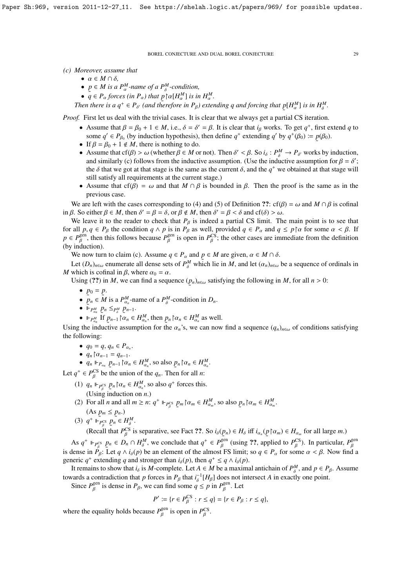*(c) Moreover, assume that*

- $\bullet \ \alpha \in M \cap \delta,$
- $p \in M$  *is a P*<sup>*M*</sup>-name of a P<sup>*M*</sup>-condition,
- $\tilde{q} \in P_{\alpha}$  forces (in  $P_{\alpha}$ ) that  $p \upharpoonright \alpha[H_{\alpha}^M]$  is in  $H_{\alpha}^M$ .<br>
Let there is  $\alpha \leq R_{\alpha}$  (and therefore in  $R_{\alpha}$ ) extens

Then there is a  $q^+ \in P_{\delta'}$  (and therefore in  $P_\beta$ ) extending q and forcing that  $p[H_\alpha^M]$  is in  $H_\delta^M$ .

˜ *Proof.* First let us deal with the trivial cases. It is clear that we always get a partial CS iteration.

- Assume that  $\beta = \beta_0 + 1 \in M$ , i.e.,  $\delta = \delta' = \beta$ . It is clear that *i<sub>β</sub>* works. To get  $q^+$ , first extend *q* to some  $q' \in P_0$ , (by induction by pothesis), then define  $q^+$  extending  $q'$  by  $q^+(R_0) = p(R_0)$ some  $q' \in P_{\beta_0}$  (by induction hypothesis), then define  $q^+$  extending  $q'$  by  $q^+(\beta_0) := p(\beta_0)$ .<br>If  $\beta = \beta_0 + 1 \notin M$  there is nothing to do. ˜
- If  $\beta = \beta_0 + 1 \notin M$ , there is nothing to do.
- Assume that cf(β) > ω (whether  $β ∈ M$  or not). Then  $δ' < β$ . So  $i_{δ} : P_0^M \to P_{δ'}$  works by induction, and similarly (c) follows from the inductive assumption. (Use the inductive assumption for  $β = δ'$ ) and similarly (c) follows from the inductive assumption. (Use the inductive assumption for  $\beta = \delta'$ ; the  $\delta$  that we got at that stage is the same as the current  $\delta$  and the  $a^+$  we obtained at that stage will the  $\delta$  that we got at that stage is the same as the current  $\delta$ , and the  $q^+$  we obtained at that stage will satisfy all requirements at the current stage.) still satisfy all requirements at the current stage.)
- Assume that cf( $\beta$ ) =  $\omega$  and that  $M \cap \beta$  is bounded in  $\beta$ . Then the proof is the same as in the previous case.

We are left with the cases corresponding to (4) and (5) of Definition ??: cf( $\beta$ ) =  $\omega$  and *M* ∩  $\beta$  is cofinal in β. So either  $\beta \in M$ , then  $\delta' = \beta = \delta$ , or  $\beta \notin M$ , then  $\delta' = \beta < \delta$  and cf( $\delta$ ) > ω.<br>We leave it to the reader to check that  $P_{\alpha}$  is indeed a partial CS limit. The

We leave it to the reader to check that  $P_\beta$  is indeed a partial CS limit. The main point is to see that for all  $p, q \in P_\beta$  the condition  $q \wedge p$  is in  $P_\beta$  as well, provided  $q \in P_\alpha$  and  $q \le p \upharpoonright \alpha$  for some  $\alpha < \beta$ . If  $p \in P_\beta^{\text{gen}}$ , then this follows because  $P_\beta^{\text{gen}}$  is open in  $P_\beta^{\text{CS}}$ ; the other cases are imme (by induction).  $\beta^{\text{gen}}_{\beta}$  is open in  $P_{\beta}^{\text{CS}}$  $\mathcal{E}_{\beta}^{\text{CS}}$ ; the other cases are immediate from the definition

We now turn to claim (c). Assume  $q \in P_\alpha$  and  $p \in M$  are given,  $\alpha \in M \cap \delta$ .<br>Let  $(P_\alpha)$  any presente oil dance atte of  $P^M$  which lie in M and let  $(\alpha)$ .

Let  $(D_n)_{n \in \omega}$  enumerate all dense sets of  $P_\delta^M$  which lie in  $M$ , and let  $(\alpha_n)_{n \in \omega}$  be a sequence of ordinals in which is cofinal in  $\beta$ , where  $\alpha_0 = \alpha$ *M* which is cofinal in  $\beta$ , where  $\alpha_0 = \alpha$ .

Using (??) in *M*, we can find a sequence  $(p_n)_{n \in \omega}$  satisfying the following in *M*, for all  $n > 0$ : ˜

- $p_0 = p$ .
- $p_n \in M$  is a  $P_{\alpha_n}^M$ -name of a  $P_{\delta}^M$  $\delta^{M}$ -condition in  $D_n$ .
- $\mathcal{L}^{n}$   $\mapsto$   $\mathcal{L}^{n}$   $\mathcal{L}_{n}$   $\mathcal{L}_{n}$   $\mathcal{L}_{n}$   $\mathcal{L}_{n}$   $\mathcal{L}_{n}$   $\mathcal{L}_{n}$   $\mathcal{L}_{n-1}$ .
- $P_{\alpha_n}^M$  if  $p_{n-1} \nbrace \alpha_n \in H_{\alpha_n}^M$ , then  $p_n \nbrace \alpha_n \in H_{\alpha_n}^M$  as well.

Using the inductive assumption for the  $\alpha_n$ 's, we can now find a sequence  $(q_n)_{n\in\omega}$  of conditions satisfying the following: the following:

- $q_0 = q, q_n \in P_{\alpha_n}$ .
- $q_n \upharpoonright \alpha_{n-1} = q_{n-1}.$ <br>•  $q_n \upharpoonright n \rightarrow \upharpoonright \alpha$
- $q_n \Vdash_{P_{\alpha_n}} p_{n-1} \upharpoonright \alpha_n \in H_{\alpha_n}^M$  $\alpha_n^M$ , so also  $p_n \upharpoonright \alpha_n \in H_{\alpha_n}^M$  $\frac{M}{\alpha_n}$ .

Let  $q^+ \in P_\beta^{\text{CS}}$  be the union of the  $q_n$ . Then for all *n*:

- (1)  $q_n \Vdash_{P_P^{\text{CS}}} p_n \upharpoonright \alpha_n \in H_{\alpha_n}^M$ <br>(Leine induction on (Using induction on *n*.)  $\alpha_n^{M}$ , so also  $q^+$  forces this.
- (2) For all *n* and all  $m \ge n$ :  $q^+ \Vdash_{P_\beta^{CS}} p_m \upharpoonright \alpha_m \in H_{\alpha_n}^M$ <br>(As  $n_n \le n_n$ ) β  $a_m^M$ , so also  $p_n \upharpoonright \alpha_m \in H_{\alpha_n}^M$  $\frac{M}{\alpha_m}$ .
- $(As p_m \leq p_n.)$ (3)  $q^+ \Vdash_{P_\beta^{CS}}^{\sim} p_n \in H_\delta^M$ .

(Recall that  $P_{\beta}^{CS}$  is separative, see Fact ??. So  $i_{\delta}(p_n) \in H_{\delta}$  iff  $i_{\alpha_n}(p \upharpoonright \alpha_m) \in H_{\alpha_m}$  for all large *m*.)

As  $q^+ \Vdash_{P_6^{\text{CS}}} p_n \in D_n \cap H_6^M$ , we conclude that  $q^+ \in P_6^{\text{gen}}$  (using ??, applied to  $P_6^{\text{CS}}$ ). In particular,  $P_6^{\text{gen}}$ is dense in  $P_{\beta}$ : Let  $q \wedge i_{\delta}(p)$  be an element of the almost FS limit; so  $q \in P_{\alpha}$  for some  $\alpha < \beta$ . Now find a generic *q*<sup>+</sup> extending *q* and stronger than  $i_{\delta}(p)$ , then  $q^+ \le q \wedge i_{\delta}(p)$ .<br>It remains to show that *i* is *M* complete. Let  $A \subseteq M$  be a maximum

It remains to show that  $i_{\delta}$  is *M*-complete. Let  $A \in M$  be a maximal antichain of  $P_{\delta}^M$ , and  $p \in P_{\beta}$ . Assume towards a contradiction that *p* forces in  $P_\beta$  that  $i_\delta^{-1}[H_\beta]$  does not intersect *A* in exactly one point.

Since  $P_{\beta}^{\text{gen}}$  is dense in  $P_{\beta}$ , we can find some  $q \le p$  in  $P_{\beta}^{\text{gen}}$ . Let β β

β

$$
P' := \{ r \in P_{\beta}^{\text{CS}} : r \le q \} = \{ r \in P_{\beta} : r \le q \},
$$

β

where the equality holds because  $P_R^{\text{gen}}$  is open in  $P_R^{\text{CS}}$ .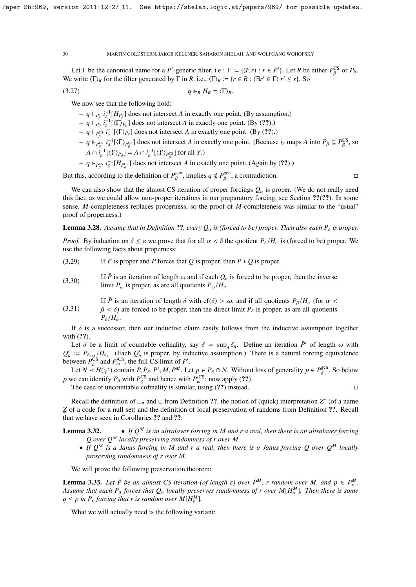Let  $\Gamma$  be the canonical name for a *P*'-generic filter, i.e.:  $\Gamma := \{(\check{r}, r) : r \in P'\}$ . Let *R* be either  $P_\beta^{\text{CS}}$  or  $P_\beta$ . β We write  $\langle \Gamma \rangle_R$  for the filter generated by  $\Gamma$  in *R*, i.e.,  $\langle \Gamma \rangle_R := \{ r \in R : (\exists r' \in \Gamma) \ r' \le r \}$ . So

$$
(3.27) \t q\Vdash_R H_R = \langle \Gamma \rangle_R.
$$

We now see that the following hold:

 $- q \Vdash_{P_\beta} i_{\delta}^{-1}[H_{P_\beta}]$  does not intersect *A* in exactly one point. (By assumption.)

- $q \Vdash_{P_\beta} i_{\delta}^{-1}[(\Gamma)_{P_\beta}]$  does not intersect *A* in exactly one point. (By (??).)
- $q \Vdash_{P_{\beta}^{\text{CS}}} i_{\delta}^{-1}[\langle \Gamma \rangle_{P_{\beta}}]$  does not intersect *A* in exactly one point. (By (??).)
- $q \Vdash_{P_{\beta}^{\text{CS}}} i_{\delta}^{-1} [\langle \Gamma \rangle_{P_{\beta}^{\text{CS}}} ]$  does not intersect *A* in exactly one point. (Because  $i_{\delta}$  maps *A* into  $P_{\beta} \subseteq P_{\beta}^{\text{CS}}$ , so  $A \cap i_{\delta}^{-1}[(Y)_{P_{\beta}}] = A \cap i_{\delta}^{-1}[(Y)_{P_{\beta}^{CS}}]$  for all *Y*.) β

β

 $- q \Vdash_{P_R^{\text{CS}}} i_{\delta}^{-1}[H_{P_R^{\text{CS}}}]$  does not intersect *A* in exactly one point. (Again by (??).)

But this, according to the definition of  $P_R^{\text{gen}}$ , implies  $q \notin P_R^{\text{gen}}$ , a contradiction.

Γ

We can also show that the almost CS iteration of proper forcings  $Q_\alpha$  is proper. (We do not really need this fact, as we could allow non-proper iterations in our preparatory forcing, see Section ??(??). In some sense, *M*-completeness replaces properness, so the proof of *M*-completeness was similar to the "usual" proof of properness.)

**Lemma 3.28.** Assume that in Definition ??, every  $Q_\alpha$  is (forced to be) proper. Then also each  $P_\delta$  is proper.

*Proof.* By induction on  $\delta \leq \varepsilon$  we prove that for all  $\alpha < \delta$  the quotient  $P_{\delta}/H_{\alpha}$  is (forced to be) proper. We use the following facts about properness:

(3.29) If *P* is proper and *P* forces that *Q* is proper, then *P* ∗ *Q* is proper.

(3.30) If  $\overline{P}$  is an iteration of length  $\omega$  and if each  $Q_n$  is forced to be proper, then the inverse limit  $P_{\omega}$  is proper, as are all quotients  $P_{\omega}/H_n$ .

If  $\bar{P}$  is an iteration of length  $\delta$  with cf( $\delta$ ) >  $\omega$ , and if all quotients  $P_{\beta}/H_{\alpha}$  (for  $\alpha$  <

(3.31)  $\beta < \delta$ ) are forced to be proper, then the direct limit  $P_{\delta}$  is proper, as are all quotients  $P_\delta/H_\alpha$ .

If  $\delta$  is a successor, then our inductive claim easily follows from the inductive assumption together with  $(?)$ .

Let  $\delta$  be a limit of countable cofinality, say  $\delta = \sup_n \delta_n$ . Define an iteration  $\overline{P}^r$  of length  $\omega$  with  $\overline{P}^r = P$ ,  $H_c$ . (Each  $Q^r$  is proper by inductive assumption). There is a natural forcing equivalence  $Q'_n := P_{\delta_{n+1}}/H_{\delta_n}$ . (Each  $Q'_n$  is proper, by inductive assumption.) There is a natural forcing equivalence between  $P_{\delta}^{\text{CS}}$  and  $P_{\omega}^{\text{CS}}$ , the full CS limit of  $\bar{P}'$ .

Let  $N \lt H(\chi^*)$  contain  $\bar{P}$ ,  $P_\delta$ ,  $\bar{P}'$ ,  $M$ ,  $\bar{P}^M$ . Let  $p \in P_\delta \cap N$ . Without loss of generality  $p \in P_\delta^{\text{gen}}$ . So below  $\mu$  and the *PCS* and hance with  $P^{\text{CS}}$ , now and (22) *p* we can identify  $P_\delta$  with  $P_{\delta}^{\text{CS}}$  and hence with  $P_{\omega}^{\text{CS}}$ ; now apply (??).<br>The ages of uncounteble approximation with  $\omega$  (??) instead.

The case of uncountable cofinality is similar, using  $(??)$  instead.

Recall the definition of  $\Box_n$  and  $\Box$  from Definition ??, the notion of (quick) interpretation  $Z^*$  (of a name  $\frac{1}{6}$  of a contract in Linux set), and the definition *Z* of a code for a null set) and the definition of local preservation of randoms from Definition ??. Recall

**Lemma 3.32.** • *If*  $Q^M$  *is an ultralaver forcing in M and r a real, then there is an ultralaver forcing Q over Q<sup>M</sup> locally preserving randomness of r over M.*

• *If Q<sup>M</sup> is a Janus forcing in M and r a real, then there is a Janus forcing Q over Q<sup>M</sup> locally preserving randomness of r over M.*

We will prove the following preservation theorem:

**Lemma 3.33.** *Let*  $\bar{P}$  *be an almost CS iteration (of length*  $\varepsilon$ *) over*  $\bar{P}^M$ , *r random over M*, and  $p \in P^M$ .<br>Assume that each P, forces that O, locally preserves randomness of r over MLHM Then there is some *Assume that each P<sub>α</sub> forces that*  $Q_\alpha$  *locally preserves randomness of r over*  $M[H_\alpha^M]$ *. Then there is some*  $q \leq p$  *in*  $P_{\varepsilon}$  *forcing that r is random over*  $M[H_{\varepsilon}^M]$ *.* 

What we will actually need is the following variant: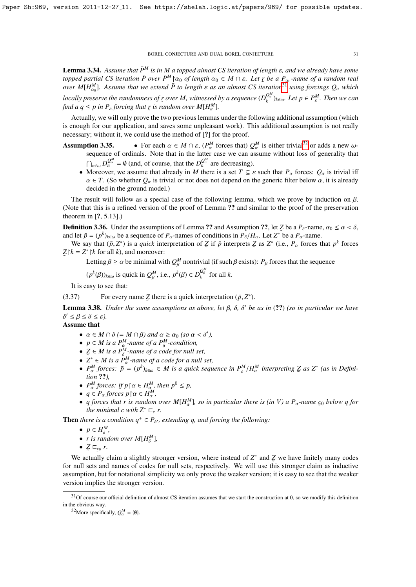**Lemma 3.34.** *Assume that*  $\bar{P}^M$  *is in M a topped almost CS iteration of length*  $\varepsilon$ *, and we already have some*  $t$ *opped partial CS iteration*  $\bar{P}$  *over*  $\bar{P}^M \upharpoonright \alpha_0$  *of length*  $\alpha_0 \in M \cap \varepsilon$ . Let *r be a*  $P_{\alpha_0}$ -name of a random real<br>*over*  $M[H^M]$  *Assume that we extend*  $\bar{P}$  to length  $\sigma$  as an almost *CS over M*[ $H_{\alpha_0}^M$ ]. Assume that we extend  $\bar{P}$  to length  $\varepsilon$  as an almost CS iteration<sup>[31](#page-30-0)</sup> using forcings  $Q_\alpha$  which  $\alpha_0$ *locally preserve the randomness of*  $\mathbf{r}$  *over M, witnessed by a sequence*  $(D_{\iota}^{Q_{\iota}^M}$ *find a*  $q \leq p$  *in*  $P_{\varepsilon}$  *forcing that*  $r$  *is random over*  $M[H_{\varepsilon}^M]$ *.*  $\left( Q_{\alpha}^{m} \right)_{k \in \omega}$ *. Let p*  $\in P_{\varepsilon}^{M}$ *. Then we can* 

Actually, we will only prove the two previous lemmas under the following additional assumption (which  $\lambda$ is enough for our application, and saves some unpleasant work). This additional assumption is not really necessary; without it, we could use the method of [?] for the proof.

- **Assumption 3.35.** For each  $\alpha \in M \cap \varepsilon$ ,  $(P_{\alpha}^{M})$ <br>sequence of ordinals. Note that in the latter  $Q_{\alpha}^{M}$  forces that)  $Q_{\alpha}^{M}$ <br>*r* case we can ass **tion 3.35.** • For each  $\alpha \in M \cap \varepsilon$ ,  $(P^M_\alpha$  forces that)  $Q^M_\alpha$  is either trivial<sup>[32](#page-30-1)</sup> or adds a new  $\omega$ -sequence of ordinals. Note that in the latter case we can assume without loss of generality that  $\bigcap_{n\in\omega}D_n^{Q_\alpha^M}$  $Q_n^M = \emptyset$  (and, of course, that the  $D_n^{Q_n^M}$  $\frac{Q_a}{n}$  are decreasing).
	- Moreover, we assume that already in *M* there is a set  $T \subseteq \varepsilon$  such that  $P_\alpha$  forces:  $Q_\alpha$  is trivial iff  $\alpha \in T$ . (So whether  $Q_{\alpha}$  is trivial or not does not depend on the generic filter below  $\alpha$ , it is already decided in the ground model.)

The result will follow as a special case of the following lemma, which we prove by induction on  $\beta$ . (Note that this is a refined version of the proof of Lemma ?? and similar to the proof of the preservation theorem in [?, 5.13].)

**Definition 3.36.** Under the assumptions of Lemma ?? and Assumption ??, let *Z* be a  $P_\delta$ -name,  $\alpha_0 \le \alpha < \delta$ , and let  $\bar{p} - (n^k)_k$ , be a sequence of *P*<sub>p</sub>-names of conditions in  $P_\delta/H$ . Let  $Z^*$  be a *P*<sub>p</sub>-name and let  $\bar{p} = (p^k)_{k \in \omega}$  be a sequence of  $P_\alpha$ -names of conditions in  $P_\delta / H_\alpha$ . Let  $Z^*$  be a  $P_\alpha$ -name.<br>We say that  $(\bar{p}, Z^*)$  is a quick interpretation of  $Z$  if  $\bar{p}$  interprets  $Z$  as  $Z^*$  (i.e.  $P$  forces

We say that  $(\bar{p}, Z^*)$  is a *quick* interpretation of  $\bar{Z}$  if  $\bar{p}$  interprets  $\bar{Z}$  as  $Z^*$  (i.e.,  $P_\alpha$  forces that  $p^k$  forces  $k - Z^*$  is and moreover:  $Z \upharpoonright k = Z^* \upharpoonright k$  for all *k*), and moreover:

Letting  $\beta \ge \alpha$  be minimal with  $Q_{\beta}^M$  nontrivial (if such  $\beta$  exists):  $P_{\beta}$  forces that the sequence

$$
(p^k(\beta))_{k \in \omega}
$$
 is quick in  $Q_{\beta}^M$ , i.e.,  $p^k(\beta) \in D_k^{Q_{\beta}^M}$  for all k.

Γ

It is easy to see that:

(3.37) For every name  $Z$  there is a quick interpretation ( $\bar{p}, Z^*$ ). ˜

**Lemma 3.38.** *Under the same assumptions as above, let*  $\beta$ ,  $\delta$ ,  $\delta'$  *be as in* (??) *(so in particular we have*<br> $\delta' < \beta < \delta$  $\delta' \leq \beta \leq \delta \leq \varepsilon$ ).

δ Assume that

- $\alpha \in M \cap \delta$  *(*= *M*  $\cap \beta$ *)* and  $\alpha \ge \alpha_0$  *(so*  $\alpha < \delta'$ )<br>•  $p \in M$  is a  $P^M$ -name of a  $P^M$ -condition,<br>•  $\alpha \in M$  is a  $P^M$ -name of a code for pull set •  $\alpha \in M \cap \delta$  (=  $M \cap \beta$ ) and  $\alpha \ge \alpha_0$  (so  $\alpha < \delta'$ ),
- 
- $Z \in M$  is a  $P^M$ -name of a code for null set,<br> $Z^* \in M$  is a  $P^M$  name of a code for a null v
- $\bullet$   $Z^*$  ∈ *M* is a  $\overline{P}^M_\alpha$ -name of a code for a null set,
- $P_{\alpha}^{M}$  forces:  $\bar{p} = (p^{k})_{k \in \omega} \in M$  is a quick sequence in  $P_{\delta}^{M}/H_{\alpha}^{M}$  interpreting  $\mathcal{Z}$  as  $Z^*$  (as in Definition ??) α *tion* ??*),*
- $P_{\alpha}^{M}$  forces: if  $p \upharpoonright \alpha \in H_{\alpha}^{M}$ , then  $p^{0} \leq p$ ,<br>
  $a \in P$  forces  $p \upharpoonright \alpha \in H^{M}$
- $q \in P_\alpha$  forces  $p \upharpoonright \alpha \in H_\alpha^M$ ,<br>• *a* forces that r is random
- *q forces that r is random over M*[*H*<sup>*M*</sup><sub>*a*</sub><sup>*l*</sup>, *so in particular there is (in V) a P*<sub> $\alpha$ </sub>-name  $\epsilon_0$  *below q for* the minimal c with  $Z^* \subseteq r$ *the minimal c with*  $Z^* \sqsubset_{c} r$ .

**Then** *there is a condition*  $q^+ \in P_{\delta'}$ , *extending q, and forcing the following:* 

- $p \in H_{\delta}^M$ ,
- *r* is random over  $M[H^M_{\delta}],$
- $Z \sqsubset_{\mathcal{L}_0} r$ .

˜ ˜ We actually claim a slightly stronger version, where instead of *Z* ∗ and *Z* we have finitely many codes for null sets and names of codes for null sets, respectively. We will use this stronger claim as inductive assumption, but for notational simplicity we only prove the weaker version; it is easy to see that the weaker version implies the stronger version.

<span id="page-30-0"></span> $31$ Of course our official definition of almost CS iteration assumes that we start the construction at 0, so we modify this definition in the obvious way.

<span id="page-30-1"></span><sup>&</sup>lt;sup>32</sup>More specifically,  $Q_{\alpha}^{M} = \{\emptyset\}.$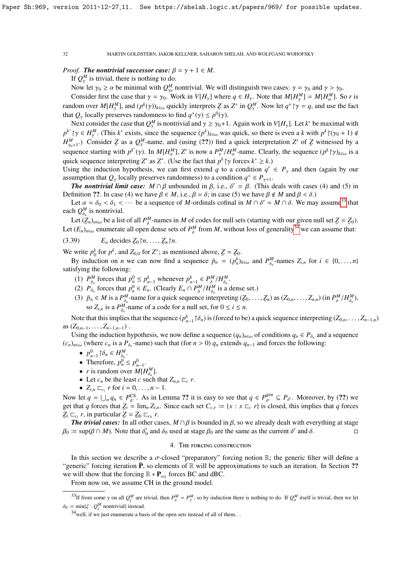# *Proof.* **The nontrivial successor case:**  $\beta = \gamma + 1 \in M$ .

If  $Q_{\gamma}^{M}$  is trivial, there is nothing to do.

Now let  $\gamma_0 \ge \alpha$  be minimal with  $Q_{\gamma_0}^M$  nontrivial. We will distinguish two cases:  $\gamma = \gamma_0$  and  $\gamma > \gamma_0$ .<br>Consider first the gase that  $\alpha = \alpha$ . Work in  $V(H)$  unkare  $\alpha \in H$ . Note that  $M(H^M) = M(H^M)$ .

Consider first the case that  $\gamma = \gamma_0$ . Work in  $V[H_{\gamma}]$  where  $q \in H_{\gamma}$ . Note that  $M[H_{\gamma}^M] = M[H_{\alpha}^M]$ . So *r* is dominated  $M[H_{\gamma}^M] = M[H_{\alpha}^M]$ . So *r* is dominated  $M[H_{\gamma}^M] = M[H_{\alpha}^M]$ . random over  $M[H_{\gamma}^M]$ , and  $(p^k(\gamma))_{k \in \omega}$  quickly interprets Z as Z<sup>\*</sup> in  $Q_{\gamma}^M$ . Now let  $q^+ \upharpoonright \gamma = q$ , and us that  $Q_\gamma$  locally preserves randomness to find  $q^+(\gamma) \leq p^0(\gamma)$ .<br>Next consider the case that  $Q^M$  is nontrivial and  $\gamma > \gamma_0 + 1$ . <sup>*M*</sup>. Now let  $q^+ \upharpoonright \gamma = q$ , and use the fact

Next consider the case that  $Q_n^M$  is nontrivial and  $\gamma \ge \gamma_0 + 1$ . Again work in  $V[H_\gamma]$ . Let  $k^*$  be maximal with  $\chi^k$   $\gamma_0$  with  $\chi^k$   $\gamma_0$  with  $\chi^k$   $\gamma_0$  with  $\chi^k$   $\gamma_0$  with  $\chi^k$   $\gamma_0$  with  $\chi^k$   $\$  $p^k$  <sup>1</sup> $\gamma \in H_2^M$ . (This *k*<sup>\*</sup> exists, since the sequence  $(p^k)_{k \in \omega}$  was quick, so there is even a *k* with  $p^k$ ( $(\gamma_0 + 1) \notin H_2^M$ ). Consider  $Z$  as a  $Q^M$  name, and (veing (22)) find a quick interpretation  $Z'$   $H_{\nu_{\alpha+1}}^M$ .) Consider *Z* as a  $Q_{\nu}^M$ -name, and (using (??)) find a quick interpretation *Z'* of *Z* witnessed by a  $\mu_{\gamma_0+1}$ . Consider  $\mathcal{L}$  as a  $\mathcal{Q}_{\gamma}$ -name, and (using (...)) find a quick interpretation  $\mathcal{L}$  or  $\mathcal{L}$  with a sequence starting with  $p^{k^*}(\gamma)$ . In  $M[H_{\alpha}^M]$ ,  $Z'$  is now a  $P_{\gamma}^M/H_{\alpha}^M$ -name. Cle quick sequence interpreting *Z'* as *Z*<sup>\*</sup>. (Use the fact that  $p^k$   $\gamma$  forces  $k^* \ge k$ .)<br>Using the induction hypothesis, we can first extend *a* to a condition *a'* 

Using the induction hypothesis, we can first extend *q* to a condition  $q' \in P_\gamma$  and then (again by our assumption that *Q* locally presentes endomness) to a condition  $q' \in P_\gamma$  and then (again by our assumption that  $Q_{\gamma}$  locally preserves randomness) to a condition  $q^+ \in P_{\gamma+1}$ .<br>The nontrivial limit ages  $M \cap P$  uphounded in  $P_{\gamma+1} \circ P_{\gamma+1}$ .

*The nontrivial limit case:*  $M \cap \beta$  unbounded in  $\beta$ , i.e.,  $\delta' = \beta$ . (This deals with cases (4) and (5) in finition 22. In case (4) we have  $\beta \in M$  i.e.  $\beta - \delta$ ; in case (5) we have  $\beta \notin M$  and  $\beta < \delta$ ) Definition ??. In case (4) we have  $\beta \in M$ , i.e.,  $\beta = \delta$ ; in case (5) we have  $\beta \notin M$  and  $\beta < \delta$ .)

Let  $\alpha = \delta_0 < \delta_1 < \cdots$  be a sequence of *M*-ordinals cofinal in  $M \cap \delta' = M \cap \delta$ . We may assume<sup>[33](#page-31-0)</sup> that the  $\Omega^M$  is nontrivial each  $Q_{\delta}^M$  is nontrivial.

Let  $(Z_n)_{n \in \omega}$  be a list of all  $P^M_\delta$ -names in *M* of codes for null sets (starting with our given null set  $Z = Z_0$ ). Let  $(E_n)_{n\in\omega}$  enumerate all open dense sets of  $P^M_\delta$  from *M*, without loss of generality<sup>[34](#page-31-1)</sup> we can assume that:

 $(E_n \text{ decides } \mathcal{Z}_0 \mid n, \ldots, \mathcal{Z}_n \mid n.$ ˜ ˜

We write  $p_0^k$  for  $p^k$ , and  $Z_{0,0}$  for  $Z^*$ ; as mentioned above,  $Z = Z_0$ .

By induction on *n* we can now find a sequence  $\bar{p}_n = (\bar{p}_n^k)_{k \in \omega}$  and  $P_{\delta_n}^M$  $\delta_n^M$ -names  $Z_{i,n}$  for  $i \in \{0,\ldots,n\}$ satisfying the following:

- $(1)$   $P_{\delta}^{M}$  $\sum_{\substack{h\\h}}^{M}$  forces that  $p_n^0 \leq p_{n-1}^k$  whenever  $p_{n-1}^k \in \mathcal{F}^M$ <br>forces that  $p_0^0 \in \mathcal{F}$  (Closely  $\mathcal{F}$   $\odot$  *PM I DM*  $\frac{\delta}{\delta}/H_{\delta_n}^M$  $\frac{\delta_n}{\delta_n}$ .
- (2)  $P_{\delta_n}$  forces that  $p_n^0 \in E_n$ . (Clearly  $E_n \cap P_{\delta}^M$  $\frac{M}{\delta}/H_{\delta_n}^M$  $\delta_n^M$  is a dense set.)<br>termsting (7
- (3)  $\bar{p}_n \in M$  is a  $P^M_{\delta_n}$  $\sum_{n=0}^{M}$ -name for a quick sequence interpreting  $(Z_0, \ldots, Z_n)$  as  $(Z_{0,n}, \ldots, Z_{n,n})$  (in  $P_{\delta}^M$  $\frac{\delta M}{\delta}/H_{\delta_n}^M$  $\binom{M}{\delta_n}$ so  $Z_{i,n}$  is a  $P^M_{\delta_n}$ -name of a code for a null set, for  $0 \le i \le n$ .

Note that this implies that the sequence ( $p_{n-1}^k \upharpoonright \delta_n$ ) is (forced to be) a quick sequence interpreting (*Z*<sub>0,*n*</sub>, . . . , *Z*<sub>*n*−1,*n*</sub>) (*Z*<sub>0</sub>, . . . . *Z*<sub>*n*</sub> - . . . ) as  $(Z_{0,n-1},...,Z_{n-1,n-1})$ .

Using the induction hypothesis, we now define a sequence  $(q_n)_{n\in\omega}$  of conditions  $q_n \in P_{\delta_n}$  and a sequence  $(c_n)_{n \in \omega}$  (where  $c_n$  is a  $P_{\delta_n}$ -name) such that (for  $n > 0$ )  $q_n$  extends  $q_{n-1}$  and forces the following:

•  $p_{n-1}^0 \upharpoonright \delta_n \in H_{\delta_n}^M$ .<br>
• Therefore  $n^0$ .

- Therefore,  $p_n^0 \le p_{n-1}^0$ .
- *r* is random over  $M[H^M_{\delta}]$ .
- Let  $c_n$  be the least *c* such that  $Z_{n,n} \sqsubset_{c} r$ .
- $Z_{i,n} \sqsubset_{c_i} r$  for  $i = 0, ..., n 1$ .

Now let  $q = \bigcup_n q_n \in P_{\delta'}^{\text{CS}}$ CS. As in Lemma ?? it is easy to see that  $q \in P_{\delta'}^{\text{gen}}$ <br>  $\bar{r} = \lim_{\delta \to 0} Z$ . Since each set  $C = \{x : x \sqsubset r\}$  is cl  $S_{\delta}^{\text{gen}} \subseteq P_{\delta'}$ . Moreover, by (??) we<br>closed, this implies that *a* forces get that *q* forces that  $Z_i = \lim_{n} Z_{i,n}$ . Since each set  $C_{c,r} := \{x : x \sqsubset_{c} r\}$  is closed, this implies that *q* forces ˜  $\overline{Z}_i \sqsubset_{c_i} r$ , in particular  $\overline{Z} = Z_0 \sqsubset_{c_0} r$ .<br> **The trivial cases:** In all other cases

*The trivial cases:* In all other cases,  $M \cap \beta$  is bounded in  $\beta$ , so we already dealt with everything at stage  $\therefore$  sun( $\beta \cap M$ ). Note that  $\delta'$  and  $\delta_0$  used at stage  $\beta_0$  are the same as the current  $\delta'$  and  $\beta_0 := \sup(\beta \cap M)$ . Note that  $\delta'_0$  and  $\delta_0$  used at stage  $\beta_0$  are the same as the current  $\delta'$  and  $\delta$ .

# 4. The forcing construction

In this section we describe a σ-closed "preparatory" forcing notion <sup>R</sup>; the generic filter will define a "generic" forcing iteration  $\bar{P}$ , so elements of  $\mathbb R$  will be approximations to such an iteration. In Section ?? we will show that the forcing  $\mathbb{R} * \mathbf{P}_{\omega_2}$  forces BC and dBC.

From now on, we assume CH in the ground model.

<span id="page-31-0"></span><sup>&</sup>lt;sup>33</sup>If from some  $\gamma$  on all  $Q_{\beta}^M$  are trivial, then  $P_{\delta}^M$  $\delta_0 := \min\{\zeta : Q_{\zeta}^M \text{ nontrivial}\}\text{ instead.}$  $\delta^M = P^M_\gamma$  $\gamma^M$ , so by induction there is nothing to do. If  $Q_\alpha^M$  $\alpha^{M}$  itself is trivial, then we let

<span id="page-31-1"></span> $34$  well, if we just enumerate a basis of the open sets instead of all of them...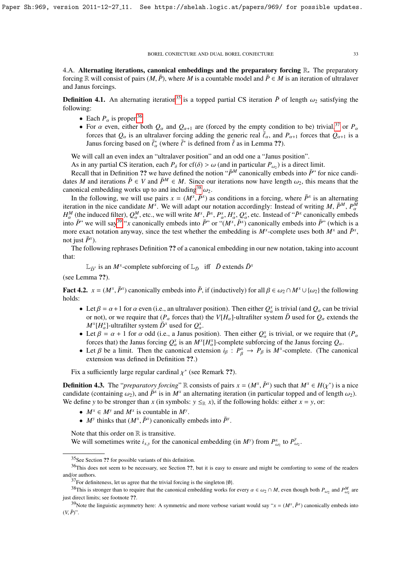4.A. Alternating iterations, canonical embeddings and the preparatory forcing R. The preparatory forcing R will consist of pairs  $(M, \overline{P})$ , where *M* is a countable model and  $\overline{P} \in M$  is an iteration of ultralaver and Janus forcings.

**Definition 4.1.** An alternating iteration<sup>[35](#page-32-0)</sup> is a topped partial CS iteration  $\bar{P}$  of length  $\omega_2$  satisfying the following:

- Each  $P_\alpha$  is proper.<sup>[36](#page-32-1)</sup>
- For  $\alpha$  even, either both  $Q_{\alpha}$  and  $Q_{\alpha+1}$  are (forced by the empty condition to be) trivial,<sup>[37](#page-32-2)</sup> or  $P_{\alpha}$ forces that  $Q_\alpha$  is an ultralaver forcing adding the generic real  $\bar{\ell}_\alpha$ , and  $P_{\alpha+1}$  forces that  $Q_{\alpha+1}$  is a Janus forcing based on  $\bar{\ell}_\alpha^*$  (where  $\bar{\ell}^*$  is defined from  $\bar{\ell}$  as in Lemma ??).

We will call an even index an "ultralaver position" and an odd one a "Janus position".

As in any partial CS iteration, each  $P_{\delta}$  for cf( $\delta$ ) >  $\omega$  (and in particular  $P_{\omega_2}$ ) is a direct limit.<br>Recall that in Definition 22 we have defined the notion " $\bar{P}^M$  canonically embeds into  $\bar{P}$ " for

Recall that in Definition ?? we have defined the notion " $\bar{P}^M$  canonically embeds into  $\bar{P}$ " for nice candidates *M* and iterations  $\bar{P} \in V$  and  $\bar{P}^M \in M$ . Since our iterations now have length  $\omega_2$ , this means that the canonical embedding works up to and including<sup>[38](#page-32-3)</sup>  $\omega_2$ .

In the following, we will use pairs  $x = (M^x, \bar{P}^x)$  as conditions in a forcing, where  $\bar{P}^x$  is an alternating cordination in the pice candidate  $M^x$ . We will adapt our potation accordingly: Instead of writing  $M \bar{$ iteration in the nice candidate  $M^x$ . We will adapt our notation accordingly: Instead of writing M,  $\bar{P}^M$ ,  $P^M_\alpha$  $H^M_\alpha$  (the induced filter),  $Q^M_\alpha$ , etc., we will write  $M^x$ ,  $\bar{P}^x$ ,  $P^x_\alpha$ ,  $H^x_\alpha$ ,  $Q^x_\alpha$ , etc. Instead of " $\bar{P}^x$  canonically embed  $\alpha^M$  (the induced filter),  $Q^M_\alpha$ <br>to  $\bar{P}$ " we will so  $^{39}$  " x co.  $_{\alpha}^{M}$ , etc., we will write  $M^{x}$ ,  $\bar{P}^{x}$ ,  $P_{\alpha}^{x}$ <br>cononically embeds into  $\bar{P}^{y}$  or " α, Ηλ<br>*Υ*Μ<sub>Α</sub>  $\alpha^x$ ,  $Q^x_a$  $\alpha^x$ , etc. Instead of " $\bar{P}^x$  canonically embeds" into  $\bar{P}$ " we will say<sup>[39](#page-32-4)</sup> "*x* canonically embeds into  $\bar{P}$ " or "( $M^x$ ,  $\bar{P}^x$ ) canonically embeds into  $\bar{P}$ " (which is a more exact notation anyway since the test whether the embedding is  $M^x$ -complete use more exact notation anyway, since the test whether the embedding is  $M^x$ -complete uses both  $M^x$  and  $\bar{P}^x$ , not just  $\bar{P}^x$ ).

The following rephrases Definition ?? of a canonical embedding in our new notation, taking into account that:

 $\mathbb{L}_{\bar{D}^x}$  is an *M<sup>x</sup>*-complete subforcing of  $\mathbb{L}_{\bar{D}}$  iff  $\bar{D}$  extends  $\bar{D}^x$ 

(see Lemma ??).

**Fact 4.2.**  $x = (M^x, \bar{P}^x)$  canonically embeds into  $\bar{P}$ , if (inductively) for all  $\beta \in \omega_2 \cap M^x \cup \{\omega_2\}$  the following holds: holds:

- Let  $\beta = \alpha + 1$  for  $\alpha$  even (i.e., an ultralaver position). Then either  $Q_{\alpha}^x$  is trivial (and  $Q_{\alpha}$  can be trivial or not) or we require that *(P* forces that) the *VIH* l-ultrafilter system  $\bar{D}$  used for  $\Omega$ or not), or we require that  $(P_\alpha$  forces that) the *V*[*H*<sub>α</sub>]-ultrafilter system  $\bar{D}$  used for  $Q_\alpha$  extends the  $M^x[H^x_\alpha]$ -ultrafilter system  $\bar{D}^x$  used for  $Q^x_\alpha$ .
- Let  $β = α + 1$  for *α* odd (i.e., a Janus position). Then either  $Q^x_\alpha$  is trivial, or we require that  $(P_\alpha$  forces that) the Janus forcing  $Q^x$  is an  $M^x[H^x]$ -complete subforcing of the Janus forcing  $Q$ forces that) the Janus forcing  $Q^x_a$  is an  $M^x[H^x_a]$ -complete subforcing of the Janus forcing  $Q_\alpha$ .
- Let  $\beta$  be a limit. Then the canonical extension  $i_{\beta}: P_{\beta}^x \to P_{\beta}$  is  $M^x$ -complete. (The canonical extension was defined in Definition 22) extension was defined in Definition ??.)

Fix a sufficiently large regular cardinal  $\chi^*$  (see Remark ??).

**Definition 4.3.** The "*preparatory forcing*" R consists of pairs  $x = (M^x, \bar{P}^x)$  such that  $M^x \in H(\chi^*)$  is a nice candidate (containing  $\omega_0$ ) and  $\bar{P}^x$  is in  $M^x$  an alternating iteration (in particular topped a candidate (containing  $\omega_2$ ), and  $\bar{P}^x$  is in  $M^x$  an alternating iteration (in particular topped and of length  $\omega_2$ ).<br>We define y to be stronger than x (in symbols:  $y \leq_T x$ ) if the following holds: either  $x = y$  We define *y* to be stronger than *x* (in symbols:  $y \leq_R x$ ), if the following holds: either  $x = y$ , or:

- $M^x \in M^y$  and  $M^x$  is countable in  $M^y$ .
- *M<sup>y</sup>* thinks that  $(M^x, \bar{P}^x)$  canonically embeds into  $\bar{P}^y$ .

Note that this order on  $\mathbb R$  is transitive.

We will sometimes write  $i_{x,y}$  for the canonical embedding (in  $M^y$ ) from  $P^x_a$  $\frac{d}{d}$ <sub>*y*</sub> to  $P_a^y$  $\frac{v}{\omega_2}$ .

<span id="page-32-1"></span><span id="page-32-0"></span><sup>35</sup>See Section ?? for possible variants of this definition.

<sup>&</sup>lt;sup>36</sup>This does not seem to be necessary, see Section ??, but it is easy to ensure and might be comforting to some of the readers and/or authors.

<span id="page-32-3"></span><span id="page-32-2"></span> $37$ For definiteness, let us agree that the trivial forcing is the singleton {0}.

<sup>&</sup>lt;sup>38</sup>This is stronger than to require that the canonical embedding works for every  $\alpha \in \omega_2 \cap M$ , even though both  $P_{\omega_2}$  and  $P_{\omega_2}^M$  are just direct limits; see footnote ??.

<span id="page-32-4"></span><sup>39</sup> Note the linguistic asymmetry here: A symmetric and more verbose variant would say " $x = (M^x, \bar{P}^x)$  canonically embeds into  $\bar{P}^x$  $(V, \bar{P})$ ".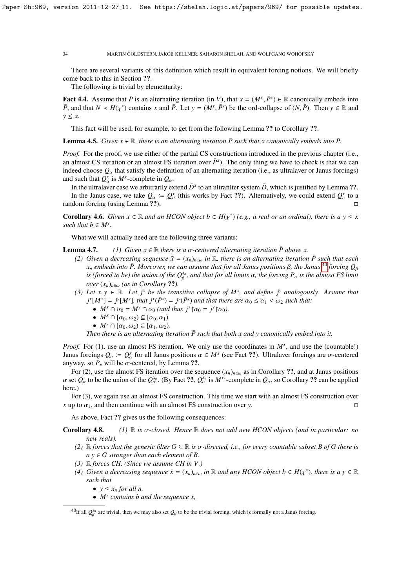There are several variants of this definition which result in equivalent forcing notions. We will briefly come back to this in Section ??.

The following is trivial by elementarity:

**Fact 4.4.** Assume that  $\overline{P}$  is an alternating iteration (in *V*), that  $x = (M^x, \overline{P}^x) \in \mathbb{R}$  canonically embeds into  $\overline{P}$  and that  $N \lt H(x^*)$  contains  $x$  and  $\overline{P}$ . Let  $y = (M^y, \overline{P}^y)$  be the ord-colla *P*, and that  $N \lt H(\chi^*)$  contains *x* and  $\overline{P}$ . Let  $y = (M^y, \overline{P}^y)$  be the ord-collapse of  $(N, \overline{P})$ . Then  $y \in \mathbb{R}$  and  $y \leq x$ *y* ≤ *x*.

This fact will be used, for example, to get from the following Lemma ?? to Corollary ??.

**Lemma 4.5.** *Given*  $x \in \mathbb{R}$ *, there is an alternating iteration*  $\bar{P}$  *such that* x *canonically embeds into*  $\bar{P}$ *.* 

*Proof.* For the proof, we use either of the partial CS constructions introduced in the previous chapter (i.e., an almost CS iteration or an almost FS iteration over  $\bar{P}^x$ ). The only thing we have to check is that we can indeed choose  $Q_\alpha$  that satisfy the definition of an alternating iteration (i.e., as ultralaver or Janus forcings) and such that  $Q^x_\alpha$  is  $M^x$ -complete in  $Q_\alpha$ .

In the ultralaver case we arbitrarily extend  $\bar{D}^x$  to an ultrafilter system  $\bar{D}$ , which is justified by Lemma ??. In the Janus case, we take  $Q_\alpha := Q_\alpha^x$  (this works by Fact ??). Alternatively, we could extend  $Q_\alpha^x$  to a dam factor (vertex 1 approx) random forcing (using Lemma ??).

**Corollary 4.6.** *Given*  $x \in \mathbb{R}$  *and an HCON object*  $b \in H(\chi^*)$  (e.g., *a real or an ordinal*), *there is a*  $y \le x$  *such that*  $b \in M^y$ *such that*  $b \in M^y$ .

What we will actually need are the following three variants:

**Lemma 4.7.** *(1) Given*  $x \in \mathbb{R}$  *there is a*  $\sigma$ -centered alternating iteration  $\bar{P}$  above x.

- *(2)* Given a decreasing sequence  $\bar{x} = (x_n)_{n \in \omega}$  in R, there is an alternating iteration  $\bar{P}$  such that each  $x_n$  *embeds into*  $\bar{P}$ *. Moreover, we can assume that for all Janus positions*  $\beta$ *, the Janus*  $^{40}$  $^{40}$  $^{40}$  *forcing*  $Q_\beta$ *is (forced to be) the union of the*  $Q_\beta^{x_n}$ , and that for all limits  $\alpha$ , the forcing  $P_\alpha$  *is the almost FS limit*  $\alpha$ <sup>*n*</sup> (*as in Corpllary* 22) β *over*  $(x_n)_{n \in \omega}$  (*as in Corollary* ??).
- (3) *Let x*, *y* ∈ R*. Let j<sup><i>x*</sup> *be the transitive collapse of M<sup><i>x*</sup>, and define j<sup>*y*</sup> analogously. Assume that<br> *i<sup>x</sup>*[*M<sup>x</sup>]* = *i*<sup>*y*</sup>[*MY*] *that i<sup>x</sup>*(*Px*) = *i*/(*Py*) and that there are  $\alpha_0 \le \alpha_$  $j^{x}[M^{x}] = j^{y}[M^{y}],$  that  $j^{x}(\overline{P}^{x}) = j^{y}(\overline{P}^{y})$  and that there are  $\alpha_{0} \leq \alpha_{1} < \omega_{2}$  such that:<br>
•  $M^{x} \cap \alpha_{0} = M^{y} \cap \alpha_{0}$  (and thus  $i^{x} \uparrow \alpha_{0} = i^{y} \uparrow \alpha_{0}$ )
	- $M^x \cap \alpha_0 = M^y \cap \alpha_0$  (and thus  $j^x \nvert \alpha_0 = j^y \nvert \alpha_0$ ).<br>
	  $M^x \cap [\alpha_0, \alpha_0] \subset [\alpha_0, \alpha_0]$
	- $M^x \cap [\alpha_0, \omega_2) \subseteq [\alpha_0, \alpha_1)$ .
	- $M^y \cap [\alpha_0, \omega_2) \subseteq [\alpha_1, \omega_2)$ .

*Then there is an alternating iteration*  $\bar{P}$  such that both x and y canonically embed into it.

*Proof.* For (1), use an almost FS iteration. We only use the coordinates in  $M^x$ , and use the (countable!) Janus forcings  $Q_{\alpha} := Q_{\alpha}^x$  for all Janus positions  $\alpha \in M^x$  (see Fact ??). Ultralaver forcings are  $\sigma$ -centered anyway, so  $P_{\varepsilon}$  will be  $\sigma$ -centered, by Lemma ??.<br>For (2) use the almost ES iteration over the set

For (2), use the almost FS iteration over the sequence  $(x_n)_{n\in\omega}$  as in Corollary ??, and at Janus positions  $\alpha$  set  $Q_{\alpha}$  to be the union of the  $Q_{\alpha}^{x_n}$ . (By Fact ??,  $Q_{\alpha}^{x_n}$  is  $M^{x_n}$ -complete in  $Q_{\alpha}$ , so Corollary ?? can be applied here.) here.)

For (3), we again use an almost FS construction. This time we start with an almost FS construction over *x* up to  $\alpha_1$ , and then continue with an almost FS construction over *y*.

As above, Fact ?? gives us the following consequences:

Corollary 4.8. *(1)* <sup>R</sup> *is* σ*-closed. Hence* <sup>R</sup> *does not add new HCON objects (and in particular: no new reals).*

- *(2)* R *forces that the generic filter G* ⊆ R *is*  $σ$ -directed, *i.e., for every countable subset B of G there is*  $a y \in G$  stronger than each element of B.
- *(3)* R *forces CH. (Since we assume CH in V.)*
- *(4) Given a decreasing sequence*  $\bar{x} = (x_n)_{n \in \omega}$  *in*  $\mathbb R$  *and any HCON object*  $b \in H(\chi^*)$ *, there is a*  $y \in \mathbb R$  *such that such that*
	- $y \leq x_n$  *for all n*,
	- $M^y$  contains b and the sequence  $\bar{x}$ ,

<span id="page-33-0"></span><sup>&</sup>lt;sup>40</sup>If all  $Q_\beta^{x_n}$  $\beta_{\beta}^{x_n}$  are trivial, then we may also set  $Q_{\beta}$  to be the trivial forcing, which is formally not a Janus forcing.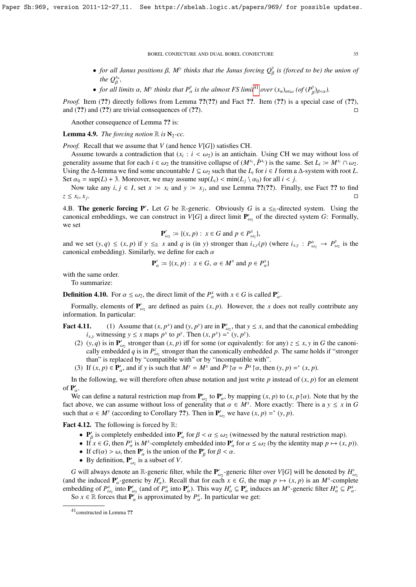- *for all Janus positions* β,  $M^y$  thinks that the Janus forcing  $Q^y_\beta$  is (forced to be) the union of β *the*  $Q_R^{x_n}$ *,*
- *for all limits*  $\alpha$ *, M<sup><i>y*</sup> thinks that  $P^y_\alpha$  is the almost FS limit<sup>[41](#page-34-0)</sup> *over*  $(x_n)_{n \in \omega}$  (*of*  $(P^y_\beta)_{\beta < \alpha}$ ).

*Proof.* Item (??) directly follows from Lemma ??(??) and Fact ??. Item (??) is a special case of (??), and  $(??)$  and  $(??)$  are trivial consequences of  $(??)$ .

Another consequence of Lemma ?? is:

**Lemma 4.9.** *The forcing notion*  $\mathbb{R}$  *is*  $\aleph_2$ -*cc.* 

*Proof.* Recall that we assume that *V* (and hence *V*[*G*]) satisfies CH.

Assume towards a contradiction that  $(x_i : i < \omega_2)$  is an antichain. Using CH we may without loss of earlier assume that for each  $i \in \omega_2$  the transitive collapse of  $(M^{x_i} \bar{P}^{x_i})$  is the same. Set  $I_{\omega} := M^{x_i} \cap \omega_2$ generality assume that for each  $i \in \omega_2$  the transitive collapse of  $(M^{x_i}, \bar{P}^{x_i})$  is the same. Set  $L_i := M^{x_i} \cap \omega_2$ .<br>Using the A-lemma we find some uncountable  $I \subset \omega_2$  such that the L for  $i \in I$  form a A-system with Using the  $\Delta$ -lemma we find some uncountable  $I \subseteq \omega_2$  such that the  $L_i$  for  $i \in I$  form a  $\Delta$ -system with root  $L$ . Set  $\alpha_0 = \sup(L) + 3$ . Moreover, we may assume  $\sup(L_i) < \min(L_i \setminus \alpha_0)$  for all  $i < j$ .

Now take any  $i, j \in I$ , set  $x := x_i$  and  $y := x_j$ , and use Lemma ??(??). Finally, use Fact ?? to find  $z \leq x_i, x_j$ e de la construcción de la construcción de la construcción de la construcción de la construcción de la constru<br>En la construcción de la construcción de la construcción de la construcción de la construcción de la construcc

4.B. The generic forcing P'. Let *G* be R-generic. Obviously *G* is a  $\leq_R$ -directed system. Using the canonical embeddings, we can construct in  $V[G]$  a direct limit  $P'_{G}$  $\mathcal{L}_{\omega_2}$  of the directed system *G*: Formally, we set

$$
\mathbf{P}'_{\omega_2} := \{ (x, p) : x \in G \text{ and } p \in P_{\omega_2}^x \}
$$

and we set  $(y, q) \le (x, p)$  if  $y \le_R x$  and q is (in y) stronger than  $i_{x,y}(p)$  (where  $i_{x,y} : P_{\omega_2}^x \to P_{\omega_2}^y$  $\omega_2$  is the canonical embedding). Similarly, we define for each α

$$
\mathbf{P}'_{\alpha} \coloneqq \{(x, p) : x \in G, \, \alpha \in M^x \text{ and } p \in P^x_{\alpha}\}\
$$

with the same order.

To summarize:

**Definition 4.10.** For  $\alpha \le \omega_2$ , the direct limit of the  $P^x_\alpha$  with  $x \in G$  is called  $P'_\alpha$ .

Formally, elements of  $P'$  $\mathcal{L}_{\omega_2}$  are defined as pairs  $(x, p)$ . However, the *x* does not really contribute any information. In particular:

- **Fact 4.11.** (1) Assume that  $(x, p^x)$  and  $(y, p^y)$  are in  $\mathbf{P}'_{\omega}$ , that  $y \le x$ , and that the canonical embedding *i* witnessing  $y \le x$  mans  $p^x$  to  $p^y$ . Then  $(x, p^x) = f(x, p^y)$  $i_{x,y}$  witnessing  $y \le x$  maps  $p^x$  to  $p^y$ . Then  $(x, p^x) =^*(y, p^y)$ .<br>  $j(x, q)$  is in  $\mathbf{P}'$  stronger than  $(x, p)$  iff for some (or equivalent)
	- (2)  $(y, q)$  is in  $\mathbf{P}_{\omega_2}^{\prime}$  stronger than  $(x, p)$  iff for some (or equivalently: for any)  $z \le x, y$  in *G* the canonically empedded *a* is in  $P^z$  stronger than the canonically empedded *a*. The same holds if "stron cally embedded *q* is in  $P_{\omega_2}^z$  stronger than the canonically embedded *p*. The same holds if "stronger" than" is replaced by "compatible with" or by "incompatible with".
	- (3) If  $(x, p) \in \mathbf{P}_\alpha'$ , and if *y* is such that  $M^\gamma = M^x$  and  $\bar{P}^\gamma \upharpoonright \alpha = \bar{P}^\gamma \upharpoonright \alpha$ , then  $(y, p) =^*(x, p)$ .

In the following, we will therefore often abuse notation and just write  $p$  instead of  $(x, p)$  for an element of  $P'_\alpha$ .

We can define a natural restriction map from  $\mathbf{P}'_{\omega_2}$  to  $\mathbf{P}'_{\alpha}$ , by mapping  $(x, p)$  to  $(x, p \upharpoonright \alpha)$ . Note that by the t above we can assume without loss of generality that  $\alpha \in M^x$ . More exactly: There is a fact above, we can assume without loss of generality that  $\alpha \in M^x$ . More exactly: There is a  $y \le x$  in *G* such that  $\alpha \in M^y$  (according to Corollary 22). Then in **P**<sup>*i*</sup> we have  $(x, n) =^*(y, n)$ . such that  $\alpha \in M^y$  (according to Corollary ??). Then in  $\mathbf{P}'_{\omega_2}$  we have  $(x, p) =^* (y, p)$ .

**Fact 4.12.** The following is forced by  $\mathbb{R}$ :

- $P'_\beta$  is completely embedded into  $P'_\alpha$  for  $\beta < \alpha \le \omega_2$  (witnessed by the natural restriction map).<br>• If  $x \in G$  then  $P^x$  is  $M^x$  completely embedded into  $P'_\beta$  for  $\alpha \le \omega_2$  (by the identity map  $n \mapsto (x, y)$
- **■** If  $x \in G$ , then  $P^x_\alpha$  is  $M^x$ -completely embedded into  $P'_\alpha$  for  $\alpha \leq \omega_2$  (by the identity map  $p \mapsto (x, p)$ ).<br>■ If  $cf(\alpha) > \omega_1$  then P' is the union of the P' for  $\beta < \alpha$
- If  $cf(\alpha) > \omega$ , then  $P'_\alpha$  is the union of the  $P'_\beta$  for  $\beta < \alpha$ .
- By definition,  $P'_{\omega_2}$  is  $\mathcal{L}_{\omega_2}$  is a subset of *V*.

*G* will always denote an R-generic filter, while the  $P'_{\omega}$ -generic filter over *V*[*G*] will be denoted by  $H'_{\omega}$ (and the induced  $P'_\alpha$ -generic by  $H'_\alpha$ ). Recall that for each  $x \in G$ , the map  $p \mapsto (x, p)$  is an  $M^x$ -complete embedding of  $P^x$  into  $P'$  (and of  $P^x$  into  $P'$ ). This way  $H' \subset P'$  induces an  $M^x$ -generic filter  $H$ embedding of  $P_{\omega_2}^x$  into  $P_{\omega_2}'$  (and of  $P_{\alpha}^x$  into  $P_{\alpha}'$ ). This way  $H_{\alpha}^{\prime} \subseteq P_{\alpha}^x$  induces an  $M^x$ -generic filter  $H_{\alpha}^x \subseteq P_{\alpha}^x$ <br>So  $x \in \mathbb{R}$  forces that  $P_{\alpha}^y$  is approximated by  $P_x^x$ . In So  $x \in \mathbb{R}$  forces that  $\mathbf{P}'_{\alpha}$  is approximated by  $P_{\alpha}^{x}$ . In particular we get: α .

β

<span id="page-34-0"></span><sup>41</sup>constructed in Lemma ??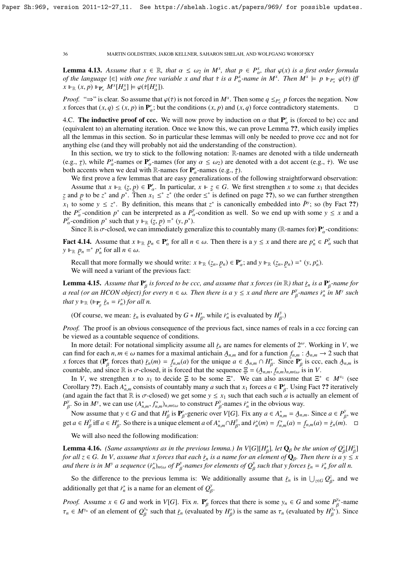**Lemma 4.13.** Assume that  $x \in \mathbb{R}$ , that  $\alpha \leq \omega_2$  in  $M^x$ , that  $p \in P^x_\alpha$ , that  $\varphi(x)$  is a first order formula<br>of the language  $\{ \in \}$  with one free variable x and that  $\pi$  is a  $P^x$ -name in  $M^x$ . Then  $M^x \$ *of the language*  $\{\in\}$  *with one free variable x and that*  $\tau$  *is a P*<sub> $\alpha$ </sub><sup>*x*</sup>-*name in*  $M^x$ *. Then*  $M^x \models p \Vdash_{P^x_{\alpha}} \varphi(\tau)$  *iff*  $\tau \Vdash_{P^x_{\alpha}} M^x \Vdash_{P^x_{\alpha}} M^x$   $(M^x \Vdash_{P^x_{\alpha}} M^x \Vdash_{P^x_{\alpha}} M^x)$  $X \Vdash_{\mathbb{R}} (x, p) \Vdash_{\mathbf{P}'_{\alpha}} M^x[H^x_{\alpha}] \models \varphi(\tau[H^x_{\alpha}]).$ 

*Proof.* "⇒" is clear. So assume that  $\varphi(\tau)$  is not forced in  $M^x$ . Then some  $q \leq_{P^x} p$  forces the negation. Now *x* forces that  $(x, q) \leq (x, p)$  in **P**' : but the conditions  $(x, p)$  and  $(x, q)$  force contradictory stat *x* forces that  $(x, q) \le (x, p)$  in  $\mathbf{P}_\alpha'$ ; but the conditions  $(x, p)$  and  $(x, q)$  force contradictory statements.

4.C. **The inductive proof of ccc.** We will now prove by induction on  $\alpha$  that  $P'_\alpha$  is (forced to be) ccc and  $P'_\alpha$  (equivalent to) an alternating iteration. Once we know this we can prove Lemma 22, which easily implie (equivalent to) an alternating iteration. Once we know this, we can prove Lemma ??, which easily implies all the lemmas in this section. So in particular these lemmas will only be needed to prove ccc and not for anything else (and they will probably not aid the understanding of the construction).

In this section, we try to stick to the following notation: R-names are denoted with a tilde underneath (e.g.,  $\tau$ ), while  $P^{\chi}_{\alpha}$ -names or  $\mathbf{P}'_{\alpha}$ -names (for any  $\alpha \leq \omega_2$ ) are denoted with a dot accent (e.g.,  $\dot{\tau}$ ). We use<br>both accents when we deal with **R**-names for **P'** -names (e.g.,  $\dot{\tau}$ ) both accents when we deal with R-names for  $P'_\alpha$ -names (e.g.,  $\dot{\tau}$ ).<br>We first prove a few lemmas that are easy generalizations of t

We first prove a few lemmas that are easy generalizations of the following straightforward observation: Assume that  $x \Vdash_{\mathbb{R}} (z, p) \in \mathbb{P}'_a$ . In particular,  $x \Vdash z \in G$ . We first strengthen *x* to some  $x_1$  that decides nd *n* to be  $z^*$  and  $p^*$ . Then  $x_1 \leq z^*$  if the order  $\leq z^*$  is defined on page 22), so we ca *z* and *p* to be *z*<sup>\*</sup> and  $p^*$ . Then  $x_1 \leq x_1^*$  (the order  $\leq x^*$  is defined on page ??), so we can further strengthen  $\tilde{x}_1$  to some  $y \leq z^*$ . By definition, this means that  $z^*$  is canonically embedded into  $\tilde{P}$ <sup>y</sup>; so (by Fact ??) the  $P_{\alpha}^{z^*}$ -condition  $p^*$  can be interpreted as a  $P_{\alpha}^{y}$ -condition as well. So we end up with some  $y \le x$  and a  $P_{\alpha}^{y}$  condition  $p^*$  such that  $y \parallel (z, p) - z^* (y, p^*)$ .  $P_{\alpha}^{\nu}$ -condition *p*<sup>\*</sup> such that  $y \Vdash_{\mathbb{R}} (z, p) = ^* (y, p^*)$ .<br>Since  $\mathbb{R}$  is  $\pi$ -closed we can immediately gen-

Since  $\mathbb R$  is  $\sigma$ -closed, we can immediately generalize this to countably many ( $\mathbb R$ -names for)  $\mathbf{P}'_{\alpha}$ -conditions:

**Fact 4.14.** Assume that  $x \Vdash_{\mathbb{R}}$ ˜  $p_n \in \mathbf{P}_\alpha'$  for all  $n \in \omega$ . Then there is a  $y \le x$  and there are  $p_n^* \in P_\alpha^y$  such that  $y \Vdash_{\mathbb{R}} p_n =^* p_n^*$  for all  $n \in \omega$ .

Recall that more formally we should write:  $x \Vdash_{\mathbb{R}} ($  $(z_n, p_n) \in \mathbf{P}'_\alpha$ ; and  $y \Vdash_{\mathbb{R}} ($ ˜  $(z_n, p_n) =^* (y, p_n^*).$ ˜ We will need a variant of the previous fact:

**Lemma 4.15.** Assume that  $P'_\beta$  is forced to be ccc, and assume that x forces (in  $\mathbb{R}$ ) that  $\dot{r}_n$  is a  $P'_\beta$ -name for *a real (or an HCON object) for every*  $n \in \omega$ *. Then there is a*  $y \le x$  *and there are*  $P^y_\beta$ *-names*  $\dot{r}^*_n$  *in*  $M^y$  *such that*  $y \parallel_{\mathcal{P}} (\parallel_{\mathcal{P}} \dot{x} - \dot{y}^*)$  *for all*  $p$ Γ *that*  $y \Vdash_{\mathbb{R}} (\Vdash_{\mathbf{P}'_{\beta}} \dot{z}_n = \dot{r}_n^*)$  *for all n.* 

(Of course, we mean:  $\dot{\mathcal{L}}_n$  is evaluated by  $G * H'_{\beta}$ , while  $\dot{r}_n^*$  is evaluated by  $H_{\beta}^y$ .)

*Proof.* The proof is an obvious consequence of the previous fact, since names of reals in a ccc forcing can be viewed as a countable sequence of conditions.

β

β

β

In more detail: For notational simplicity assume all  $\dot{r}_n$  are names for elements of  $2^\omega$ . Working in *V*, we can find for each  $n, m \in \omega$  names for a maximal antichain  $A_{n,m}$  and for a function  $f_{n,m}: A_{n,m} \to 2$  such that x forces that  $(\mathbf{P}'_{\beta}$  forces that)  $\dot{r}_n(m) = f_{n,m}(a)$  for the unique  $a \in A_{n,m} \cap H'_{\beta}$ . Since  $\mathbf{P}'_{\beta}$  is ccc, each  $A_{n,m}$  is  $\frac{1}{2}$  β = 0.000 mm/ $\frac{1}{2}$  *n*, (*n*)  $\frac{1}{2}$  *n*, (*n*)  $\frac{1}{2}$  countable, and since R is σ-closed, it is forced that the sequence  $\Xi = (A_{n,m}, f_{n,m})_{n,m\in\omega}$  is in *V*.<br>In *V* we strengthen *x* to *x*, to decide

In *V*, we strengthen *x* to  $x_1$  to decide  $\Xi$  to be some  $\Xi^*$ . We can also assume that  $\Xi^* \in M^{x_1}$  (see Corollary ??). Each  $A_{n,m}^*$  consists of countably many *a* such that  $x_1$  forces  $a \in P'_\beta$ . Using Fact ?? iteratively (and again the fact that R is  $\sigma$ -closed) we get some  $y \le x_1$  such that each such *a* is actually an element of  $P^y$ . So in M<sup>y</sup> we can use  $(A^* - f^*)$  to construct  $P^y$ -names  $\mu^*$  in the obvious way.  $P^y$ <sup>y</sup>. So in *M<sup>y</sup>*, we can use  $(A_{n,m}^*, f_{n,m}^*, h_{n,m} \infty)$  to construct  $P_\beta^y$ -names  $\dot{r}_n^*$  in the obvious way.

Now assume that  $y \in G$  and that  $H'_\beta$  is  $P'_\beta$ -generic over *V*[*G*]. Fix any  $a \in A^*_{n,m} = A_{n,m}$ . Since  $a \in P^y_\beta$ , we can be a subset of  $A^*_{n,m} = \mathcal{U}^y$  and  $\mathcal{U}^y$  and  $\mathcal{U}^y$  and  $\mathcal{U}^y$  and  $\mathcal{U}^y$  an get  $a \in H_{\beta}^y$  iff  $a \in H_{\beta}'$ . So there is a unique element  $a$  of  $A_{n,m}^* \cap H_{\beta}^y$ , and  $\dot{r}_n^*(m) = f_{n,m}^*(a) = f_{n,m}(a) = \dot{r}_n(m)$ .  $\Box$ 

β

We will also need the following modification:

β

β

β

**Lemma 4.16.** *(Same assumptions as in the previous lemma.) In*  $V[G][H'_\beta]$ *, let*  $Q_\beta$  *be the union of*  $Q_\beta^z[H_\beta^z]$ *for all*  $z \in G$ . In V, assume that x forces that each  $\dot{r}_n$  is a name for an element of  $\mathbf{Q}_\beta$ . Then there is a y  $\leq x$  and then in M' a gazy and  $\dot{x}^*$ ,  $\cdots$  of  $P'$  names for almost a  $\hat{C}'$  and that y form and there is in  $M^y$  a sequence  $(i_n^*)_{n \in \omega}$  of  $P^y_\beta$ -names for elements of  $Q^y_\beta$  such that y forces  $\dot{z}_n = i_n^*$  for all n.

So the difference to the previous lemma is: We additionally assume that  $\dot{\mathbf{z}}_n$  is in  $\bigcup_{z \in G} Q^z_{\beta}$ , and we β additionally get that  $\dot{r}_n^*$  is a name for an element of  $Q_\beta^\gamma$ . β

*Proof.* Assume  $x \in G$  and work in *V*[*G*]. Fix *n*.  $P'_\beta$  forces that there is some  $y_n \in G$  and some  $P_\beta^{y_n}$ -name  $\tau_n \in M^{y_n}$  of an element of  $Q_\beta^{y_n}$  such that  $\dot{r}_n$  (evaluated by  $H'_\beta$ ) is the same as  $\tau_n$  (evaluated by  $H_\beta^{y_n}$ )  $\mathcal{F}_{\beta}^{\prime}$ ) is the same as  $\tau_n$  (evaluated by  $H_{\beta}^{\mathcal{Y}_n}$ ). Since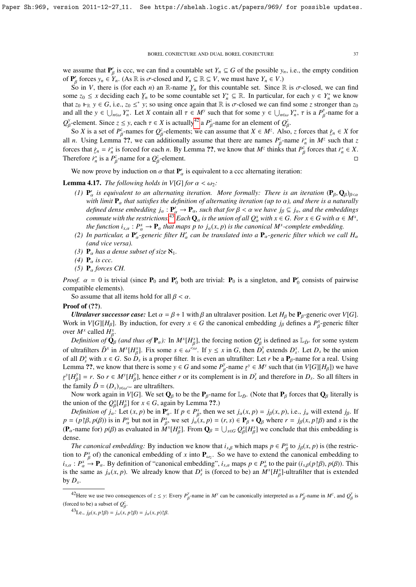we assume that  $P'_\beta$  is ccc, we can find a countable set  $Y_n \subseteq G$  of the possible  $y_n$ , i.e., the empty condition of  $P'_\beta$  forces  $y_n \in Y_n$ . (As  $\mathbb{R}$  is  $\sigma$ -closed and  $Y_n \subseteq \mathbb{R} \subseteq V$ , we must have  $Y_n \in V$ .)<br>So in *V* there is (for each *n*) an  $\mathbb{R}$  name *Y* for this countable set. Since I

So in *V*, there is (for each *n*) an R-name  $Y_n$  for this countable set. Since R is  $\sigma$ -closed, we can find<br>pe  $z_0 \leq x$  deciding each *Y* to be some countable set  $Y^* \subset \mathbb{R}$ . In particular, for each  $y \in Y^*$  we know some  $z_0 \le x$  deciding each  $\chi_n$  to be some countable set  $Y_n^* \subseteq \mathbb{R}$ . In particular, for each  $y \in Y_n^*$  we know that  $z_0 \Vdash_R y \in G$ , i.e.,  $z_0 \leq^* y$ ; so using once again that R is  $\sigma$ -closed we can find some *z* stronger than  $z_0$ <br>and all the  $y \in \Box$   $Y^*$ . Let X contain all  $\tau \in M^y$  such that for some  $y \in \Box$   $Y^*$ ,  $\tau$  is a and all the  $y \in \bigcup_{n \in \omega} Y_n^*$ . Let *X* contain all  $\tau \in M^y$  such that for some  $y \in \bigcup_{n \in \omega} Y_n^*$ ,  $\tau$  is a  $P^y$  $\beta$ -name for a  $Q^y_6$  $\beta$ <sup>*z*</sup> element. Since *z* ≤ *y*, each *τ* ∈ *X* is actually<sup>[42](#page-36-0)</sup> a *P*<sup>*z*</sup><sub>*β*</sub>-name for an element of *Q*<sup>*z*</sup><sub>*β*</sub>. So *Y* is a set of *P*<sup>*z*</sup> names for *O*<sup>*z*</sup> elements: we can assume that *Y* ∈ *M*<sup>*z*</sup> Also

So *X* is a set of  $P^z_{\beta}$ -names for  $Q^z_{\beta}$ -elements; we can assume that  $X \in M^z$ . Also, *z* forces that  $\dot{z}_n \in X$  for all *n*. Using Lemma ??, we can additionally assume that there are names  $P^z_{\beta}$ -name  $\dot{r}^*_{n}$  in  $M^z$  such that *z* forces that  $\dot{r}_n = \dot{r}_n^*$  is forced for each *n*. By Lemma ??, we know that  $M^z$  thinks that  $P^z_\beta$  forces that  $\dot{r}_n^* \in X$ . Therefore  $\vec{r}$ <sup> $n$ </sup> is a  $P^z_\beta$ -name for a  $Q^z_\beta$ -element. β

We now prove by induction on  $\alpha$  that  $P'_\alpha$  is equivalent to a ccc alternating iteration:

**Lemma 4.17.** *The following holds in V*[*G*] *for*  $\alpha < \omega_2$ *:* 

β

- (1)  $P'_\alpha$  is equivalent to an alternating iteration. More formally: There is an iteration  $(P_\beta, Q_\beta)_{\beta < \alpha}$  with limit **P** that satisfies the definition of alternating iteration (up to  $\alpha$ ) and there is a naturally with limit  $\mathbf{P}_{\alpha}$  that satisfies the definition of alternating iteration (up to  $\alpha$ ), and there is a naturally<br>defined dense embedding  $\mathbf{i} \cdot \mathbf{P}' \rightarrow \mathbf{P}$  such that for  $\beta < \alpha$  we have  $\mathbf{i}_\alpha \subseteq \mathbf{i}$  and the e *defined dense embedding*  $j_{\alpha}: \mathbf{P}'_{\alpha} \to \mathbf{P}_{\alpha}$ , such that for  $\beta < \alpha$  we have  $j_{\beta} \subseteq j_{\alpha}$ , and the embeddings<br>commute with the restrictions <sup>43</sup> Each **O**, is the union of all  $O^x$  with  $x \in G$ . For  $x \in G$  with *commute with the restrictions.*<sup>[43](#page-36-1)</sup> *Each*  $\mathbf{Q}_{\alpha}$  *is the union of all*  $Q_{\alpha}^{x}$  *with*  $x \in G$ *. For*  $x \in G$  *with*  $\alpha \in M^{x}$ *,* the function  $i \rightarrow P^{x} \rightarrow \mathbf{P}$  that maps n to  $i$  (x, n) is the canonical  $M^{x}$ -co *the function i<sub>x,α</sub>* :  $P^x_\alpha \to P_\alpha$  *that maps p to j<sub>α</sub>(x, p) is the canonical M<sup>x</sup>-complete embedding.*<br>In particular, a  $P'$ -generic filter H', can be translated into a P -generic filter which we can
- (2) In particular, a  $\mathbf{P}'_{\alpha}$ -generic filter  $H'_{\alpha}$  can be translated into a  $\mathbf{P}_{\alpha}$ -generic filter which we call  $H_{\alpha}$ <br>(and vise years) *(and vice versa).*
- *(3)*  $P_\alpha$  *has a dense subset of size*  $\aleph_1$ *.*

Γ

- (4)  $P_\alpha$  *is ccc.*
- *(5)*  $P_\alpha$  *forces CH.*

*Proof.*  $\alpha = 0$  is trivial (since  $P_0$  and  $P'_0$  both are trivial:  $P_0$  is a singleton, and  $P'_0$  consists of pairwise compatible elements) compatible elements).

So assume that all items hold for all  $\beta < \alpha$ .

#### Proof of (??).

*Ultralaver successor case:* Let  $\alpha = \beta + 1$  with  $\beta$  an ultralaver position. Let  $H_\beta$  be  $P_\beta$ -generic over *V*[*G*]. Work in *V*[*G*][*H<sub>β</sub>*]. By induction, for every  $x \in G$  the canonical embedding  $j_\beta$  defines a  $P_\beta^x$ -generic filter β over  $M^x$  called  $H^x_{\beta}$ .

*Definition of*  $\mathbf{Q}_{\beta}$  *(and thus of*  $\mathbf{P}_{\alpha}$ ). In  $M^x[H_{\beta}^x]$ , the forcing notion  $Q_{\beta}^x$  is defined as  $\mathbb{L}_{D^x}$  for some system of ultrafilters  $\overline{D}^x$  in  $M^x[H^x_\beta]$ . Fix some  $s \in \omega^{\mathcal{L}_\omega}$ . If  $y \leq x$  in G, then  $D^y_s$  extends  $D^x_s$ . Let  $D_s$  be the union of all  $D^x$  with  $x \in G$ . So  $D$  is a proper filter. It is even an ultrafilter: Let of all  $D_x^x$  with  $x \in G$ . So  $D_s$  is a proper filter. It is even an ultrafilter: Let *r* be a  $P_\beta$ -name for a real. Using Lemma ??, we know that there is some  $y \in G$  and some  $P_\beta^y$ -name  $r^\gamma \in M^\gamma$  such that (in *V*[*G*][*H*<sub>β</sub>]) we have  $\chi^y[H^y_B] = r$ . So  $r \in M^y[H^y_B]$ , hence either r or its complement is in  $D^y_s$  and therefore in  $D_s$ . So all filters in the family  $\bar{D} = (D_s)_{s \in \omega^{\infty}}$  are ultrafilters.

Now work again in *V*[*G*]. We set  $\mathbf{Q}_{\beta}$  to be the  $\mathbf{P}_{\beta}$ -name for  $\mathbb{L}_{\bar{D}}$ . (Note that  $\mathbf{P}_{\beta}$  forces that  $\mathbf{Q}_{\beta}$  literally is the union of the  $Q_{\beta}^x[H_{\beta}^x]$  for  $x \in G$ , again by Lemma ??.)

*Definition of j<sub>α</sub>*: Let  $(x, p)$  be in  $P'_\alpha$ . If  $p \in P^x$ , then we set  $j_\alpha(x, p) = j_\beta(x, p)$ , i.e.,  $j_\alpha$  will extend  $j_\beta$ . If  $p = (p \mid \beta, p(\beta))$  is in  $P_{\alpha}^{x}$  but not in  $P_{\beta}^{x}$ , we set  $j_{\alpha}(x, p) = (r, s) \in \mathbf{P}_{\beta} * \mathbf{Q}_{\beta}$  where  $r = j_{\beta}(x, p \mid \beta)$  and s is the ( ${\bf P}_{\alpha}$ -name for) *p*( $\beta$ ) as evaluated in  $\hat{M}^x[H^x_{\beta}]$ . From  ${\bf Q}_{\beta} = \bigcup_{x \in G} Q^x_{\beta}[H^x_{\beta}]$  we conclude that this embedding is β β Γ dense.

*The canonical embedding:* By induction we know that  $i_{x,\beta}$  which maps  $p \in P^x_\beta$  to  $j_\beta(x, p)$  is (the restric-<br>to  $P^x$  of) the canonical embedding of x into **P** so we have to extend the canonical embedding to tion to  $P^x_\beta$  of) the canonical embedding of *x* into  $P_{\omega_2}$ . So we have to extend the canonical embedding to  $i_{x,\alpha}: P^x \to \mathbf{P}_\alpha$ . By definition of "canonical embedding",  $i_{x,\alpha}$  maps  $p \in P^x_\alpha$  to the pair  $(i_{x,\beta}(p \upharpoonright \beta), p(\beta))$ . This is the same as  $j_\alpha(x, p)$ . We already know that  $D_s^x$  is (forced to be) an  $M^x[H^x_\beta]$ -ultrafilter that is extended β by  $D_s$ .

<span id="page-36-0"></span><sup>&</sup>lt;sup>42</sup>Here we use two consequences of  $z \leq y$ : Every  $P_{\beta}^{y}$  $\beta$ -name in *M<sup>y</sup>* can be canonically interpreted as a  $P^2$  $\beta$ <sup>*z*</sup>-name in *M<sup><i>z*</sup></sup>, and  $Q^y_f$  $\frac{a}{\beta}$  is (forced to be) a subset of  $Q_R^z$ .

<span id="page-36-1"></span><sup>&</sup>lt;sup>43</sup>I.e., *j*<sub>β</sub>(*x*, *p*  $\upharpoonright$ β) = *j*α(*x*, *p*) $\upharpoonright$ β) = *jα*(*x*, *p*) $\upharpoonright$ β.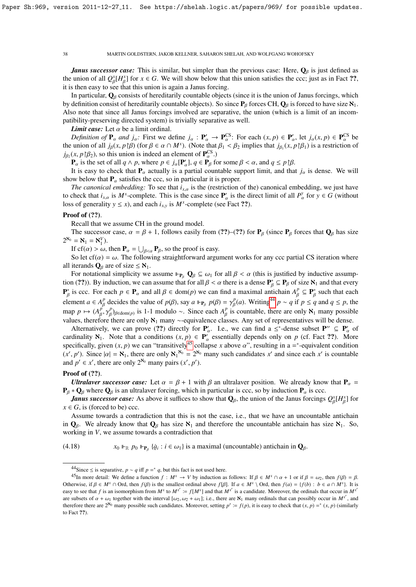*Janus successor case:* This is similar, but simpler than the previous case: Here,  $Q_\beta$  is just defined as the union of all  $Q_{\beta}^x[H_{\beta}^x]$  for  $x \in G$ . We will show below that this union satisfies the ccc; just as in Fact ??, it is then easy to see that this union is again a Janus forcing.

In particular,  $\mathbf{Q}_\beta$  consists of hereditarily countable objects (since it is the union of Janus forcings, which by definition consist of hereditarily countable objects). So since  $P_\beta$  forces CH,  $Q_\beta$  is forced to have size  $\aleph_1$ . Also note that since all Janus forcings involved are separative, the union (which is a limit of an incompatibility-preserving directed system) is trivially separative as well.

*Limit case:* Let  $\alpha$  be a limit ordinal.

*Definition of*  $P_\alpha$  *and j<sub>α</sub>*: First we define  $j_\alpha : P'_\alpha \to P^{CS}_\alpha$ . For each  $(x, p) \in P'_\alpha$ , let  $j_\alpha(x, p) \in P^{CS}_\alpha$  be union of all  $j_\alpha(x, p)$  (for  $\beta \in \alpha \cap M^x$ ) (Note that  $\beta$ ,  $\leq \beta$ , implies that  $j_\alpha(x, p)$ ) is a restr the union of all  $j_\beta(x, p \mid \beta)$  (for  $\beta \in \alpha \cap M^x$ ). (Note that  $\beta_1 < \beta_2$  implies that  $j_{\beta_1}(x, p \mid \beta_1)$  is a restriction of  $j_\beta(x, p \mid \beta_2)$  so this union is indeed an element of **P**CS ).  $j_{\beta_2}(x, p | \beta_2)$ , so this union is indeed an element of  $\mathbf{P}_{\alpha}^{\text{CS}}$ .)<br> **P** is the set of all  $a \wedge p$ , where  $p \in i$  [ $\mathbf{P}' \mid a \in \mathbf{P}_p$  for

 $\mathbf{P}_{\alpha}$  is the set of all  $q \wedge p$ , where  $p \in j_{\alpha}[\mathbf{P}'_{\alpha}], q \in \mathbf{P}_{\beta}$  for some  $\beta < \alpha$ , and  $q \le p | \beta$ .<br>It is easy to check that **P** actually is a partial countable support limit, and that

It is easy to check that  $P_\alpha$  actually is a partial countable support limit, and that  $j_\alpha$  is dense. We will show below that  $P_\alpha$  satisfies the ccc, so in particular it is proper.

*The canonical embedding:* To see that  $i_{x,\alpha}$  is the (restriction of the) canonical embedding, we just have to check that  $i_{x,\alpha}$  is  $M^x$ -complete. This is the case since  $P'_\alpha$  is the direct limit of all  $P^y_\alpha$  for  $y \in G$  (without loss of generality  $y \le x$ ), and each  $i_{x,y}$  is  $M^x$ -complete (see Fact ??).

#### Proof of (??).

Recall that we assume CH in the ground model.

The successor case,  $\alpha = \beta + 1$ , follows easily from (??)–(??) for  $P_\beta$  (since  $P_\beta$  forces that  $Q_\beta$  has size  $2^{\aleph_0} = \aleph_1 = \aleph_1^V$ .

If  $cf(\alpha) > \omega$ , then  $\mathbf{P}_{\alpha} = \bigcup_{\beta < \alpha} \mathbf{P}_{\beta}$ , so the proof is easy.<br>So let  $cf(\alpha) = \omega$ . The following straightforward arou

So let  $cf(\alpha) = \omega$ . The following straightforward argument works for any ccc partial CS iteration where all iterands  $\mathbf{Q}_{\beta}$  are of size  $\leq \aleph_1$ .

For notational simplicity we assume  $\mathbb{P}_{P_\beta} \mathbb{Q}_\beta \subseteq \omega_1$  for all  $\beta < \alpha$  (this is justified by inductive assumption (??)). By induction, we can assume that for all  $\beta < \alpha$  there is a dense  $\mathbf{P}_{\beta}^* \subseteq \mathbf{P}_{\beta}$  of size  $\mathbf{N}_1$  and that every  $\mathbf{P}_{\beta}^*$  is a see. For seek  $\mathbf{p} \in \mathbf{P}_{\beta}$  and all  $\beta \in \text{dom}(\alpha)$  we see fi  $\mathbf{P}_{\beta}^{*}$  is ccc. For each  $p \in \mathbf{P}_{\alpha}$  and all  $\beta \in \text{dom}(p)$  we can find a maximal antichain  $A_{\beta}^{p} \subseteq \mathbf{P}_{\beta}^{*}$  such that each  $A_{\beta}^{p} \subseteq \mathbf{P}_{\beta}^{*}$ element *a* ∈ *A*<sup>*p*</sup></sup> decides the value of *p*(β), say *a* ⊩<sub>*P<sub>β</sub>*</sub> *p*(β) = γ<sup>*p*</sup><sub>β</sub>(*a*). Writing<sup>[44](#page-37-0)</sup> *p* ∼ *q* if *p* ≤ *q* and *q* ≤ *p*, the map *p*  $\mapsto (A_{\beta}^{p}, \gamma_{\beta}^{p})_{\beta \in dom(p)}$  is 1-1 modulo ∼. Since each  $A_{\beta}^{p}$  is countable, there are only  $\aleph_1$  many possible values, therefore there are only  $\aleph_1$  many ∼-equivalence classes. Any set of representatives will be dense.

Alternatively, we can prove (??) directly for  $P'_\n\alpha$ . I.e., we can find a  $\leq^*$ -dense subset  $P'' \subseteq P'_\n\alpha$  of directive  $\aleph$ . cardinality  $\aleph_1$ . Note that a conditions  $(x, p) \in P_\alpha^{\gamma}$ <br>specifically given  $(x, p)$  we can "transitively<sup>45</sup> collar  $\alpha'_{\alpha}$  essentially depends only on *p* (cf. Fact ??). More specifically, given  $(x, p)$  we can "transitively<sup>[45](#page-37-1)</sup> collapse *x* above  $\alpha$ ", resulting in a =<sup>\*</sup>-equivalent condition  $(x', p')$ . Since  $|\alpha| = N$ , there are only  $N_1^{\infty} = 2^N_0$  many such candidates x' and since each x' is c  $(x', p')$ . Since  $|\alpha| = \aleph_1$ , there are only  $\aleph_1^{\aleph_0} = 2^{\aleph_0}$  many such candidates *x'* and since each *x'* is countable and  $p' \in x'$ , there are only  $2^{\aleph_0}$  many pairs  $(x', p')$ .

#### Proof of (??).

*Ultralaver successor case:* Let  $\alpha = \beta + 1$  with  $\beta$  an ultralaver position. We already know that  $P_{\alpha}$  =  ${\bf P}_{\beta} * {\bf Q}_{\beta}$  where  ${\bf Q}_{\beta}$  is an ultralaver forcing, which in particular is ccc, so by induction  ${\bf P}_{\alpha}$  is ccc.

*Janus successor case:* As above it suffices to show that  $\mathbf{Q}_{\beta}$ , the union of the Janus forcings  $Q_{\beta}^{x}[H_{\beta}^{x}]$  for β β  $x \in G$ , is (forced to be) ccc.

Assume towards a contradiction that this is not the case, i.e., that we have an uncountable antichain in  $\mathbf{Q}_{\beta}$ . We already know that  $\mathbf{Q}_{\beta}$  has size  $\mathbf{X}_1$  and therefore the uncountable antichain has size  $\mathbf{X}_1$ . So, working in *V*, we assume towards a contradiction that

(4.18)  $x_0 \Vdash_{\mathbb{R}} p_0 \Vdash_{\mathbf{P}_{\beta}} \{$  $\dot{a}_i : i \in \omega_1$  is a maximal (uncountable) antichain in  $\mathbf{Q}_\beta$ .

<span id="page-37-1"></span><span id="page-37-0"></span><sup>&</sup>lt;sup>44</sup>Since ≤ is separative,  $p \sim q$  iff  $p = * q$ , but this fact is not used here.

<sup>&</sup>lt;sup>45</sup>In more detail: We define a function  $f : M^x \to V$  by induction as follows: If  $\beta \in M^x \cap \alpha + 1$  or if  $\beta = \omega_2$ , then  $f(\beta) = \beta$ . Otherwise, if  $\beta \in M^x \cap \text{Ord}$ , then  $f(\beta)$  is the smallest ordinal above  $f[\beta]$ . If  $a \in M^x \setminus \text{Ord}$ , then  $f(a) = \{f(b) : b \in a \cap M^x\}$ . It is easy to see that *f* is an isomorphism from  $M^x$  to  $M^{x'} := f[M^x]$  and that  $M^{x'}$  is a candidate. Moreover, the ordinals that occur in  $M^{x'}$ are subsets of  $\alpha + \omega_1$  together with the interval  $[\omega_2, \omega_2 + \omega_1]$ ; i.e., there are  $\aleph_1$  many ordinals that can possibly occur in  $M^x$ , and<br>therefore there are 2<sup>N</sup><sub>0</sub> many possible such condidates. Moreover settin therefore there are  $2^{\aleph_0}$  many possible such candidates. Moreover, setting  $p' := f(p)$ , it is easy to check that  $(x, p) =^*(x, p)$  (similarly to Fact ??).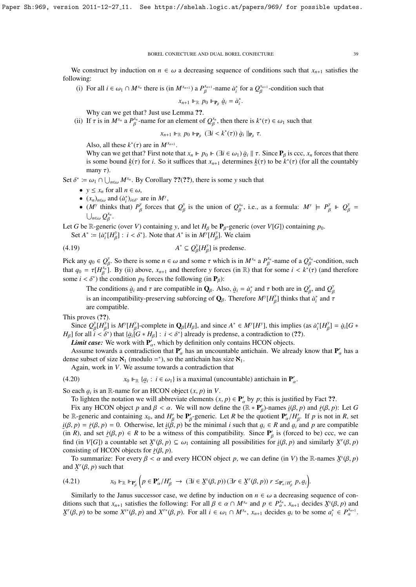We construct by induction on  $n \in \omega$  a decreasing sequence of conditions such that  $x_{n+1}$  satisfies the following:

(i) For all  $i \in \omega_1 \cap M^{x_n}$  there is (in  $M^{x_{n+1}}$ ) a  $P^{x_{n+1}}_{\beta}$ -name  $\dot{a}^*_i$  for a  $Q^{x_{n+1}}_{\beta}$ -condition such that

$$
x_{n+1} \Vdash_{\mathbb{R}} p_0 \Vdash_{\mathbf{P}_{\beta}} \dot{a}_i = \dot{a}_i^*.
$$

β

Why can we get that? Just use Lemma ??.

(ii) If  $\tau$  is in  $M^{x_n}$  a  $P_\beta^{x_n}$ -name for an element of  $Q_\beta^{x_n}$ , then there is  $k^*(\tau) \in \omega_1$  such that

$$
x_{n+1} \Vdash_{\mathbb{R}} p_0 \Vdash_{\mathbf{P}_{\beta}} (\exists i < k^*(\tau)) \dot{g}_i \Vdash_{\mathbf{P}_{\beta}} \tau.
$$

Also, all these  $k^*(\tau)$  are in  $M^{x_{n+1}}$ .<br>Why can we get that? First note t

β

Why can we get that? First note that  $x_n \Vdash p_0 \Vdash (\exists i \in \omega_1) \dot{a}_i \Vdash \tau$ . Since  $P_\beta$  is ccc,  $x_n$  forces that there is some bound  $k(\tau)$  for *i*. So it suffices that  $x$ , determines  $k(\tau)$  to be  $k^*(\tau)$  (for all the coun is some bound  $\underline{k}(\tau)$  for *i*. So it suffices that  $x_{n+1}$  determines  $\underline{k}(\tau)$  to be  $k^*(\tau)$  (for all the countably many  $\tau$ ).

Set  $\delta^* := \omega_1 \cap \bigcup_{n \in \omega} M^{x_n}$ . By Corollary ??(??), there is some *y* such that

- $y \leq x_n$  for all  $n \in \omega$ ,
- $(x_n)_{n \in \omega}$  and  $(\dot{a}_i^*)_{i \in \delta^*}$  are in  $M^y$ ,
- (*M<sup><i>y*</sup> thinks that)  $P^y_\beta$  forces that  $Q^y_\beta$  is the union of  $Q^{x_n}_\beta$ , i.e., as a formula:  $M^y \models P^y_\beta \models Q^y_\beta =$ Γ β β Γ Γ  $\bigcup_{n\in\omega}Q_\beta^{x_n}.$

Let *G* be R-generic (over *V*) containing *y*, and let  $H_\beta$  be  $P_\beta$ -generic (over *V*[*G*]) containing  $p_0$ .<br>Set  $A^* := (A^* \Box B^T) + i \leq S^*$  Note that  $A^*$  is in  $M_Y^T U_X^T$ . We alsim

Set  $A^* := \{a_i^*[H_{\beta}^y]: i < \delta^*\}$ . Note that  $A^*$  is in  $M^{\gamma}[H_{\beta}^y]$ . We claim

$$
(4.19) \t\t A^* \subseteq Q_R^y[H_R^y] \t{ is predense.}
$$

Pick any  $q_0 \in Q_\beta^y$ . So there is some  $n \in \omega$  and some  $\tau$  which is in  $M^{x_n}$  a  $P_\beta^{x_n}$ -name of a  $Q_\beta^{x_n}$ -condition, such that  $\alpha_n = \tau[M^{x_n}]$ . By (ii) shows  $x_n$  and therefore y forces (in  $\mathbb{R}$ ) that for some that  $q_0 = \tau[H_{\beta}^{x_n}]$ . By (ii) above,  $x_{n+1}$  and therefore *y* forces (in R) that for some  $i < k^*(\tau)$  (and therefore some  $i < \delta^*$ ) the condition  $p_0$  forces the following (in **P**<sub>2</sub>). some *i* <  $\delta^*$ ) the condition  $p_0$  forces the following (in  $\mathbf{P}_\beta$ ):

The conditions  $\dot{g}_i$  and  $\tau$  are compatible in  $\mathbf{Q}_\beta$ . Also,  $\dot{g}_i = \dot{a}_i^*$  and  $\tau$  both are in  $Q_\beta^y$ , and  $Q_\beta^y$ is an incompatibility-preserving subforcing of  $\mathbf{Q}_{\beta}$ . Therefore  $M^{\gamma}[H_{\beta}^{\gamma}]$  thinks that  $\dot{a}_{i}^{*}$  and  $\tau$ β are compatible.

This proves  $(?)$ .

Since  $Q_{\beta}^{y}[H_{\beta}^{y}]$  is  $M^{y}[H_{\beta}^{y}]$ -complete in  $\mathbf{Q}_{\beta}[H_{\beta}]$ , and since  $A^* \in M^{y}[H^{y}]$ , this implies (as  $a_i^*[H_{\beta}^{y}] = \dot{a}_i[G * \mathbf{1}]$  or all  $i \leq s^*$ ) that  $\{a_i[G * H_{\beta}] : i \leq s^*$  already is predense, a contra *H<sub>β</sub>*] for all  $i < \delta^*$  that { $\alpha_i$   $[G * H_\beta]$  :  $i < \delta^*$ } already is predense, a contradiction to (??).<br>*I imit case*: We work with **P**', which by definition only contains HCON objects Γ

**Limit case:** We work with  $P'_\alpha$ , which by definition only contains HCON objects.

Assume towards a contradiction that  $P'_\alpha$  has an uncountable antichain. We already know that  $P'_\alpha$  has a see subset of size  $\aleph$ . (modulo  $\stackrel{*}{\rightarrow}$ ) so the antichain has size  $\aleph$ . dense subset of size  $\aleph_1$  (modulo =\*), so the antichain has size  $\aleph_1$ .

Again, work in *V*. We assume towards a contradiction that

(4.20) 
$$
x_0 \Vdash_{\mathbb{R}} \{g_i : i \in \omega_1\}
$$
 is a maximal (uncountable) antichain in  $\mathbf{P}'_{\alpha}$ .

So each  $q_i$  is an R-name for an HCON object  $(x, p)$  in *V*.<br>To lighten the notation we will abbreviate elements (*x* 

To lighten the notation we will abbreviate elements  $(x, p) \in \mathbf{P}_\alpha'$  by p; this is justified by Fact ??.<br>Fix any HCON object *p* and  $\beta \leq \alpha$ . We will now define the  $(\mathbb{R} * \mathbf{P}')$ -pames  $i(\beta, p)$  and  $\dot{r}(\beta, p)$ 

Fix any HCON object *p* and  $\beta < \alpha$ . We will now define the  $(\mathbb{R} * \mathbf{P}'_p)$ -names  $\underline{i}(\beta, p)$  and  $\underline{i}(\beta, p)$ : Let *G*<br> $\mathbb{R}$  generic and containing  $x_0$  and *H'* be **P'** generic. Let *R* be the quotient **P'** /*H'* be R-generic and containing  $x_0$ , and  $H'_\beta$  be  $\mathbf{P}'_\beta$ -generic. Let *R* be the quotient  $\mathbf{P}'_\alpha/H'_\beta$ . If *p* is not in *R*, set i(*R*, *n*) = *i*(*R*, *n*) = 0. Otherwise, let *i*(*R*, *n*) be the minimal *i* such  $i(\beta, p) = i(\beta, p) = 0$ . Otherwise, let  $i(\beta, p)$  be the minimal *i* such that  $a_i \in R$  and  $a_i$  and *p* are compatible (in *R*) and set  $i(\beta, p) \in R$  to be a witness of this compatibility. Since P' is (forced to be) ccc. we can (in *R*), and set  $\dot{r}(\beta, p) \in R$  to be a witness of this compatibility. Since  $P'_\beta$  is (forced to be) ccc, we can<br>find (in *VIG*)) a countable set  $Y^{\ell}(B, p) \subseteq Q$  containing all possibilities for  $i(B, p)$  and similarly  $Y$ find (in *V*[*G*]) a countable set  $X^i(\beta, p) \subseteq \omega_1$  containing all possibilities for  $\underline{i}(\beta, p)$  and similarly  $X^r(\beta, p)$ <br>consisting of HCON objects for  $\overline{i}(\beta, n)$ consisting of HCON objects for  $\dot{r}(\beta, p)$ .<br>To summarize: For every  $\beta < \alpha$  and

To summarize: For every  $\beta < \alpha$  and every HCON object *p*, we can define (in *V*) the R-names  $\chi^i(\beta, p)$ <br>H  $\chi^r(\beta, p)$  such that and  $X^r(\beta, p)$  such that

$$
(4.21) \t x_0 \Vdash_{\mathbb{R}} \Vdash_{\mathbf{P}'_\beta} \Big( p \in \mathbf{P}'_\alpha / H'_\beta \to (\exists i \in \mathfrak{X}^t(\beta, p)) (\exists r \in \mathfrak{X}^r(\beta, p)) \; r \leq_{\mathbf{P}'_\alpha / H'_\beta} p, \, g_i \Big).
$$

Similarly to the Janus successor case, we define by induction on  $n \in \omega$  a decreasing sequence of conditions such that  $x_{n+1}$  satisfies the following: For all  $\beta \in \alpha \cap M^{x_n}$  and  $p \in P_{\alpha}^{x_n}$ ,  $x_{n+1}$  decides  $\chi^{\mu}(\beta, p)$  and  $\chi^{\nu}(\beta, p)$  and  $\chi^{\nu}(\beta, p)$  and  $\chi^{\nu}(\beta, p)$  and  $\chi^{\nu}(\beta, p)$ . For all  $i \in \alpha$ ,  $\alpha \$ ˜  $X^r(\beta, p)$  to be some  $X^{i*}(\beta, p)$  and  $X^{r*}(\beta, p)$ . For all  $i \in \omega_1 \cap M^{x_n}$ ,  $x_{n+1}$  decides  $g_i$  to be some  $a_i^* \in P_\alpha^{x_{n+1}}$ .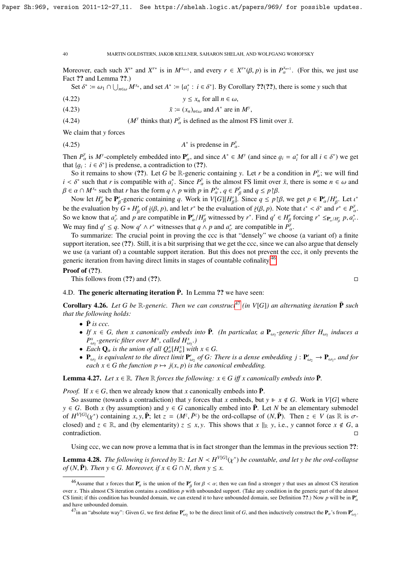Moreover, each such  $X^{t*}$  and  $X^{r*}$  is in  $M^{x_{n+1}}$ , and every  $r \in X^{r*}(\beta, p)$  is in  $P_{\alpha}^{x_{n+1}}$ . (For this, we just use Fact 22 and Lemma 22.) Fact ?? and Lemma ??.)

Set  $\delta^* := \omega_1 \cap \bigcup_{n \in \omega} M^{x_n}$ , and set  $A^* := \{a_i^* : i \in \delta^*\}$ . By Corollary ??(??), there is some *y* such that

$$
(4.22) \t\t\t y \le x_n \text{ for all } n \in \omega,
$$

(4.23) 
$$
\bar{x} := (x_n)_{n \in \omega} \text{ and } A^* \text{ are in } M^y,
$$

(4.24)  $(M^y \text{ thinks that}) P^y_\alpha \text{ is defined as the almost FS limit over } \bar{x}.$ 

We claim that *y* forces

 $(4.25)$ \* is predense in  $P_a^y$ α.

Then  $P_{\alpha}^{\gamma}$  is  $M^{\gamma}$ -completely embedded into  $P_{\alpha}^{\prime}$ , and since  $A^* \in M^{\gamma}$  (and since  $g_i = a_i^*$  for all  $i \in \delta^*$ ) we get that  $\{a_i : i \in \delta^*\}$  is predense, a contradiction to (22) that  $\{a_i : i \in \delta^*\}$  is predense, a contradiction to (??).<br>So it remains to show (??) I et G be R-generic

So it remains to show (??). Let *G* be R-generic containing *y*. Let *r* be a condition in  $P_x^y$ ; we will find  $s^*$  with  $s^*$ . Since  $P_y^y$  is the almost ES limit over  $\bar{z}$  there is some *n*  $\bar{z}$  to and  $i < \delta^*$  such that *r* is compatible with  $a_i^*$ . Since  $P_\alpha^y$  is the almost FS limit over  $\bar{x}$ , there is some  $n \in \omega$  and  $\beta \in \alpha \cap M_{\alpha}^y$  such that *r* has the form  $a \wedge n$  with  $n$  in  $P_{\alpha}^{x_n}$   $a \in P_\alpha^y$  and  $a \$  $\beta \in \alpha \cap M^{x_n}$  such that *r* has the form  $q \wedge p$  with *p* in  $P_{\alpha}^{x_n}, q \in P_{\alpha}^y$ .<br>Now let *H'* be **P'** generic containing a Work in  $V(G)[H']$ .

 $\alpha \cap M^{x_n}$  such that *r* has the form  $q \wedge p$  with *p* in  $P_{\alpha}^{x_n}$ ,  $q \in P_{\beta}^{y}$  and  $q \le p \upharpoonright \beta$ .<br>Now let  $H'_{\beta}$  be  $P'_{\beta}$ -generic containing *q*. Work in  $V[G][H'_{\beta}]$ . Since  $q \le p \upharpoonright \beta$ , we get  $p \in P_{\alpha}'/H'_{\$ be the evaluation by  $G * H'_{\beta}$  of  $\underline{i}(\beta, p)$ , and let  $r^*$  be the evaluation of  $\underline{r}(\beta, p)$ . Note that  $i^* < \delta^*$  and  $r^* \in P'_\alpha$ .<br>So we know that  $\sigma^*$  and *n* are compatible in  $\mathbf{P}'/H'$  witnessed by  $r^*$ . Fin So we know that  $a_i^*$  and *p* are compatible in  $P'_\alpha/H'_\beta$  witnessed by *r*<sup>\*</sup>. Find  $q' \in H'_\beta$  forcing  $r^* \leq_{P'_\alpha/H'_\beta} p, a_i^*$ .<br>We may find  $q' \leq q$ . Now  $q' \leq r^*$  witnesses that  $q, h$  need  $q^*$  are compatible in  $P'_$ We may find  $q' \le q$ . Now  $q' \wedge r^*$  witnesses that  $q \wedge p$  and  $a^*_t$  are compatible in  $P_{\alpha}^y$ .<br>To summerize the crucial point in provinciple age is that "dopedy" we ahoos β

To summarize: The crucial point in proving the ccc is that "densely" we choose (a variant of) a finite support iteration, see (??). Still, it is a bit surprising that we get the ccc, since we can also argue that densely we use (a variant of) a countable support iteration. But this does not prevent the ccc, it only prevents the generic iteration from having direct limits in stages of countable cofinality.[46](#page-39-0)

#### Proof of (??).

This follows from  $(??)$  and  $(??)$ .

## 4.D. The generic alternating iteration  $\bar{P}$ . In Lemma ?? we have seen:

**Corollary 4.26.** Let G be R-generic. Then we can construct<sup>[47](#page-39-1)</sup> (in V[G]) an alternating iteration  $\bar{P}$  such *that the following holds:*

- $\bar{P}$  *is ccc.*
- *If*  $x \in G$ , then x canonically embeds into  $\overline{P}$ . (In particular, a  $P_{\omega_2}$ -generic filter  $H_{\omega_2}$  induces a  $P_{\omega_2}^x$ -generic filter over  $M^x$ , called  $H_{\omega_2}^x$ .
- Each  $Q_{\alpha}$  is the union of all  $Q_{\alpha}^{x}[H_{\alpha}^{x}]$  with  $x \in G$ .<br>
 Each  $Q_{\alpha}$  is a cuivalent to the dinast limit  $P'$ , of C, 7
- $P_{\omega_2}$  is equivalent to the direct limit  $P'_{\omega_2}$  of G: There is a dense embedding  $j : P'_{\omega_2} \to P_{\omega_2}$ , and for  $\lim_{\omega_2} \alpha \leq \lim_{n \to \infty} \alpha$  function  $p \mapsto j(x, p)$  *is the canonical embedding.*

**Lemma 4.27.** Let  $x \in \mathbb{R}$ . Then  $\mathbb{R}$  *forces the following:*  $x \in G$  *iff*  $x$  *canonically embeds into*  $\mathbf{\bar{P}}$ *.* 

*Proof.* If  $x \in G$ , then we already know that *x* canonically embeds into  $\overline{P}$ .

So assume (towards a contradiction) that *y* forces that *x* embeds, but  $y \Vdash x \notin G$ . Work in  $V[G]$  where  $y \in G$ . Both *x* (by assumption) and  $y \in G$  canonically embed into  $\overline{P}$ . Let *N* be an elementary submodel of  $H^{V[G]}(\chi^*)$  containing  $x, y, \bar{P}$ ; let  $z = (M^z, \bar{P}^z)$  be the ord-collapse of  $(N, \bar{P})$ . Then  $z \in V$  (as  $\mathbb{R}$  is  $\sigma$ -<br>closed) and  $z \in \mathbb{R}$  and (by elementarity)  $z \leq r, y$ . This shows that  $r \parallel_{\sigma} y$  i.e., y closed) and  $z \in \mathbb{R}$ , and (by elementarity)  $z \le x, y$ . This shows that  $x \parallel_{\mathbb{R}} y$ , i.e.,  $y$  cannot force  $x \notin G$ , a contradiction. contradiction.

Using ccc, we can now prove a lemma that is in fact stronger than the lemmas in the previous section ??:

**Lemma 4.28.** *The following is forced by*  $\mathbb{R}$ : *Let*  $N \lt N^{V[G]}(\chi^*)$  *be countable, and let* y *be the ord-collapse*<br>*of*  $(N, \bar{P})$ . *Then*  $y \in G$ . *Moreover*, if  $x \in G \cap N$ , then  $y \leq x$ *of*  $(N, \bar{P})$ *. Then*  $y \in G$ *. Moreover, if*  $x \in G \cap N$ *, then*  $y \leq x$ *.* 

<span id="page-39-0"></span><sup>&</sup>lt;sup>46</sup>Assume that *x* forces that  $P'_\alpha$  is the union of the  $P'_\beta$  for  $\beta < \alpha$ ; then we can find a stronger *y* that uses an almost CS iteration  $\alpha$ , This elmost CS iteration contains a condition nuith uphounded support. over *x*. This almost CS iteration contains a condition *p* with unbounded support. (Take any condition in the generic part of the almost CS limit; if this condition has bounded domain, we can extend it to have unbounded domain, see Definition  $2$ .) Now p will be in  $P_1$ and have unbounded domain.

<span id="page-39-1"></span><sup>&</sup>lt;sup>47</sup>in an "absolute way": Given *G*, we first define  $P'_{\omega_2}$  to be the direct limit of *G*, and then inductively construct the  $P_\alpha$ 's from  $P'_{\omega_2}$ .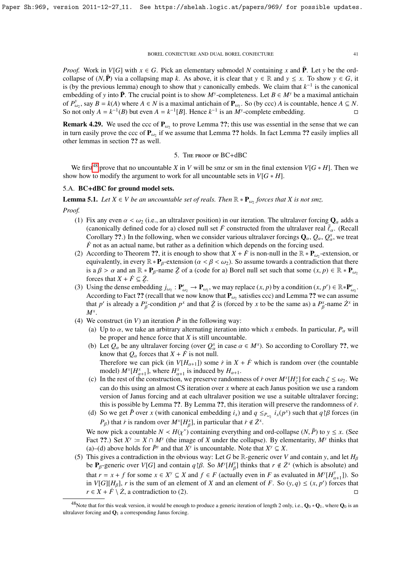*Proof.* Work in *V*[*G*] with  $x \in G$ . Pick an elementary submodel *N* containing *x* and  $\overline{P}$ . Let *y* be the ordcollapse of  $(N, \bar{P})$  via a collapsing map *k*. As above, it is clear that  $y \in \mathbb{R}$  and  $y \leq x$ . To show  $y \in G$ , it is (by the previous lemma) enough to show that *y* canonically embeds. We claim that  $k^{-1}$  is the canonical embedding of *y* into  $\bar{P}$ . The crucial point is to show  $M^y$ -completeness. Let  $B \in M^y$  be a maximal antichain of  $P_{\omega_2}^y$ , say  $B = k(A)$  where  $A \in N$  is a maximal antichain of  $P_{\omega_2}$ . So (by ccc) *A* is countable, hence  $A \subseteq N$ . So not only  $A = k^{-1}(B)$  but even  $A = k^{-1}[B]$ . Hence  $k^{-1}$  is an  $M^y$ -complete embedding.

**Remark 4.29.** We used the ccc of  $P_{\omega_2}$  to prove Lemma ??; this use was essential in the sense that we can<br>in turn assily group the see of **P** if we assume that I amma 22 halds. In fact I amma 22 assily implies all in turn easily prove the ccc of  $\mathbf{P}_{\omega_2}$  if we assume that Lemma ?? holds. In fact Lemma ?? easily implies all<br>other lemmas in section 22 as well. other lemmas in section ?? as well.

#### 5. The proof of BC+dBC

We first<sup>[48](#page-40-0)</sup> prove that no uncountable *X* in *V* will be smz or sm in the final extension  $V[G * H]$ . Then we show how to modify the argument to work for all uncountable sets in  $V[G * H]$ .

#### 5.A. BC+dBC for ground model sets.

**Lemma 5.1.** *Let*  $X \in V$  *be an uncountable set of reals. Then*  $\mathbb{R} * \mathbf{P}_{\omega_2}$  *forces that*  $X$  *is not smz.* 

*Proof.*

- (1) Fix any even  $\alpha < \omega_2$  (i.e., an ultralaver position) in our iteration. The ultralaver forcing  $\mathbf{Q}_\alpha$  adds a (canonically defined code for a) closed null set  $\ddot{F}$  constructed from the ultralaver real  $\bar{\ell}_{\alpha}$ . (Recall Corollary ??.) In the following, when we consider various ultralaver forcings  $\mathbf{Q}_{\alpha}$ ,  $\mathcal{Q}_{\alpha}$ ,  $\mathcal{Q}_{\alpha}^{x}$ , we treat *F* not as an actual name, but rather as a definition which depends on the forcing used.
- (2) According to Theorem ??, it is enough to show that  $X + \dot{F}$  is non-null in the  $\mathbb{R} * \mathbf{P}_{\omega_2}$ -extension, or conjugative in avery  $\mathbb{R} \cdot \mathbf{P}$  orthonoise  $(\alpha, \beta, \zeta, \mu)$ . So assume towards a contradiction th equivalently, in every  $\mathbb{R} * \mathbf{P}_{\beta}$ -extension ( $\alpha < \beta < \omega_2$ ). So assume towards a contradiction that there is a  $\beta > \alpha$  and an  $\mathbb{R} * \mathbf{P}_{\beta}$ -name  $\zeta$  of a (code for a) Borel null set such that some  $(x, p) \in \mathbb{R} * \mathbf{P}_{\omega_2}$ forces that  $X + \dot{F} \subseteq \dot{Z}$ .
- (3) Using the dense embedding  $j_{\omega_2}: \mathbf{P}'_{\omega_2} \to \mathbf{P}_{\omega_2}$ , we may replace  $(x, p)$  by a condition  $(x, p') \in \mathbb{R} * \mathbf{P}'_{\omega_2}$ .<br>A coording to East 22 (recall that we now know that **P** satisfies ccc) and I emma 22 we c According to Fact ?? (recall that we now know  $\mathbf{P}_{\omega_2}$  and  $\mathbf{P}_{\omega_2}$  satisfies ccc) and Lemma ?? we can assume that *p*' is already a *P*<sub> $\beta$ </sub><sup>x</sup>-condition *p*<sup>x</sup> and that  $\overline{Z}$  is (forced by *x* to be the same as) a *P*<sub> $\beta$ </sub><sup>x</sup>-name  $\overline{Z}$ <sup>x</sup> in β β *M<sup>x</sup>* .
- (4) We construct (in *V*) an iteration  $\bar{P}$  in the following way:
	- (a) Up to  $\alpha$ , we take an arbitrary alternating iteration into which x embeds. In particular,  $P_\alpha$  will be proper and hence force that *X* is still uncountable.
	- (b) Let  $Q_\alpha$  be any ultralaver forcing (over  $Q_\alpha^x$  in case  $\alpha \in M^x$ ). So according to Corollary ??, we know that  $\Omega$  forces that  $X + \vec{F}$  is not null know that  $Q_{\alpha}$  forces that  $X + \dot{F}$  is not null. Therefore we can pick (in  $V[H_{\alpha+1}]$ ) some  $\dot{r}$  in  $X + \dot{F}$  which is random over (the countable
	- model)  $M^x[H_{\alpha+1}^x]$ , where  $H_{\alpha+1}^x$  is induced by  $H_{\alpha+1}$ . (c) In the rest of the construction, we preserve randomness of *i* over  $M^x[H^x_\zeta]$  for each  $\zeta \le \omega_2$ . We can do this using an almost CS iteration over *x* where at each Janus position we use a random can do this using an almost CS iteration over *x* where at each Janus position we use a random version of Janus forcing and at each ultralaver position we use a suitable ultralaver forcing; this is possible by Lemma ??. By Lemma ??, this iteration will preserve the randomness of  $\dot{r}$ .
	- (d) So we get  $\bar{P}$  over *x* (with canonical embedding  $i_x$ ) and  $q \leq_{P_{\omega_2}} i_x(p^x)$  such that  $q \upharpoonright \beta$  forces (in  $P$ ) that *i*<sub>x</sub> is render over MXLEX1 in perticular that  $\dot{x} \notin \mathcal{X}$ . *P*<sub>β</sub>) that *r* is random over  $M^x[H_\beta^x]$ , in particular that  $\dot{r} \notin Z^x$ .

We now pick a countable  $N < H(\chi^*)$  containing everything and ord-collapse  $(N, \bar{P})$  to  $y \leq x$ . (See Fact 22) Set  $X^y := X \cap M^y$  (the image of *X* under the collapse). By elementarity  $M^y$  thinks that Fact ??.) Set  $X^y = X \cap M^y$  (the image of *X* under the collapse). By elementarity,  $M^y$  thinks that (a)–(d) above holds for  $\bar{P}^y$  and that  $X^y$  is uncountable. Note that  $X^y$  ⊆ *X*.

(5) This gives a contradiction in the obvious way: Let *G* be R-generic over *V* and contain *y*, and let  $H_B$ be  $P_{\beta}$ -generic over *V*[*G*] and contain *q*  $\beta\beta$ . So  $M^y[H_{\beta}^y]$  thinks that  $r \notin \mathbb{Z}^x$  (which is absolute) and that  $r \neq 0$  is a subsolute of  $M^y[H_{\beta}^y]$ . that  $r = x + f$  for some  $x \in X^y \subseteq X$  and  $f \in F$  (actually even in *F* as evaluated in  $M^y[H^y_{\alpha+1}]$ ). So in  $V[G][H_\beta]$ , *r* is the sum of an element of *X* and an element of *F*. So  $(y, q) \le (x, p')$  forces that  $r \in X + \dot{F} \setminus \dot{Z}$  a contradiction to (2)  $r \in X + \dot{F} \setminus \dot{Z}$ , a contradiction to (2).

<span id="page-40-0"></span><sup>&</sup>lt;sup>48</sup>Note that for this weak version, it would be enough to produce a generic iteration of length 2 only, i.e.,  $\mathbf{Q}_0 * \mathbf{Q}_1$ , where  $\mathbf{Q}_0$  is an ultralaver forcing and  $\mathbf{Q}_1$  a corresponding Janus forcing.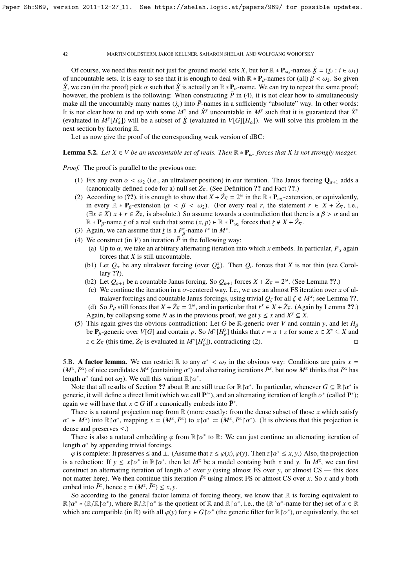Of course, we need this result not just for ground model sets *X*, but for  $\mathbb{R} * \mathbf{P}_{\omega_2}$ -names  $\dot{X} = (\dot{x}_i : i \in \omega_1)$ <br>uncountable sets. It is easy to see that it is enough to deal with  $\mathbb{R} * \mathbf{P}_{\alpha}$ -names for of uncountable sets. It is easy to see that it is enough to deal with  $\mathbb{R} * \mathbf{P}_{\beta}$ -names for (all)  $\beta < \omega_2$ . So given  $\dot{\mathbf{Y}}$  we can (in the proof) pick  $\alpha$  such that  $\dot{\mathbf{Y}}$  is actually an  $\mathbb{R} * \mathbf{P}$ , however, the problem is the following: When constructing  $\overline{P}$  in (4), it is not clear how to simultaneously however, the problem is the following: When constructing  $\overline{P}$  in (4), it is not clear how to simultaneous  $\dot{X}$ , we can (in the proof) pick  $\alpha$  such that  $\dot{X}$  is actually an  $\mathbb{R} * \mathbf{P}_{\alpha}$ -name. We can try to repeat the same proof;<br>however, the problem is the following: When constructing  $\overline{P}$  in (4) it is not cl make all the uncountably many names  $(\dot{x}_i)$  into  $\bar{P}$ -names in a sufficiently "absolute" way. In other words: It is not clear how to end up with some  $\overline{M}$ <sup>*y*</sup> and  $\overline{X}$ <sup>*y*</sup> uncountable in  $\overline{M}$ <sup>*y*</sup> such that it is guaranteed that  $\overline{X}$ <sup>*y*</sup> (evaluated in  $M^y[H^{\gamma}_{\alpha}]$ ) will be a subset of  $\dot{\chi}$  (evaluated in  $V[G][H_{\alpha}]$ ). We will solve this problem in the next section by factoring R.

Let us now give the proof of the corresponding weak version of dBC:

# **Lemma 5.2.** Let  $X \in V$  be an uncountable set of reals. Then  $\mathbb{R} * \mathbf{P}_{\omega_2}$  forces that X is not strongly meager.

*Proof.* The proof is parallel to the previous one:

- (1) Fix any even  $\alpha < \omega_2$  (i.e., an ultralaver position) in our iteration. The Janus forcing  $\mathbf{Q}_{\alpha+1}$  adds a (canonically defined code for a) null set  $\dot{Z}_{\nabla}$ . (See Definition ?? and Fact ??.)
- (2) According to (??), it is enough to show that  $X + \dot{Z}_{\nabla} = 2^{\omega}$  in the  $\mathbb{R} * \mathbf{P}_{\omega_2}$ -extension, or equivalently, in over  $\mathbb{R} \times \mathbf{P}$ , at the state  $\mathbb{R} \times \mathbb{R}$  or  $\mathbb{R} \times \mathbb{R}$ . in every  $\mathbb{R} * \mathbf{P}_{\beta}$ -extension  $(\alpha < \beta < \omega_2)$ . (For every real *r*, the statement  $r \in X + Z_{\nabla}$ , i.e.,  $( \exists r \in \mathbb{Z} \setminus x + r \in \mathbb{Z})$  is absolute a some towards a contradiction that there is a  $\beta > \alpha$  and an  $(\exists x \in X)$   $x + r \in Z_{\nabla}$ , is absolute.) So assume towards a contradiction that there is a  $\beta > \alpha$  and an  $\mathbb{R} \times \mathbf{P}$  arrow is of a real such that some  $(x, n) \in \mathbb{R} \times \mathbf{P}$  forces that  $\forall x \in \mathcal{I} + \mathcal{I}$  $\mathbb{R} * \mathbf{P}_{\beta}$ -name *i*: of a real such that some  $(x, p) \in \mathbb{R} * \mathbf{P}_{\omega_2}$  forces that  $\dot{x} \notin X + \dot{Z}_{\nabla}$ .<br>A gain we can assume that *i*: is a  $P^x$ -name *i*<sup>x</sup> in  $M^x$ .
- (3) Again, we can assume that  $\dot{r}$  is a  $P^x_A$ -name  $\dot{r}^x$  in  $M^x$ .
- (4) We construct (in *V*) an iteration  $\bar{P}$  in the following way:
	- (a) Up to  $\alpha$ , we take an arbitrary alternating iteration into which x embeds. In particular,  $P_\alpha$  again forces that *X* is still uncountable.
	- (b1) Let  $Q_\alpha$  be any ultralaver forcing (over  $Q_\alpha^x$ ). Then  $Q_\alpha$  forces that *X* is not thin (see Corollary ??).
	- (b2) Let  $Q_{\alpha+1}$  be a countable Janus forcing. So  $Q_{\alpha+1}$  forces  $X + Z_{\nabla} = 2^{\omega}$ . (See Lemma ??.)
	- (c) We continue the iteration in a  $\sigma$ -centered way. I.e., we use an almost FS iteration over *x* of ultralaver forcings and countable Janus forcings, using trivial  $Q_\zeta$  for all  $\zeta \notin M^x$ ; see Lemma ??. (d) So  $P_\beta$  still forces that  $X + Z_\nabla = 2^\omega$ , and in particular that  $\dot{r}^x \in X + Z_\nabla$ . (Again by Lemma ??.) Again, by collapsing some *N* as in the previous proof, we get  $y \le x$  and  $X^y \subseteq X$ .
- (5) This again gives the obvious contradiction: Let *G* be R-generic over *V* and contain *y*, and let  $H_\beta$ be  $P_\beta$ -generic over *V*[*G*] and contain *p*. So  $M^y[H_\beta^y]$  thinks that  $r = x + z$  for some  $x \in X^y \subseteq X$  and  $z \in Z_{\nabla}$  (this time,  $\dot{Z}_{\nabla}$  is evaluated in  $M^{\gamma}[H_{\beta}^{\gamma}])$ , contradicting (2).

5.B. **A factor lemma.** We can restrict  $\mathbb R$  to any  $\alpha^* < \omega_2$  in the obvious way: Conditions are pairs  $x = (M^x \bar{P}^x)$  of pice candidates  $M^x$  (containing  $\alpha^*$ ) and alternating iterations  $\bar{P}^x$  but now  $M^x$  th  $(M^x, \bar{P}^x)$  of nice candidates  $M^x$  (containing  $\alpha^*$ ) and alternating iterations  $\bar{P}^x$ , but now  $M^x$  thinks that  $\bar{P}^x$  has length  $\alpha^*$  (and not  $\omega$ ). We call this variant  $\mathbb{R} \uparrow \alpha^*$ length  $\alpha^*$  (and not  $\omega_2$ ). We call this variant  $\mathbb{R} \upharpoonright \alpha^*$ .<br>Note that all results of Section 22 about  $\mathbb{R}$  are

β

Note that all results of Section ?? about R are still true for  $\mathbb{R} \uparrow \alpha^*$ . In particular, whenever  $G \subseteq \mathbb{R} \uparrow \alpha^*$  is<br>peric, it will define a direct limit (which we call **P**<sup>\*</sup>) and an alternating iteration of len generic, it will define a direct limit (which we call  $\mathbf{P}^{*}$ ), and an alternating iteration of length  $\alpha^{*}$  (called  $\mathbf{P}^{*}$ );<br>again we will have that  $x \in G$  iff x canonically embeds into  $\mathbf{\bar{P}}^{*}$ again we will have that  $x \in G$  iff *x* canonically embeds into  $\bar{P}^*$ .

There is a natural projection map from  $\mathbb R$  (more exactly: from the dense subset of those *x* which satisfy dense and preserves  $\leq$ .) \* ∈  $M^x$ ) into  $\mathbb{R} \upharpoonright \alpha^*$ , mapping  $x = (M^x, \bar{P}^x)$  to  $x \upharpoonright \alpha^* := (M^x, \bar{P}^x \upharpoonright \alpha^*)$ . (It is obvious that this projection is

There is also a natural embedding  $\varphi$  from  $\mathbb{R} \upharpoonright \alpha^*$  to  $\mathbb{R}$ : We can just continue an alternating iteration of oth  $\alpha^*$  by appending trivial forcings length  $\alpha^*$  by appending trivial forcings.<br>  $\alpha$  is complete: It preserves  $\leq$  and  $\perp$ 

 $\varphi$  is complete: It preserves  $\leq$  and ⊥. (Assume that  $z \leq \varphi(x)$ ,  $\varphi(y)$ ). Then  $z \upharpoonright \alpha^* \leq x, y$ .) Also, the projection  $\varphi$  are  $\varphi$  and  $\varphi$  are  $\varphi$  and  $\varphi$  are  $\varphi$  and  $\varphi$ . In  $M^z$ , we can first is a reduction: If  $y \le x \uparrow \alpha^*$  in  $\mathbb{R} \uparrow \alpha^*$ , then let  $M^z$  be a model containg both *x* and *y*. In  $M^z$ , we can first construct an alternating iteration of length  $\alpha^*$  over *y* (using almost FS over *y*, or almost CS — this does not matter here). We then continue this iteration  $\overline{P^z}$  using almost FS or almost CS over *x*. So *x* a not matter here). We then continue this iteration  $\bar{P}^z$  using almost FS or almost CS over *x*. So *x* and *y* both embed into  $\bar{P}^z$ , hence  $z = (M^z, \bar{P}^z) \le x, y$ .<br>So according to the general factor let

So according to the general factor lemma of forcing theory, we know that  $\mathbb R$  is forcing equivalent to  $\mathbb{R} \upharpoonright \alpha^* * (\mathbb{R} \upharpoonright \alpha^*)$ , where  $\mathbb{R} \upharpoonright \alpha \upharpoonright \alpha^*$  is the quotient of  $\mathbb{R}$  and  $\mathbb{R} \upharpoonright \alpha^*$ , i.e., the  $(\mathbb{R} \upharpoonright \alpha^*$ -name for the) set of  $x \in \mathbb{R}$ <br>which are compatible (in  $\mathbb{R}$ ) with all which are compatible (in R) with all  $\varphi(y)$  for  $y \in G \upharpoonright \alpha^*$  (the generic filter for  $\mathbb{R} \upharpoonright \alpha^*$ ), or equivalently, the set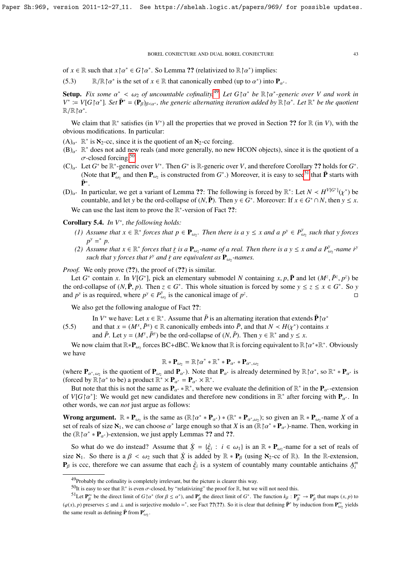of  $x \in \mathbb{R}$  such that  $x \upharpoonright \alpha^* \in G \upharpoonright \alpha^*$ . So Lemma ?? (relativized to  $\mathbb{R} \upharpoonright \alpha^*$ ) implies:

(5.3) R/R  $\upharpoonright \alpha^*$  is the set of  $x \in \mathbb{R}$  that canonically embed (up to  $\alpha^*$ ) into  $\mathbf{P}_{\alpha^*}$ .

**Setup.** *Fix some*  $\alpha^* < \omega_2$  *of uncountable cofinality.*<sup>[49](#page-42-0)</sup> *Let*  $G \upharpoonright \alpha^*$  *be*  $\mathbb{R} \upharpoonright \alpha^*$ -generic over V and work in<br> $V^* - V[G \upharpoonright \alpha^*]$  *Set*  $\mathbf{P}^* - (\mathbf{P}_0)_{\alpha \to \alpha}$  the generic alternating iteration  $V^* := V[G \cap \alpha^*]$ *. Set*  $\bar{\mathbf{P}}^* = (\mathbf{P}_\beta)_{\beta < \alpha^*}$ *, the generic alternating iteration added by*  $\mathbb{R} \cap \alpha^*$ *. Let*  $\mathbb{R}^*$  *be the quotient*  $\mathbb{R} \cap \mathbb{R}^*$  $\mathbb{R}/\mathbb{R} \restriction \alpha^*$ .

We claim that  $\mathbb{R}^*$  satisfies (in  $V^*$ ) all the properties that we proved in Section ?? for  $\mathbb{R}$  (in  $V$ ), with the obvious modifications. In particular:

- $(A)_{\alpha^*}$  R<sup>\*</sup> is  $\aleph_2$ -cc, since it is the quotient of an  $\aleph_2$ -cc forcing.
- $(B)_{\alpha^*}$  R<sup>\*</sup> does not add new reals (and more generally, no new HCON objects), since it is the quotient of a  $\sigma$ -closed forcing.<sup>[50](#page-42-1)</sup>
- $(C)_{\alpha^*}$  Let *G*<sup>\*</sup> be R<sup>\*</sup>-generic over *V*<sup>\*</sup>. Then *G*<sup>\*</sup> is R-generic over *V*, and therefore Corollary ?? holds for *G*<sup>\*</sup>.<br>(Note that **P**<sub>k</sub> and than **P**<sub>k</sub> is constructed from *G*<sup>\*</sup>). Moreover it is seen to see<sup></sup> (Note that  $P'_{a}$  $\mathbf{w}'_{\omega_2}$  and then  $\mathbf{P}_{\omega_2}$  is constructed from  $G^*$ .) Moreover, it is easy to see<sup>[51](#page-42-2)</sup> that  $\bar{\mathbf{P}}$  starts with  $\bar{\mathbf{P}}^*$  .
- (D)<sub>*a*<sup>∗</sup> In particular, we get a variant of Lemma ??: The following is forced by  $\mathbb{R}^*$ : Let *N* ≺ *H*<sup>V[*G*<sup>\*</sup>]</sup>( $\chi$ <sup>\*</sup>) be countable and let *y* be the ord-collanse of (*N* **P**). Then *y* ∈ *G*<sup>\*</sup> Moreover: If *</sub>* countable, and let *y* be the ord-collapse of  $(N, \bar{P})$ . Then  $y \in G^*$ . Moreover: If  $x \in G^* \cap N$ , then  $y \leq x$ . We can use the last item to prove the  $\mathbb{R}^*$ -version of Fact ??:

Corollary 5.4. *In V*<sup>∗</sup> *, the following holds:*

- *(1) Assume that*  $x \in \mathbb{R}^*$  *forces that*  $p \in \mathbf{P}_{\omega_2}$ *. Then there is a*  $y \le x$  *and a*  $p^y \in P_{\omega_2}^y$ ω2 *such that y forces*  $p^y = p$ .
- *(2) Assume that*  $x \in \mathbb{R}^*$  *forces that*  $\dot{r}$  *is a* **P**<sub>*w*2</sub>-name of a real. Then there is a y ≤ *x* and a  $P_{\omega_2}^y$ -name  $\dot{r}^y$  and  $\dot{r}^y$  and  $\dot{r}^y$  and  $\dot{r}^y$  and  $\dot{r}^y$  and  $\dot{r}^y$  and such that y forces that  $\vec{r}^y$  and  $\vec{r}$  are equivalent as  $\mathbf{P}_{\omega_2}$ -names.

*Proof.* We only prove  $(??)$ , the proof of  $(??)$  is similar.

Let *G*<sup>\*</sup> contain *x*. In *V*[*G*<sup>\*</sup>], pick an elementary submodel *N* containing *x*, *p*,  $\overline{P}$  and let  $(M^z, \overline{P}^z, p^z)$  be ord-collapse of  $(N, \overline{P}$  *n*). Then  $z \in G^*$ . This whole situation is forced by some the ord-collapse of  $(N, \bar{P}, p)$ . Then  $z \in G^*$ . This whole situation is forced by some  $y \le z \le x \in G^*$ . So *y* and  $p^y$  is as required where  $p^y \in P^y$  is the canonical image of  $p^z$ and  $p^y$  is as required, where  $p^y \in P^y_a$  $\omega_2$  is the canonical image of  $p^2$ . В последните последните последните последните и се од селото на селото на селото на селото на селото на село<br>В селото на селото на селото на селото на селото на селото на селото на селото на селото на селото на селото н

We also get the following analogue of Fact ??:

In *V*<sup>\*</sup> we have: Let  $x \in \mathbb{R}^*$ . Assume that  $\overline{P}$  is an alternating iteration that extends  $\overline{P} \upharpoonright a^*$ <br>and that  $x - (M^x \overline{P}^x) \in \mathbb{R}$  canonically embeds into  $\overline{P}$  and that  $N \neq H(x^*)$  contains x

(5.5) and that  $x = (M^x, \bar{P}^x) \in \mathbb{R}$  canonically embeds into  $\bar{P}$ , and that  $N \lt H(\chi^*)$  contains *x*<br>and  $\bar{P}$ . Let  $y = (M^y, \bar{P}^y)$  be the ord-collapse of  $(N, \bar{P})$ . Then  $y \in \mathbb{R}^*$  and  $y \lt x$ . and  $\overline{P}$ . Let  $y = (M^y, \overline{P}^y)$  be the ord-collapse of  $(N, \overline{P})$ . Then  $y \in \mathbb{R}^*$  and  $y \le x$ .

We now claim that  $\mathbb{R} * \mathbf{P}_{\omega_2}$  forces BC+dBC. We know that  $\mathbb{R}$  is forcing equivalent to  $\mathbb{R} \upharpoonright \alpha^* * \mathbb{R}^*$ . Obviously we have

$$
\mathbb{R} * \mathbf{P}_{\omega_2} = \mathbb{R} \mathord{\upharpoonright} \alpha^* * \mathbb{R}^* * \mathbf{P}_{\alpha^*} * \mathbf{P}_{\alpha^*, \omega_2}
$$

 $\mathbb{R} * \mathbf{P}_{\omega_2} = \mathbb{R} \restriction \alpha^* * \mathbb{R}^* * \mathbf{P}_{\alpha^*} * \mathbf{P}_{\alpha^*, \omega_2}$ <br>(where  $\mathbf{P}_{\alpha^*, \omega_2}$  is the quotient of  $\mathbf{P}_{\omega_2}$  and  $\mathbf{P}_{\alpha^*}$ ). Note that  $\mathbf{P}_{\alpha^*}$  is already determined by  $\mathbb{R} \restriction \alpha^*$ , so  $\mathbb$ (forced by  $\mathbb{R} \upharpoonright \alpha^*$  to be) a product  $\mathbb{R}^* \times \mathbf{P}_{\alpha^*} = \mathbf{P}_{\alpha^*} \times \mathbb{R}^*$ .<br>But note that this is not the same as  $\mathbf{P}_{\alpha^*} \mathbb{R}^*$  where

But note that this is not the same as  $\mathbf{P}_{\alpha^*} * \mathbb{R}^*$ , where we evaluate the definition of  $\mathbb{R}^*$  in the  $\mathbf{P}_{\alpha^*}$ -extension  $V(C \wedge^* \mathbf{L} \cdot \mathbf{W}_{\alpha^*})$ . We would get now conditions and therefore now condi of *V*[*G* | $\alpha^*$ ]: We would get new candidates and therefore new conditions in  $\mathbb{R}^*$  after forcing with  $\mathbf{P}_{\alpha^*}$ . In other words we can not just aroue as follows: other words, we can *not* just argue as follows:

**Wrong argument.**  $\mathbb{R} * \mathbf{P}_{\omega_2}$  is the same as  $(\mathbb{R} \restriction \alpha^* * \mathbf{P}_{\alpha^*}) * (\mathbb{R}^* * \mathbf{P}_{\alpha^* \omega_2})$ ; so given an  $\mathbb{R} * \mathbf{P}_{\omega_2}$ -name *X* of a set of reals of size **X**. We can choose  $\alpha^*$  large enough so that set of reals of size  $\aleph_1$ , we can choose  $\alpha^*$  large enough so that *X* is an ( $\mathbb{R} \upharpoonright \alpha^* * \mathbf{P}_{\alpha^*}$ )-name. Then, working in the ( $\mathbb{R} \upharpoonright \alpha^* * \mathbf{P}_{\alpha}$ )-partners on we just apply I emmas 22 and 22 the ( $\mathbb{R} \upharpoonright \alpha^* * \mathbf{P}_{\alpha^*}$ )-extension, we just apply Lemmas ?? and ??.

So what do we do instead? Assume that  $\dot{\mathbf{X}} = \{\dot{\xi}_i : i \in \omega_1\}$  is an  $\mathbb{R} * \mathbf{P}_{\omega_2}$ -name for a set of reals of size  $\aleph_1$ . So there is a  $\beta < \omega_2$  such that  $\dot{\chi}$  is added by  $\mathbb{R} * \mathbf{P}_{\beta}$  (using  $\aleph_2$ -cc of  $\mathbb{R}$ ). In the R-extension,  $\mathbf{P}_{\alpha}$  is ccc, therefore we can assume that each  $\dot{\xi}$ , is a system of coun **P**<sub>β</sub> is ccc, therefore we can assume that each  $\dot{\xi}_i$  is a system of countably many countable antichains  $A_i^m$ 

<span id="page-42-0"></span><sup>49</sup>Probably the cofinality is completely irrelevant, but the picture is clearer this way.

<span id="page-42-2"></span><span id="page-42-1"></span><sup>&</sup>lt;sup>50</sup>It is easy to see that R<sup>\*</sup> is even σ-closed, by "relativizing" the proof for R, but we will not need this.<br><sup>51</sup>It at **P'**\* be the direct limit of G b,\* (for 0, 5, \*), and **P**' the direct limit of G<sup>\*</sup>. The function

<sup>&</sup>lt;sup>51</sup>Let  $P_{\beta}^{*}$  be the direct limit of *G*  $\uparrow \alpha^{*}$  (for  $\beta \le \alpha^{*}$ ), and  $P_{\beta}^{'}$  the direct limit of *G*<sup>\*</sup>. The function  $k_{\beta}: P_{\beta}^{*} \to P_{\beta}^{'}$  that maps  $(x, p)$  to  $\uparrow$  $(\varphi(x), p)$  preserves  $\leq$  and  $\perp$  and is surjective modulo =<sup>\*</sup>, see Fact ??(??). So it is clear that defining  $\bar{P}^*$  by induction from  $P_{\omega_2}^{**}$  yields the same result as defining  $\bar{P}$  from  $P'_{\omega_2}$ .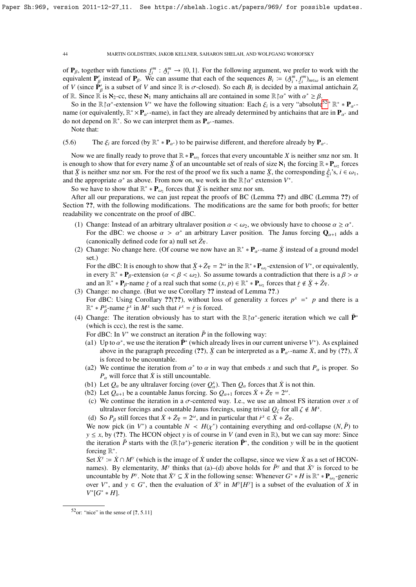of  $P_\beta$ , together with functions  $f_i^m : A_i^m \to \{0, 1\}$ . For the following argument, we prefer to work with the equivalent  $P'$  instead of  $P_\beta$ . We can assume that each of the sequences  $R_i := (A^m f^m)$  is an element equivalent  $P'_\beta$  instead of  $P_\beta$ . We can assume that each of the sequences  $B_i := (A_i^m, f_i^m)_{m \in \omega}$  is an element of *V* (since  $\mathbf{P}'_\beta$  is a subset of *V* and since R is σ-closed). So each  $B_i$  is decided by a maximal antichain  $Z_i$ <br>of R Since  $\mathbb{P}$  is  $\mathbf{X}_i$  co these  $\mathbf{X}_i$  many antichains all are contained in some  $\math$ of R. Since  $\mathbb{R}$  is  $\aleph_2$ -cc, these  $\aleph_1$  many antichains all are contained in some  $\mathbb{R} \upharpoonright \alpha^*$  with  $\alpha^* \geq \beta$ .<br>So in the  $\mathbb{R} \upharpoonright \alpha^*$ -extension  $V^*$  we have the following situation: Each  $\epsilon$ , is a

So in the  $\mathbb{R} \upharpoonright \alpha^*$ -extension *V*<sup>\*</sup> we have the following situation: Each  $\xi_i$  is a very "absolute<sup>[52](#page-43-0)</sup>"  $\mathbb{R}^* \times \mathbf{P}_{\alpha^*}$ <br>we (or equivalently  $\mathbb{R}^* \times \mathbf{P}_{\alpha^*}$  -pame) in fact they are already determi name (or equivalently,  $\mathbb{R}^* \times \mathbf{P}_{\alpha^*}$ -name), in fact they are already determined by antichains that are in  $\mathbf{P}_{\alpha^*}$  and do not depend on  $\mathbb{R}^*$ . So we can interpret them as  $\mathbf{P}_{\alpha^*}$ -names.

Note that:

(5.6) The  $\xi_i$  are forced (by  $\mathbb{R}^* * \mathbf{P}_{\alpha^*}$ ) to be pairwise different, and therefore already by  $\mathbf{P}_{\alpha^*}$ .

Now we are finally ready to prove that  $\mathbb{R} * \mathbf{P}_{\omega_2}$  forces that every uncountable *X* is neither smz nor sm. It is enough to show that for every name  $\dot{X}$  of an uncountable set of reals of size  $\mathcal{N}_1$  the forcing  $\mathbb{R} * \mathbf{P}_{\omega_2}$  forces that  $\dot{X}$  is neither smz nor sm. For the rest of the proof we fix such a name  $\dot{X}$ , the corresponding  $\dot{\xi}_i$ 's,  $i \in \omega_1$ , and the appropriate  $\alpha^*$  as above. From now on, we work in the  $\mathbb{R} \upharpoonright \alpha^*$  extension  $V^*$ .<br>So we have to show that  $\mathbb{R}^* * \mathbf{P}$  forces that  $\dot{Y}$  is neither smz nor sm ˜

So we have to show that  $\mathbb{R}^* * \mathbf{P}_{\omega_2}$  forces that  $\dot{\mathbf{X}}$  is neither smz nor sm.

After all our preparations, we can just repeat the proofs of BC (Lemma ??) and dBC (Lemma ??) of Section ??, with the following modifications. The modifications are the same for both proofs; for better readability we concentrate on the proof of dBC.

- (1) Change: Instead of an arbitrary ultralaver position  $\alpha < \omega_2$ , we obviously have to choose  $\alpha \ge \alpha^*$ .<br>For the dBC: we choose  $\alpha > \alpha^*$  an arbitrary Laver position. The Janus forcing  $\Omega$  + adds For the dBC: we choose  $\alpha > \alpha^*$  an arbitrary Laver position. The Janus forcing  $\mathbf{Q}_{\alpha+1}$  adds a canonically defined code for a) null set  $\dot{z}_n$ (canonically defined code for a) null set  $\dot{Z}_{\nabla}$ .
- (2) Change: No change here. (Of course we now have an  $\mathbb{R}^* * \mathbf{P}_{\alpha^*}$ -name  $\dot{\mathbf{\chi}}$  instead of a ground model set ) set.)

For the dBC: It is enough to show that  $\dot{X} + \dot{Z}_{\nabla} = 2^{\omega}$  in the  $\mathbb{R}^* * \mathbf{P}_{\omega_2}$ -extension of  $V^*$ , or equivalently, in every  $\mathbb{R}^* * \mathbf{P}_\beta$ -extension  $(\alpha < \beta < \omega_2)$ . So assume towards a contradiction that there is a  $\beta > \alpha$ <br>and an  $\mathbb{R}^* * \mathbf{P}_\alpha$  pame is of a real such that some  $(x, n) \in \mathbb{R}^* * \mathbf{P}_\alpha$  forces that  $\dot{x} \notin \dot{X$ and an  $\mathbb{R}^* * \mathbf{P}_\beta$ -name *i* of a real such that some  $(x, p) \in \mathbb{R}^* * \mathbf{P}_{\omega_2}$  forces that  $\dot{x} \notin \dot{X} + \dot{Z}_\nabla$ .<br>Change: no change. (But we use Corollary ?) instead of I emma ??)

- (3) Change: no change. (But we use Corollary ?? instead of Lemma ??.) For dBC: Using Corollary ??(??), without loss of generality *x* forces  $p^x = p$  and there is a  $\mathbb{R}^* * P_A^x$ -name  $\dot{x}$ <sup>x</sup> in  $M^x$  such that  $\dot{r}^x = \dot{x}$  is forced.
- (4) Change: The iteration obviously has to start with the  $\mathbb{R} \upharpoonright \alpha^*$ -generic iteration which we call  $\bar{\mathbf{P}}^*$ <br>(which is ccc) the rest is the same (which is ccc), the rest is the same.

For dBC: In  $V^*$  we construct an iteration  $\bar{P}$  in the following way:

- (a1) Up to  $\alpha^*$ , we use the iteration  $\mathbf{\bar{P}}^*$  (which already lives in our current universe  $V^*$ ). As explained<br>above in the paragraph preceding (22)  $\dot{X}$  can be interpreted as a **P**  $\alpha$ -pame  $\dot{X}$  and by (22 above in the paragraph preceding (??),  $\dot{\mathbf{X}}$  can be interpreted as a  $\mathbf{P}_{\alpha^*}$ -name  $\dot{\mathbf{X}}$ , and by (??),  $\dot{\mathbf{X}}$  is forced to be uncountable is forced to be uncountable.
- (a2) We continue the iteration from  $\alpha^*$  to  $\alpha$  in way that embeds *x* and such that  $P_\alpha$  is proper. So  $P$  will force that  $\dot{X}$  is still uncountable  $P_\alpha$  will force that  $\dot{X}$  is still uncountable.
- (b1) Let  $Q_{\alpha}$  be any ultralaver forcing (over  $Q_{\alpha}^{x}$ ). Then  $Q_{\alpha}$  forces that  $\dot{X}$  is not thin.<br>(b2) Let  $Q_{\alpha}$  be a counteble Janus forcing  $S_{\alpha}Q_{\alpha}$  forces  $\dot{X} + \dot{Z} = 2\omega$
- (b2) Let  $Q_{\alpha+1}$  be a countable Janus forcing. So  $Q_{\alpha+1}$  forces  $\dot{X} + \dot{Z}_{\nabla} = 2^{\omega}$ .<br>(c) We continue the iteration in a goal contendence of a weapon almost
- (c) We continue the iteration in a σ-centered way. I.e., we use an almost FS iteration over *<sup>x</sup>* of ultralaver forcings and countable Janus forcings, using trivial  $Q_\zeta$  for all  $\zeta \notin M^x$ .<br>So  $P_x$  still forces that  $\dot{Y} + \dot{Z}_x = 2^\omega$  and in particular that  $\dot{Y} \in \dot{Y} + \dot{Z}_x$ .
- (d) So  $P_\beta$  still forces that  $\dot{X} + \dot{Z}_\nabla = 2^\omega$ , and in particular that  $\dot{r}^x \in \dot{X} + \dot{Z}_\nabla$ .

We now pick (in  $V^*$ ) a countable  $N \lt H(\chi^*)$  containing everything and ord-collapse  $(N, \bar{P})$  to  $v \lt r$  by (22). The HCON object v is of course in *V* (and even in **R**) but we can say more: Since  $y \le x$ , by (??). The HCON object *y* is of course in *V* (and even in R), but we can say more: Since the iteration  $\bar{P}$  starts with the ( $\mathbb{R} \upharpoonright \alpha^*$ )-generic iteration  $\bar{P}^*$ , the condition *y* will be in the quotient forcing  $\mathbb{R}^*$ forcing  $\mathbb{R}^*$ .

Set  $\dot{X}^y := \dot{X} \cap M^y$  (which is the image of  $\dot{X}$  under the collapse, since we view  $\dot{X}$  as a set of HCONnames). By elementarity,  $M^y$  thinks that (a)–(d) above holds for  $\bar{P}^y$  and that  $\dot{X}^y$  is forced to be uncountable by *P*<sup>*y*</sup>. Note that  $\dot{X}$ <sup>*y*</sup>  $\subseteq \dot{X}$  in the following sense: Whenever  $G^* * H$  is  $\mathbb{R}^* * \mathbf{P}_{\omega_2}$ -generic over  $V^*$ , and  $y \in G^*$ , then the evaluation of  $\dot{X}^y$  in  $M^y[H^y]$  is a subset of the evaluation of  $\dot{X}$  in *V*<sup>\*</sup>[*G*<sup>\*</sup> ∗ *H*].

<span id="page-43-0"></span> $52<sub>or</sub>$ : "nice" in the sense of [?, 5.11]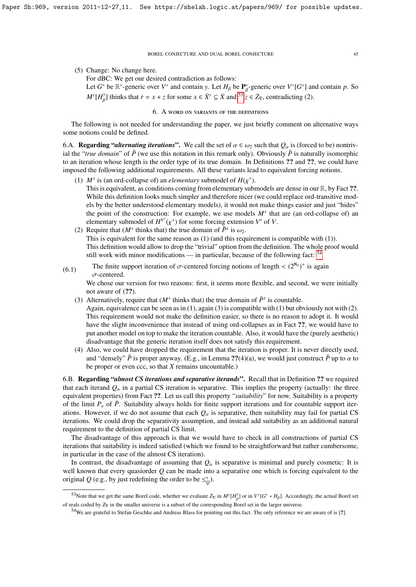(5) Change: No change here.

β

For dBC: We get our desired contradiction as follows:

Let *G*<sup>\*</sup> be  $\mathbb{R}^*$ -generic over *V*<sup>\*</sup> and contain *y*. Let *H<sub>β</sub>* be  $\mathbb{P}^*_{\beta}$ -generic over *V*<sup>\*</sup>[*G*<sup>\*</sup>] and contain *p*. So  $M^y[H^y_\beta]$  thinks that  $\dot{r} = x + z$  for some  $x \in \dot{X}^y \subseteq \dot{X}$  and  $\frac{z}{z} \in \dot{Z}_\nabla$ , contradicting (2).

## 6. A word on variants of the definitions

The following is not needed for understanding the paper, we just briefly comment on alternative ways some notions could be defined.

6.A. **Regarding "***alternating iterations***".** We call the set of  $\alpha \in \omega_2$  such that  $Q_\alpha$  is (forced to be) nontrivial the "*true domain*" of  $\bar{P}$  (we use this notation in this remark only). Obviously  $\bar{P}$  is naturally isomorphic to an iteration whose length is the order type of its true domain. In Definitions ?? and ??, we could have imposed the following additional requirements. All these variants lead to equivalent forcing notions.

- (1)  $M^x$  is (an ord-collapse of) an *elementary* submodel of  $H(\chi^*)$ .<br>This is equivalent as conditions coming from elementary sub-This is equivalent, as conditions coming from elementary submodels are dense in our R, by Fact ??. While this definition looks much simpler and therefore nicer (we could replace ord-transitive models by the better understood elementary models), it would not make things easier and just "hides" the point of the construction: For example, we use models  $M^x$  that are (an ord-collapse of) an elementary submodel of  $H^{V'}(\chi^*)$  for some forcing extension *V'* of *V*.<br>Require that  $(M^x)$  thinks that) the true domain of  $\bar{P}^x$  is  $\omega$
- (2) Require that  $(M^x \text{ thinks that})$  the true domain of  $\bar{P}^x$  is  $\omega_2$ .<br>This is equivalent for the same reason as (1) (and this required This is equivalent for the same reason as (1) (and this requirement is compatible with (1)). This definition would allow to drop the "trivial" option from the definition. The whole proof would still work with minor modifications — in particular, because of the following fact:  $54$
- (6.1) The finite support iteration of  $\sigma$ -centered forcing notions of length <  $(2^{\aleph_0})^+$  is again  $\sigma$ -centered  $\sigma$ -centered.

We chose our version for two reasons: first, it seems more flexible, and second, we were initially not aware of  $(?)$ .

(3) Alternatively, require that  $(M^x$  thinks that) the true domain of  $\bar{P}^x$  is countable.

Again, equivalence can be seen as in  $(1)$ , again  $(3)$  is compatible with  $(1)$  but obviously not with  $(2)$ . This requirement would not make the definition easier, so there is no reason to adopt it. It would have the slight inconvenience that instead of using ord-collapses as in Fact ??, we would have to put another model on top to make the iteration countable. Also, it would have the (purely aesthetic) disadvantage that the generic iteration itself does not satisfy this requirement.

(4) Also, we could have dropped the requirement that the iteration is proper. It is never directly used, and "densely"  $\bar{P}$  is proper anyway. (E.g., in Lemma ??(4)(a), we would just construct  $\bar{P}$  up to  $\alpha$  to be proper or even ccc, so that *X* remains uncountable.)

6.B. Regarding "*almost CS iterations and separative iterands*". Recall that in Definition ?? we required that each iterand  $Q_{\alpha}$  in a partial CS iteration is separative. This implies the property (actually: the three equivalent properties) from Fact ??. Let us call this property "*suitability*" for now. Suitability is a property of the limit  $P_{\varepsilon}$  of  $\overline{P}$ . Suitability always holds for finite support iterations and for countable support iterations. However, if we do not assume that each  $Q_\alpha$  is separative, then suitability may fail for partial CS iterations. We could drop the separativity assumption, and instead add suitability as an additional natural requirement to the definition of partial CS limit.

The disadvantage of this approach is that we would have to check in all constructions of partial CS iterations that suitability is indeed satisfied (which we found to be straightforward but rather cumbersome, in particular in the case of the almost CS iteration).

In contrast, the disadvantage of assuming that  $Q_\alpha$  is separative is minimal and purely cosmetic: It is well known that every quasiorder *Q* can be made into a separative one which is forcing equivalent to the original Q (e.g., by just redefining the order to be  $\leq^*_{\mathcal{Q}}$ ).

<span id="page-44-0"></span><sup>53</sup>Note that we get the same Borel code, whether we evaluate  $Z_{\nabla}$  in  $M^{\gamma}[H_{\beta}^{\gamma}]$  or in  $V^*[G^* * H_{\beta}]$ . Accordingly, the actual Borel set of reals coded by  $Z_{\nabla}$  in the smaller universe is a subset of the corresponding Borel set in the larger universe.

<span id="page-44-1"></span><sup>54</sup>We are grateful to Stefan Geschke and Andreas Blass for pointing out this fact. The only reference we are aware of is [?].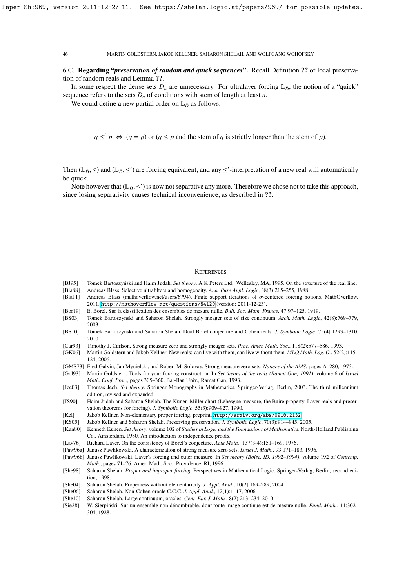6.C. Regarding "*preservation of random and quick sequences*". Recall Definition ?? of local preservation of random reals and Lemma ??.

In some respect the dense sets  $D_n$  are unnecessary. For ultralaver forcing  $\mathbb{L}_{\bar{D}}$ , the notion of a "quick" sequence refers to the sets  $D_n$  of conditions with stem of length at least *n*.

We could define a new partial order on  $\mathbb{L}_{\bar{D}}$  as follows:

 $q \leq' p \iff (q = p)$  or  $(q \leq p$  and the stem of *q* is strictly longer than the stem of *p*).

Then ( $\mathbb{L}_{\bar{D}}$ ,  $\leq$ ) and ( $\mathbb{L}_{\bar{D}}$ ,  $\leq'$ ) are forcing equivalent, and any  $\leq'$ -interpretation of a new real will automatically be quick be quick.

Note however that  $(\mathbb{L}_{\bar{D}}, \leq')$  is now not separative any more. Therefore we chose not to take this approach,  $ce$  losing separativity causes technical inconvenience, as described in **??** since losing separativity causes technical inconvenience, as described in ??.

#### **REFERENCES**

- [BJ95] Tomek Bartoszyński and Haim Judah. Set theory. A K Peters Ltd., Wellesley, MA, 1995. On the structure of the real line.
- [Bla88] Andreas Blass. Selective ultrafilters and homogeneity. *Ann. Pure Appl. Logic*, 38(3):215–255, 1988.
- [Bla11] Andreas Blass (mathoverflow.net/users/6794). Finite support iterations of σ-centered forcing notions. MathOverflow, 2011. <http://mathoverflow.net/questions/84129> (version: 2011-12-23).
- [Bor19] E. Borel. Sur la classification des ensembles de mesure nulle. *Bull. Soc. Math. France*, 47:97–125, 1919.
- [BS03] Tomek Bartoszynski and Saharon Shelah. Strongly meager sets of size continuum. *Arch. Math. Logic*, 42(8):769–779, 2003.
- [BS10] Tomek Bartoszynski and Saharon Shelah. Dual Borel conjecture and Cohen reals. *J. Symbolic Logic*, 75(4):1293–1310, 2010.
- [Car93] Timothy J. Carlson. Strong measure zero and strongly meager sets. *Proc. Amer. Math. Soc.*, 118(2):577–586, 1993.
- [GK06] Martin Goldstern and Jakob Kellner. New reals: can live with them, can live without them. *MLQ Math. Log. Q.*, 52(2):115– 124, 2006.
- [GMS73] Fred Galvin, Jan Mycielski, and Robert M. Solovay. Strong measure zero sets. *Notices of the AMS*, pages A–280, 1973.
- [Gol93] Martin Goldstern. Tools for your forcing construction. In *Set theory of the reals (Ramat Gan, 1991)*, volume 6 of *Israel Math. Conf. Proc.*, pages 305–360. Bar-Ilan Univ., Ramat Gan, 1993.

[Jec03] Thomas Jech. *Set theory*. Springer Monographs in Mathematics. Springer-Verlag, Berlin, 2003. The third millennium edition, revised and expanded.

- [JS90] Haim Judah and Saharon Shelah. The Kunen-Miller chart (Lebesgue measure, the Baire property, Laver reals and preservation theorems for forcing). *J. Symbolic Logic*, 55(3):909–927, 1990.
- [Kel] Jakob Kellner. Non-elementary proper forcing. preprint, <http://arxiv.org/abs/0910.2132>.
- [KS05] Jakob Kellner and Saharon Shelah. Preserving preservation. *J. Symbolic Logic*, 70(3):914–945, 2005.
- [Kun80] Kenneth Kunen. *Set theory*, volume 102 of *Studies in Logic and the Foundations of Mathematics*. North-Holland Publishing Co., Amsterdam, 1980. An introduction to independence proofs.
- [Lav76] Richard Laver. On the consistency of Borel's conjecture. *Acta Math.*, 137(3-4):151–169, 1976.
- [Paw96a] Janusz Pawlikowski. A characterization of strong measure zero sets. *Israel J. Math.*, 93:171–183, 1996.
- [Paw96b] Janusz Pawlikowski. Laver's forcing and outer measure. In *Set theory (Boise, ID, 1992–1994)*, volume 192 of *Contemp. Math.*, pages 71–76. Amer. Math. Soc., Providence, RI, 1996.
- [She98] Saharon Shelah. *Proper and improper forcing*. Perspectives in Mathematical Logic. Springer-Verlag, Berlin, second edition, 1998.
- [She04] Saharon Shelah. Properness without elementaricity. *J. Appl. Anal.*, 10(2):169–289, 2004.
- [She06] Saharon Shelah. Non-Cohen oracle C.C.C. *J. Appl. Anal.*, 12(1):1–17, 2006.
- [She10] Saharon Shelah. Large continuum, oracles. *Cent. Eur. J. Math.*, 8(2):213–234, 2010.
- [Sie28] W. Sierpiński. Sur un ensemble non dénombrable, dont toute image continue est de mesure nulle. *Fund. Math.*, 11:302– 304, 1928.